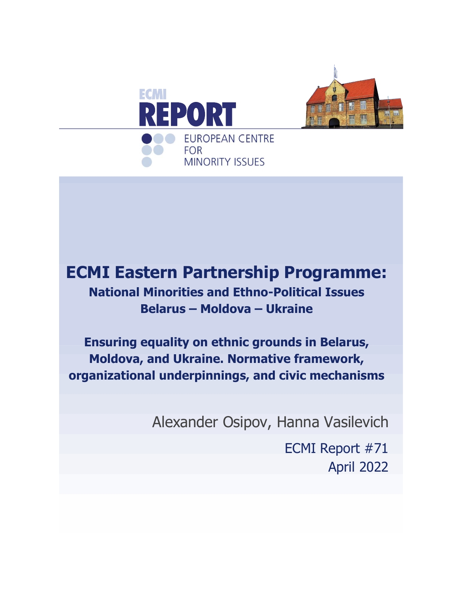



# **ECMI Eastern Partnership Programme: National Minorities and Ethno-Political Issues Belarus – Moldova – Ukraine**

**Ensuring equality on ethnic grounds in Belarus, Moldova, and Ukraine. Normative framework, organizational underpinnings, and civic mechanisms**

Alexander Osipov, Hanna Vasilevich

ECMI Report #71 April 2022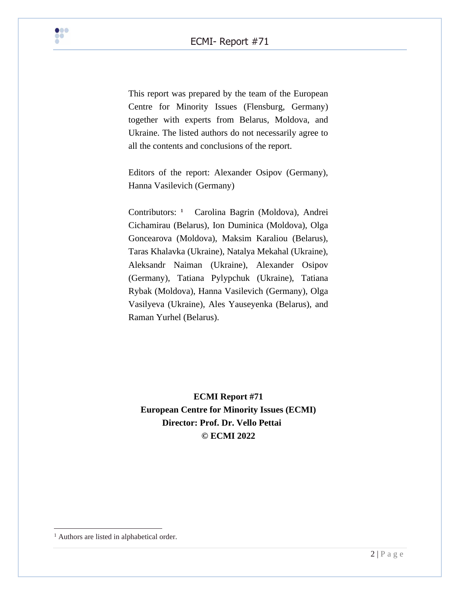This report was prepared by the team of the European Centre for Minority Issues (Flensburg, Germany) together with experts from Belarus, Moldova, and Ukraine. The listed authors do not necessarily agree to all the contents and conclusions of the report.

Editors of the report: Alexander Osipov (Germany), Hanna Vasilevich (Germany)

Contributors: **<sup>1</sup>** Carolina Bagrin (Moldova), Andrei Cichamirau (Belarus), Ion Duminica (Moldova), Olga Goncearova (Moldova), Maksim Karaliou (Belarus), Taras Khalavka (Ukraine), Natalya Mekahal (Ukraine), Aleksandr Naiman (Ukraine), Alexander Osipov (Germany), Tatiana Pylypchuk (Ukraine), Tatiana Rybak (Moldova), Hanna Vasilevich (Germany), Olga Vasilyeva (Ukraine), Ales Yauseyenka (Belarus), and Raman Yurhel (Belarus).

**ECMI Report #71 European Centre for Minority Issues (ECMI) Director: Prof. Dr. Vello Pettai © ECMI 2022**

<sup>&</sup>lt;sup>1</sup> Authors are listed in alphabetical order.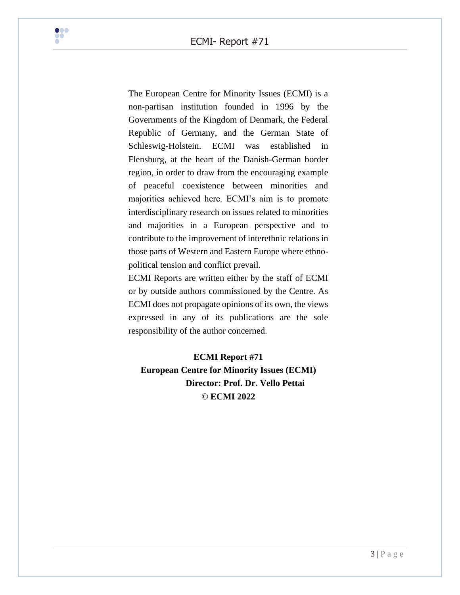

The European Centre for Minority Issues (ECMI) is a non-partisan institution founded in 1996 by the Governments of the Kingdom of Denmark, the Federal Republic of Germany, and the German State of Schleswig-Holstein. ECMI was established in Flensburg, at the heart of the Danish-German border region, in order to draw from the encouraging example of peaceful coexistence between minorities and majorities achieved here. ECMI's aim is to promote interdisciplinary research on issues related to minorities and majorities in a European perspective and to contribute to the improvement of interethnic relations in those parts of Western and Eastern Europe where ethnopolitical tension and conflict prevail.

ECMI Reports are written either by the staff of ECMI or by outside authors commissioned by the Centre. As ECMI does not propagate opinions of its own, the views expressed in any of its publications are the sole responsibility of the author concerned.

**ECMI Report #71 European Centre for Minority Issues (ECMI) Director: Prof. Dr. Vello Pettai © ECMI 2022**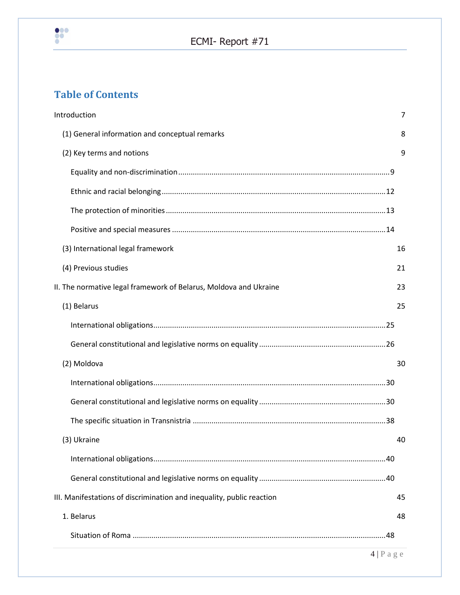

# **Table of Contents**

| Introduction                                                          | 7                    |
|-----------------------------------------------------------------------|----------------------|
| (1) General information and conceptual remarks                        | 8                    |
| (2) Key terms and notions                                             | 9                    |
|                                                                       |                      |
|                                                                       |                      |
|                                                                       |                      |
|                                                                       |                      |
| (3) International legal framework                                     | 16                   |
| (4) Previous studies                                                  | 21                   |
| II. The normative legal framework of Belarus, Moldova and Ukraine     | 23                   |
| (1) Belarus                                                           | 25                   |
|                                                                       |                      |
|                                                                       |                      |
| (2) Moldova                                                           | 30                   |
|                                                                       |                      |
|                                                                       |                      |
|                                                                       |                      |
| (3) Ukraine                                                           | 40                   |
|                                                                       |                      |
|                                                                       |                      |
| III. Manifestations of discrimination and inequality, public reaction | 45                   |
| 1. Belarus                                                            | 48                   |
|                                                                       |                      |
|                                                                       | $4 P \text{ a } g e$ |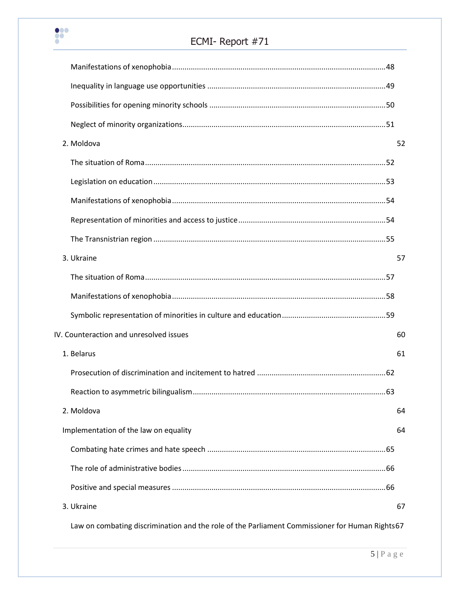

# ECMI- Report #71

| 2. Moldova                              | 52 |
|-----------------------------------------|----|
|                                         |    |
|                                         |    |
|                                         |    |
|                                         |    |
|                                         |    |
| 3. Ukraine                              | 57 |
|                                         |    |
|                                         |    |
|                                         |    |
| IV. Counteraction and unresolved issues | 60 |
| 1. Belarus                              | 61 |
|                                         |    |
|                                         |    |
| 2. Moldova                              | 64 |
| Implementation of the law on equality   | 64 |
|                                         |    |
|                                         |    |
|                                         |    |
| 3. Ukraine                              | 67 |
|                                         |    |

[Law on combating discrimination and the role of the Parliament Commissioner for Human Rights67](#page-66-1)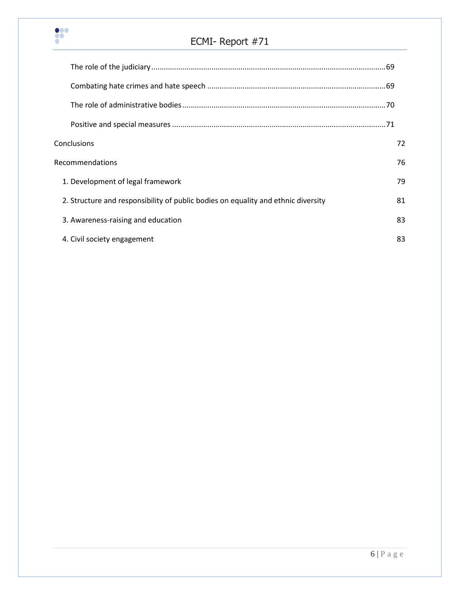

# ECMI- Report #71

| Conclusions                                                                       | 72 |
|-----------------------------------------------------------------------------------|----|
| <b>Recommendations</b>                                                            | 76 |
| 1. Development of legal framework                                                 | 79 |
| 2. Structure and responsibility of public bodies on equality and ethnic diversity | 81 |
| 3. Awareness-raising and education                                                | 83 |
| 4. Civil society engagement                                                       | 83 |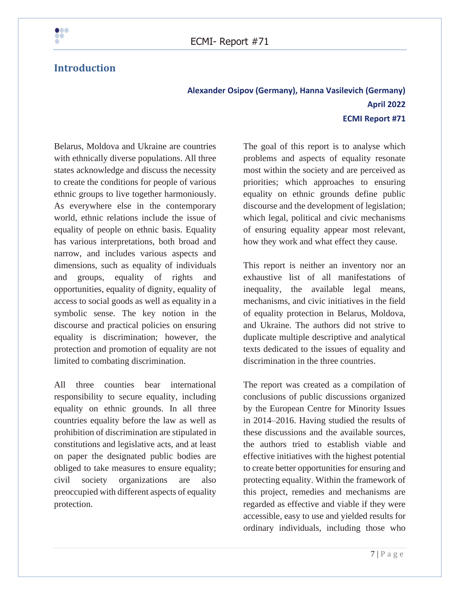

# <span id="page-6-0"></span>**Introduction**

# **Alexander Osipov (Germany), Hanna Vasilevich (Germany) April 2022 ECMI Report #71**

Belarus, Moldova and Ukraine are countries with ethnically diverse populations. All three states acknowledge and discuss the necessity to create the conditions for people of various ethnic groups to live together harmoniously. As everywhere else in the contemporary world, ethnic relations include the issue of equality of people on ethnic basis. Equality has various interpretations, both broad and narrow, and includes various aspects and dimensions, such as equality of individuals and groups, equality of rights and opportunities, equality of dignity, equality of access to social goods as well as equality in a symbolic sense. The key notion in the discourse and practical policies on ensuring equality is discrimination; however, the protection and promotion of equality are not limited to combating discrimination.

All three counties bear international responsibility to secure equality, including equality on ethnic grounds. In all three countries equality before the law as well as prohibition of discrimination are stipulated in constitutions and legislative acts, and at least on paper the designated public bodies are obliged to take measures to ensure equality; civil society organizations are also preoccupied with different aspects of equality protection.

The goal of this report is to analyse which problems and aspects of equality resonate most within the society and are perceived as priorities; which approaches to ensuring equality on ethnic grounds define public discourse and the development of legislation; which legal, political and civic mechanisms of ensuring equality appear most relevant, how they work and what effect they cause.

This report is neither an inventory nor an exhaustive list of all manifestations of inequality, the available legal means, mechanisms, and civic initiatives in the field of equality protection in Belarus, Moldova, and Ukraine. The authors did not strive to duplicate multiple descriptive and analytical texts dedicated to the issues of equality and discrimination in the three countries.

The report was created as a compilation of conclusions of public discussions organized by the European Centre for Minority Issues in 2014–2016. Having studied the results of these discussions and the available sources, the authors tried to establish viable and effective initiatives with the highest potential to create better opportunities for ensuring and protecting equality. Within the framework of this project, remedies and mechanisms are regarded as effective and viable if they were accessible, easy to use and yielded results for ordinary individuals, including those who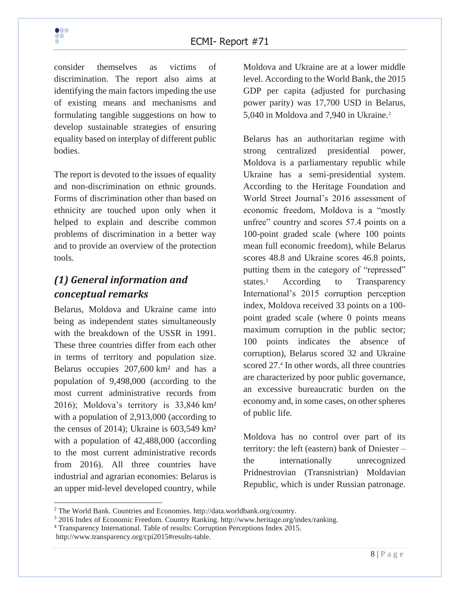consider themselves as victims of discrimination. The report also aims at identifying the main factors impeding the use of existing means and mechanisms and formulating tangible suggestions on how to develop sustainable strategies of ensuring equality based on interplay of different public bodies.

The report is devoted to the issues of equality and non-discrimination on ethnic grounds. Forms of discrimination other than based on ethnicity are touched upon only when it helped to explain and describe common problems of discrimination in a better way and to provide an overview of the protection tools.

# <span id="page-7-0"></span>*(1) General information and conceptual remarks*

Belarus, Moldova and Ukraine came into being as independent states simultaneously with the breakdown of the USSR in 1991. These three countries differ from each other in terms of territory and population size. Belarus occupies 207,600 km² and has a population of 9,498,000 (according to the most current administrative records from 2016); Moldova's territory is 33,846 km² with a population of 2,913,000 (according to the census of 2014); Ukraine is 603,549 km² with a population of 42,488,000 (according to the most current administrative records from 2016). All three countries have industrial and agrarian economies: Belarus is an upper mid-level developed country, while Moldova and Ukraine are at a lower middle level. According to the World Bank, the 2015 GDP per capita (adjusted for purchasing power parity) was 17,700 USD in Belarus, 5,040 in Moldova and 7,940 in Ukraine.<sup>2</sup>

Belarus has an authoritarian regime with strong centralized presidential power, Moldova is a parliamentary republic while Ukraine has a semi-presidential system. According to the Heritage Foundation and World Street Journal's 2016 assessment of economic freedom, Moldova is a "mostly unfree" country and scores 57.4 points on a 100-point graded scale (where 100 points mean full economic freedom), while Belarus scores 48.8 and Ukraine scores 46.8 points, putting them in the category of "repressed" states.<sup>3</sup> According to Transparency International's 2015 corruption perception index, Moldova received 33 points on a 100 point graded scale (where 0 points means maximum corruption in the public sector; 100 points indicates the absence of corruption), Belarus scored 32 and Ukraine scored 27.<sup>4</sup> In other words, all three countries are characterized by poor public governance, an excessive bureaucratic burden on the economy and, in some cases, on other spheres of public life.

Moldova has no control over part of its territory: the left (eastern) bank of Dniester – the internationally unrecognized Pridnestrovian (Transnistrian) Moldavian Republic, which is under Russian patronage.

<sup>2</sup> The World Bank. Countries and Economies. http://data.worldbank.org/country.

<sup>3</sup> 2016 Index of Economic Freedom. Country Ranking. http://www.heritage.org/index/ranking.

<sup>4</sup> Transparency International. Table of results: Corruption Perceptions Index 2015. http://www.transparency.org/cpi2015#results-table.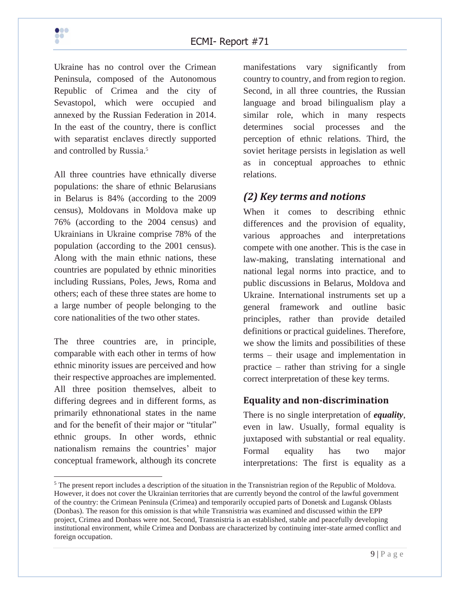

Ukraine has no control over the Crimean Peninsula, composed of the Autonomous Republic of Crimea and the city of Sevastopol, which were occupied and annexed by the Russian Federation in 2014. In the east of the country, there is conflict with separatist enclaves directly supported and controlled by Russia.<sup>5</sup>

All three countries have ethnically diverse populations: the share of ethnic Belarusians in Belarus is 84% (according to the 2009 census), Moldovans in Moldova make up 76% (according to the 2004 census) and Ukrainians in Ukraine comprise 78% of the population (according to the 2001 census). Along with the main ethnic nations, these countries are populated by ethnic minorities including Russians, Poles, Jews, Roma and others; each of these three states are home to a large number of people belonging to the core nationalities of the two other states.

The three countries are, in principle, comparable with each other in terms of how ethnic minority issues are perceived and how their respective approaches are implemented. All three position themselves, albeit to differing degrees and in different forms, as primarily ethnonational states in the name and for the benefit of their major or "titular" ethnic groups. In other words, ethnic nationalism remains the countries' major conceptual framework, although its concrete

manifestations vary significantly from country to country, and from region to region. Second, in all three countries, the Russian language and broad bilingualism play a similar role, which in many respects determines social processes and the perception of ethnic relations. Third, the soviet heritage persists in legislation as well as in conceptual approaches to ethnic relations.

# <span id="page-8-0"></span>*(2) Key terms and notions*

When it comes to describing ethnic differences and the provision of equality, various approaches and interpretations compete with one another. This is the case in law-making, translating international and national legal norms into practice, and to public discussions in Belarus, Moldova and Ukraine. International instruments set up a general framework and outline basic principles, rather than provide detailed definitions or practical guidelines. Therefore, we show the limits and possibilities of these terms – their usage and implementation in practice – rather than striving for a single correct interpretation of these key terms.

## <span id="page-8-1"></span>**Equality and non-discrimination**

There is no single interpretation of *equality*, even in law. Usually, formal equality is juxtaposed with substantial or real equality. Formal equality has two major interpretations: The first is equality as a

<sup>&</sup>lt;sup>5</sup> The present report includes a description of the situation in the Transnistrian region of the Republic of Moldova. However, it does not cover the Ukrainian territories that are currently beyond the control of the lawful government of the country: the Crimean Peninsula (Crimea) and temporarily occupied parts of Donetsk and Lugansk Oblasts (Donbas). The reason for this omission is that while Transnistria was examined and discussed within the EPP project, Crimea and Donbass were not. Second, Transnistria is an established, stable and peacefully developing institutional environment, while Crimea and Donbass are characterized by continuing inter-state armed conflict and foreign occupation.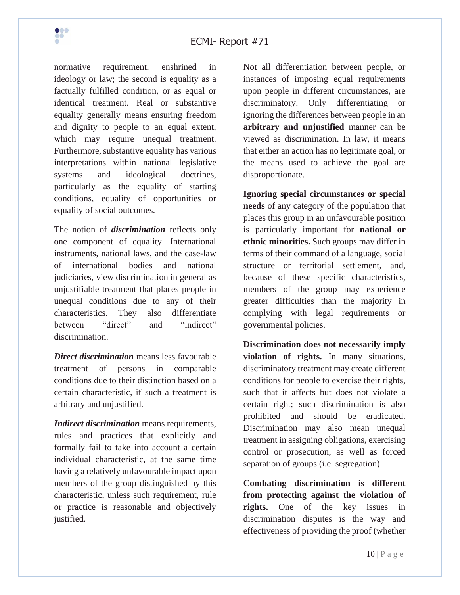

normative requirement, enshrined in ideology or law; the second is equality as a factually fulfilled condition, or as equal or identical treatment. Real or substantive equality generally means ensuring freedom and dignity to people to an equal extent, which may require unequal treatment. Furthermore, substantive equality has various interpretations within national legislative systems and ideological doctrines, particularly as the equality of starting conditions, equality of opportunities or equality of social outcomes.

The notion of *discrimination* reflects only one component of equality. International instruments, national laws, and the case-law of international bodies and national judiciaries, view discrimination in general as unjustifiable treatment that places people in unequal conditions due to any of their characteristics. They also differentiate between "direct" and "indirect" discrimination.

*Direct discrimination* means less favourable treatment of persons in comparable conditions due to their distinction based on a certain characteristic, if such a treatment is arbitrary and unjustified.

*Indirect discrimination* means requirements, rules and practices that explicitly and formally fail to take into account a certain individual characteristic, at the same time having a relatively unfavourable impact upon members of the group distinguished by this characteristic, unless such requirement, rule or practice is reasonable and objectively justified.

Not all differentiation between people, or instances of imposing equal requirements upon people in different circumstances, are discriminatory. Only differentiating or ignoring the differences between people in an **arbitrary and unjustified** manner can be viewed as discrimination. In law, it means that either an action has no legitimate goal, or the means used to achieve the goal are disproportionate.

**Ignoring special circumstances or special needs** of any category of the population that places this group in an unfavourable position is particularly important for **national or ethnic minorities.** Such groups may differ in terms of their command of a language, social structure or territorial settlement, and, because of these specific characteristics, members of the group may experience greater difficulties than the majority in complying with legal requirements or governmental policies.

**Discrimination does not necessarily imply violation of rights.** In many situations, discriminatory treatment may create different conditions for people to exercise their rights, such that it affects but does not violate a certain right; such discrimination is also prohibited and should be eradicated. Discrimination may also mean unequal treatment in assigning obligations, exercising control or prosecution, as well as forced separation of groups (i.e. segregation).

**Combating discrimination is different from protecting against the violation of rights.** One of the key issues in discrimination disputes is the way and effectiveness of providing the proof (whether

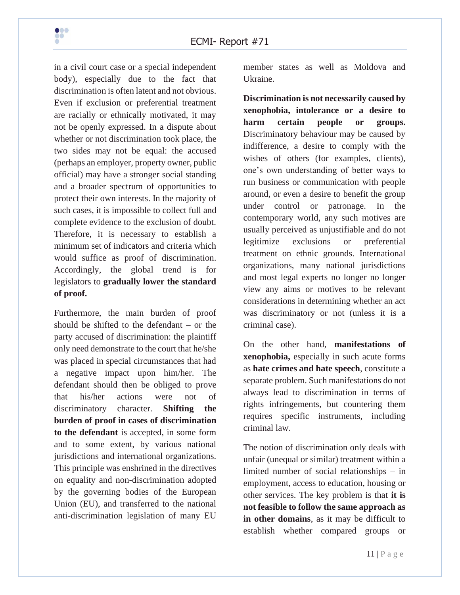

in a civil court case or a special independent body), especially due to the fact that discrimination is often latent and not obvious. Even if exclusion or preferential treatment are racially or ethnically motivated, it may not be openly expressed. In a dispute about whether or not discrimination took place, the two sides may not be equal: the accused (perhaps an employer, property owner, public official) may have a stronger social standing and a broader spectrum of opportunities to protect their own interests. In the majority of such cases, it is impossible to collect full and complete evidence to the exclusion of doubt. Therefore, it is necessary to establish a minimum set of indicators and criteria which would suffice as proof of discrimination. Accordingly, the global trend is for legislators to **gradually lower the standard of proof.** 

Furthermore, the main burden of proof should be shifted to the defendant – or the party accused of discrimination: the plaintiff only need demonstrate to the court that he/she was placed in special circumstances that had a negative impact upon him/her. The defendant should then be obliged to prove that his/her actions were not of discriminatory character. **Shifting the burden of proof in cases of discrimination to the defendant** is accepted, in some form and to some extent, by various national jurisdictions and international organizations. This principle was enshrined in the directives on equality and non-discrimination adopted by the governing bodies of the European Union (EU), and transferred to the national anti-discrimination legislation of many EU

member states as well as Moldova and Ukraine.

**Discrimination is not necessarily caused by xenophobia, intolerance or a desire to harm certain people or groups.** Discriminatory behaviour may be caused by indifference, a desire to comply with the wishes of others (for examples, clients), one's own understanding of better ways to run business or communication with people around, or even a desire to benefit the group under control or patronage. In the contemporary world, any such motives are usually perceived as unjustifiable and do not legitimize exclusions or preferential treatment on ethnic grounds. International organizations, many national jurisdictions and most legal experts no longer no longer view any aims or motives to be relevant considerations in determining whether an act was discriminatory or not (unless it is a criminal case).

On the other hand, **manifestations of xenophobia,** especially in such acute forms as **hate crimes and hate speech**, constitute a separate problem. Such manifestations do not always lead to discrimination in terms of rights infringements, but countering them requires specific instruments, including criminal law.

The notion of discrimination only deals with unfair (unequal or similar) treatment within a limited number of social relationships – in employment, access to education, housing or other services. The key problem is that **it is not feasible to follow the same approach as in other domains**, as it may be difficult to establish whether compared groups or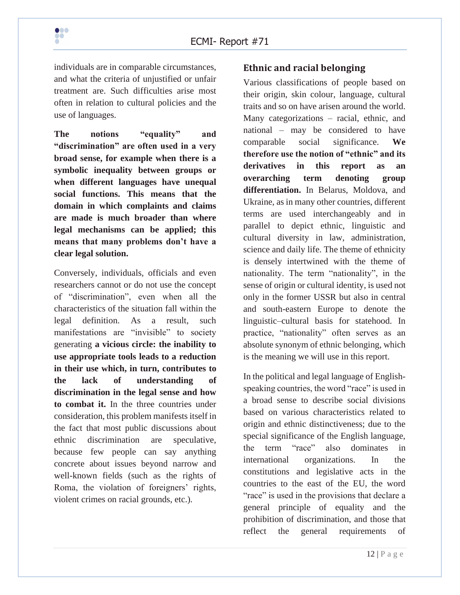individuals are in comparable circumstances, and what the criteria of unjustified or unfair treatment are. Such difficulties arise most often in relation to cultural policies and the use of languages.

**The notions "equality" and "discrimination" are often used in a very broad sense, for example when there is a symbolic inequality between groups or when different languages have unequal social functions. This means that the domain in which complaints and claims are made is much broader than where legal mechanisms can be applied; this means that many problems don't have a clear legal solution.** 

Conversely, individuals, officials and even researchers cannot or do not use the concept of "discrimination", even when all the characteristics of the situation fall within the legal definition. As a result, such manifestations are "invisible" to society generating **a vicious circle: the inability to use appropriate tools leads to a reduction in their use which, in turn, contributes to the lack of understanding of discrimination in the legal sense and how to combat it.** In the three countries under consideration, this problem manifests itself in the fact that most public discussions about ethnic discrimination are speculative, because few people can say anything concrete about issues beyond narrow and well-known fields (such as the rights of Roma, the violation of foreigners' rights, violent crimes on racial grounds, etc.).

### <span id="page-11-0"></span>**Ethnic and racial belonging**

Various classifications of people based on their origin, skin colour, language, cultural traits and so on have arisen around the world. Many categorizations – racial, ethnic, and national – may be considered to have comparable social significance. **We therefore use the notion of "ethnic" and its derivatives in this report as an overarching term denoting group differentiation.** In Belarus, Moldova, and Ukraine, as in many other countries, different terms are used interchangeably and in parallel to depict ethnic, linguistic and cultural diversity in law, administration, science and daily life. The theme of ethnicity is densely intertwined with the theme of nationality. The term "nationality", in the sense of origin or cultural identity, is used not only in the former USSR but also in central and south-eastern Europe to denote the linguistic–cultural basis for statehood. In practice, "nationality" often serves as an absolute synonym of ethnic belonging, which is the meaning we will use in this report.

In the political and legal language of Englishspeaking countries, the word "race" is used in a broad sense to describe social divisions based on various characteristics related to origin and ethnic distinctiveness; due to the special significance of the English language, the term "race" also dominates in international organizations. In the constitutions and legislative acts in the countries to the east of the EU, the word "race" is used in the provisions that declare a general principle of equality and the prohibition of discrimination, and those that reflect the general requirements of

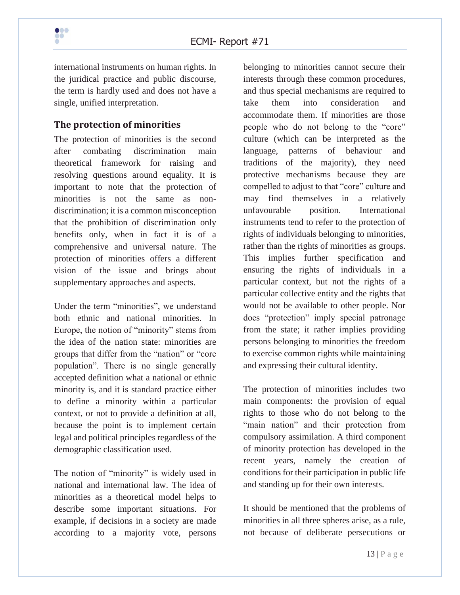

international instruments on human rights. In the juridical practice and public discourse, the term is hardly used and does not have a single, unified interpretation.

### <span id="page-12-0"></span>**The protection of minorities**

The protection of minorities is the second after combating discrimination main theoretical framework for raising and resolving questions around equality. It is important to note that the protection of minorities is not the same as nondiscrimination; it is a common misconception that the prohibition of discrimination only benefits only, when in fact it is of a comprehensive and universal nature. The protection of minorities offers a different vision of the issue and brings about supplementary approaches and aspects.

Under the term "minorities", we understand both ethnic and national minorities. In Europe, the notion of "minority" stems from the idea of the nation state: minorities are groups that differ from the "nation" or "core population". There is no single generally accepted definition what a national or ethnic minority is, and it is standard practice either to define a minority within a particular context, or not to provide a definition at all, because the point is to implement certain legal and political principles regardless of the demographic classification used.

The notion of "minority" is widely used in national and international law. The idea of minorities as a theoretical model helps to describe some important situations. For example, if decisions in a society are made according to a majority vote, persons

belonging to minorities cannot secure their interests through these common procedures, and thus special mechanisms are required to take them into consideration and accommodate them. If minorities are those people who do not belong to the "core" culture (which can be interpreted as the language, patterns of behaviour and traditions of the majority), they need protective mechanisms because they are compelled to adjust to that "core" culture and may find themselves in a relatively unfavourable position. International instruments tend to refer to the protection of rights of individuals belonging to minorities, rather than the rights of minorities as groups. This implies further specification and ensuring the rights of individuals in a particular context, but not the rights of a particular collective entity and the rights that would not be available to other people. Nor does "protection" imply special patronage from the state; it rather implies providing persons belonging to minorities the freedom to exercise common rights while maintaining and expressing their cultural identity.

The protection of minorities includes two main components: the provision of equal rights to those who do not belong to the "main nation" and their protection from compulsory assimilation. A third component of minority protection has developed in the recent years, namely the creation of conditions for their participation in public life and standing up for their own interests.

It should be mentioned that the problems of minorities in all three spheres arise, as a rule, not because of deliberate persecutions or

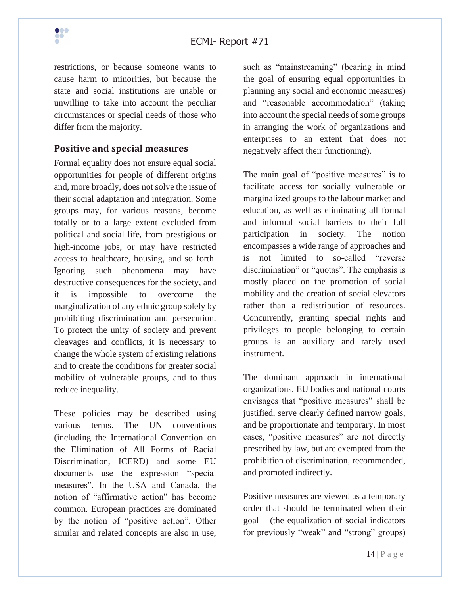

restrictions, or because someone wants to cause harm to minorities, but because the state and social institutions are unable or unwilling to take into account the peculiar circumstances or special needs of those who differ from the majority.

#### <span id="page-13-0"></span>**Positive and special measures**

Formal equality does not ensure equal social opportunities for people of different origins and, more broadly, does not solve the issue of their social adaptation and integration. Some groups may, for various reasons, become totally or to a large extent excluded from political and social life, from prestigious or high-income jobs, or may have restricted access to healthcare, housing, and so forth. Ignoring such phenomena may have destructive consequences for the society, and it is impossible to overcome the marginalization of any ethnic group solely by prohibiting discrimination and persecution. To protect the unity of society and prevent cleavages and conflicts, it is necessary to change the whole system of existing relations and to create the conditions for greater social mobility of vulnerable groups, and to thus reduce inequality.

These policies may be described using various terms. The UN conventions (including the International Convention on the Elimination of All Forms of Racial Discrimination, ICERD) and some EU documents use the expression "special measures". In the USA and Canada, the notion of "affirmative action" has become common. European practices are dominated by the notion of "positive action". Other similar and related concepts are also in use,

such as "mainstreaming" (bearing in mind the goal of ensuring equal opportunities in planning any social and economic measures) and "reasonable accommodation" (taking into account the special needs of some groups in arranging the work of organizations and enterprises to an extent that does not negatively affect their functioning).

The main goal of "positive measures" is to facilitate access for socially vulnerable or marginalized groups to the labour market and education, as well as eliminating all formal and informal social barriers to their full participation in society. The notion encompasses a wide range of approaches and is not limited to so-called "reverse discrimination" or "quotas". The emphasis is mostly placed on the promotion of social mobility and the creation of social elevators rather than a redistribution of resources. Concurrently, granting special rights and privileges to people belonging to certain groups is an auxiliary and rarely used instrument.

The dominant approach in international organizations, EU bodies and national courts envisages that "positive measures" shall be justified, serve clearly defined narrow goals, and be proportionate and temporary. In most cases, "positive measures" are not directly prescribed by law, but are exempted from the prohibition of discrimination, recommended, and promoted indirectly.

Positive measures are viewed as a temporary order that should be terminated when their goal – (the equalization of social indicators for previously "weak" and "strong" groups)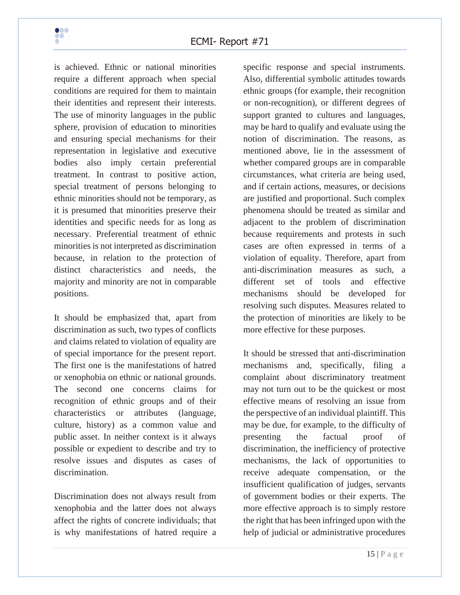

is achieved. Ethnic or national minorities require a different approach when special conditions are required for them to maintain their identities and represent their interests. The use of minority languages in the public sphere, provision of education to minorities and ensuring special mechanisms for their representation in legislative and executive bodies also imply certain preferential treatment. In contrast to positive action, special treatment of persons belonging to ethnic minorities should not be temporary, as it is presumed that minorities preserve their identities and specific needs for as long as necessary. Preferential treatment of ethnic minorities is not interpreted as discrimination because, in relation to the protection of distinct characteristics and needs, the majority and minority are not in comparable positions.

It should be emphasized that, apart from discrimination as such, two types of conflicts and claims related to violation of equality are of special importance for the present report. The first one is the manifestations of hatred or xenophobia on ethnic or national grounds. The second one concerns claims for recognition of ethnic groups and of their characteristics or attributes (language, culture, history) as a common value and public asset. In neither context is it always possible or expedient to describe and try to resolve issues and disputes as cases of discrimination.

Discrimination does not always result from xenophobia and the latter does not always affect the rights of concrete individuals; that is why manifestations of hatred require a

specific response and special instruments. Also, differential symbolic attitudes towards ethnic groups (for example, their recognition or non-recognition), or different degrees of support granted to cultures and languages, may be hard to qualify and evaluate using the notion of discrimination. The reasons, as mentioned above, lie in the assessment of whether compared groups are in comparable circumstances, what criteria are being used, and if certain actions, measures, or decisions are justified and proportional. Such complex phenomena should be treated as similar and adjacent to the problem of discrimination because requirements and protests in such cases are often expressed in terms of a violation of equality. Therefore, apart from anti-discrimination measures as such, a different set of tools and effective mechanisms should be developed for resolving such disputes. Measures related to the protection of minorities are likely to be more effective for these purposes.

It should be stressed that anti-discrimination mechanisms and, specifically, filing a complaint about discriminatory treatment may not turn out to be the quickest or most effective means of resolving an issue from the perspective of an individual plaintiff. This may be due, for example, to the difficulty of presenting the factual proof of discrimination, the inefficiency of protective mechanisms, the lack of opportunities to receive adequate compensation, or the insufficient qualification of judges, servants of government bodies or their experts. The more effective approach is to simply restore the right that has been infringed upon with the help of judicial or administrative procedures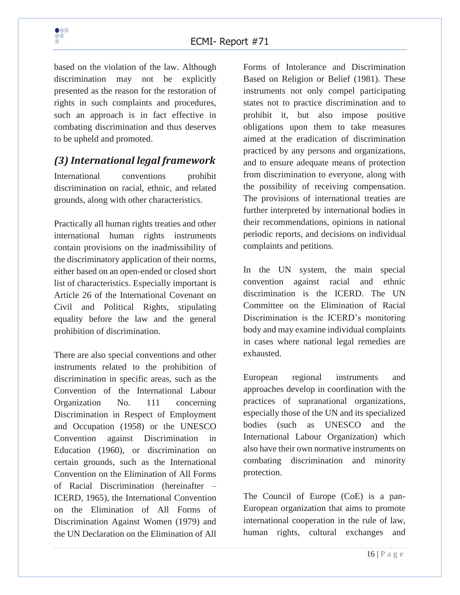

based on the violation of the law. Although discrimination may not be explicitly presented as the reason for the restoration of rights in such complaints and procedures, such an approach is in fact effective in combating discrimination and thus deserves to be upheld and promoted.

# <span id="page-15-0"></span>*(3) International legal framework*

International conventions prohibit discrimination on racial, ethnic, and related grounds, along with other characteristics.

Practically all human rights treaties and other international human rights instruments contain provisions on the inadmissibility of the discriminatory application of their norms, either based on an open-ended or closed short list of characteristics. Especially important is Article 26 of the International Covenant on Civil and Political Rights, stipulating equality before the law and the general prohibition of discrimination.

There are also special conventions and other instruments related to the prohibition of discrimination in specific areas, such as the Convention of the International Labour Organization No. 111 concerning Discrimination in Respect of Employment and Occupation (1958) or the UNESCO Convention against Discrimination in Education (1960), or discrimination on certain grounds, such as the International Convention on the Elimination of All Forms of Racial Discrimination (hereinafter – ICERD, 1965), the International Convention on the Elimination of All Forms of Discrimination Against Women (1979) and the UN Declaration on the Elimination of All

Forms of Intolerance and Discrimination Based on Religion or Belief (1981). These instruments not only compel participating states not to practice discrimination and to prohibit it, but also impose positive obligations upon them to take measures aimed at the eradication of discrimination practiced by any persons and organizations, and to ensure adequate means of protection from discrimination to everyone, along with the possibility of receiving compensation. The provisions of international treaties are further interpreted by international bodies in their recommendations, opinions in national periodic reports, and decisions on individual complaints and petitions.

In the UN system, the main special convention against racial and ethnic discrimination is the ICERD. The UN Committee on the Elimination of Racial Discrimination is the ICERD's monitoring body and may examine individual complaints in cases where national legal remedies are exhausted.

European regional instruments and approaches develop in coordination with the practices of supranational organizations, especially those of the UN and its specialized bodies (such as UNESCO and the International Labour Organization) which also have their own normative instruments on combating discrimination and minority protection.

The Council of Europe (CoE) is a pan-European organization that aims to promote international cooperation in the rule of law, human rights, cultural exchanges and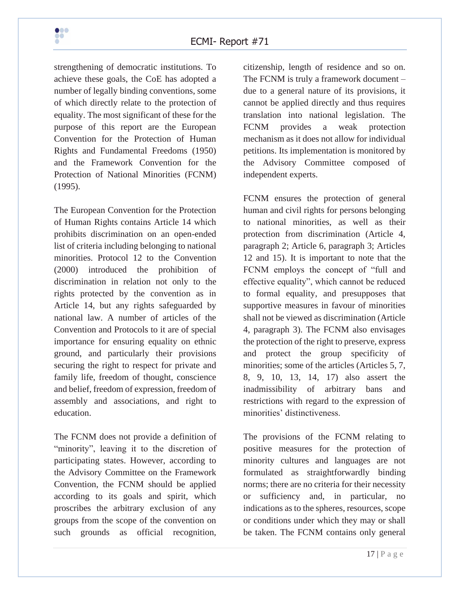strengthening of democratic institutions. To achieve these goals, the CoE has adopted a number of legally binding conventions, some of which directly relate to the protection of equality. The most significant of these for the purpose of this report are the European Convention for the Protection of Human Rights and Fundamental Freedoms (1950) and the Framework Convention for the Protection of National Minorities (FCNM) (1995).

The European Convention for the Protection of Human Rights contains Article 14 which prohibits discrimination on an open-ended list of criteria including belonging to national minorities. Protocol 12 to the Convention (2000) introduced the prohibition of discrimination in relation not only to the rights protected by the convention as in Article 14, but any rights safeguarded by national law. A number of articles of the Convention and Protocols to it are of special importance for ensuring equality on ethnic ground, and particularly their provisions securing the right to respect for private and family life, freedom of thought, conscience and belief, freedom of expression, freedom of assembly and associations, and right to education.

The FCNM does not provide a definition of "minority", leaving it to the discretion of participating states. However, according to the Advisory Committee on the Framework Convention, the FCNM should be applied according to its goals and spirit, which proscribes the arbitrary exclusion of any groups from the scope of the convention on such grounds as official recognition,

citizenship, length of residence and so on. The FCNM is truly a framework document – due to a general nature of its provisions, it cannot be applied directly and thus requires translation into national legislation. The FCNM provides a weak protection mechanism as it does not allow for individual petitions. Its implementation is monitored by the Advisory Committee composed of independent experts.

FCNM ensures the protection of general human and civil rights for persons belonging to national minorities, as well as their protection from discrimination (Article 4, paragraph 2; Article 6, paragraph 3; Articles 12 and 15). It is important to note that the FCNM employs the concept of "full and effective equality", which cannot be reduced to formal equality, and presupposes that supportive measures in favour of minorities shall not be viewed as discrimination (Article 4, paragraph 3). The FCNM also envisages the protection of the right to preserve, express and protect the group specificity of minorities; some of the articles (Articles 5, 7, 8, 9, 10, 13, 14, 17) also assert the inadmissibility of arbitrary bans and restrictions with regard to the expression of minorities' distinctiveness.

The provisions of the FCNM relating to positive measures for the protection of minority cultures and languages are not formulated as straightforwardly binding norms; there are no criteria for their necessity or sufficiency and, in particular, no indications as to the spheres, resources, scope or conditions under which they may or shall be taken. The FCNM contains only general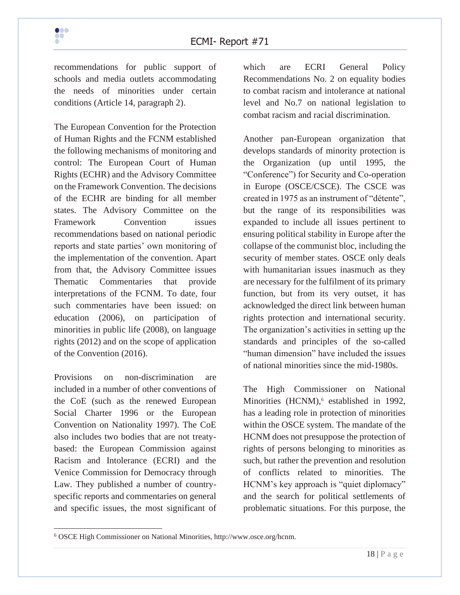recommendations for public support of schools and media outlets accommodating the needs of minorities under certain conditions (Article 14, paragraph 2).

The European Convention for the Protection of Human Rights and the FCNM established the following mechanisms of monitoring and control: The European Court of Human Rights (ECHR) and the Advisory Committee on the Framework Convention. The decisions of the ECHR are binding for all member states. The Advisory Committee on the Framework Convention issues recommendations based on national periodic reports and state parties' own monitoring of the implementation of the convention. Apart from that, the Advisory Committee issues Thematic Commentaries that provide interpretations of the FCNM. To date, four such commentaries have been issued: on education (2006), on participation of minorities in public life (2008), on language rights (2012) and on the scope of application of the Convention (2016).

Provisions on non-discrimination are included in a number of other conventions of the CoE (such as the renewed European Social Charter 1996 or the European Convention on Nationality 1997). The CoE also includes two bodies that are not treatybased: the European Commission against Racism and Intolerance (ECRI) and the Venice Commission for Democracy through Law. They published a number of countryspecific reports and commentaries on general and specific issues, the most significant of which are ECRI General Policy Recommendations No. 2 on equality bodies to combat racism and intolerance at national level and No.7 on national legislation to combat racism and racial discrimination.

Another pan-European organization that develops standards of minority protection is the Organization (up until 1995, the "Conference") for Security and Co-operation in Europe (OSCE/CSCE). The CSCE was created in 1975 as an instrument of "détente", but the range of its responsibilities was expanded to include all issues pertinent to ensuring political stability in Europe after the collapse of the communist bloc, including the security of member states. OSCE only deals with humanitarian issues inasmuch as they are necessary for the fulfilment of its primary function, but from its very outset, it has acknowledged the direct link between human rights protection and international security. The organization's activities in setting up the standards and principles of the so-called "human dimension" have included the issues of national minorities since the mid-1980s.

The High Commissioner on National Minorities (HCNM),<sup>6</sup> established in 1992, has a leading role in protection of minorities within the OSCE system. The mandate of the HCNM does not presuppose the protection of rights of persons belonging to minorities as such, but rather the prevention and resolution of conflicts related to minorities. The HCNM's key approach is "quiet diplomacy" and the search for political settlements of problematic situations. For this purpose, the



<sup>6</sup> OSCE High Commissioner on National Minorities, http://www.osce.org/hcnm.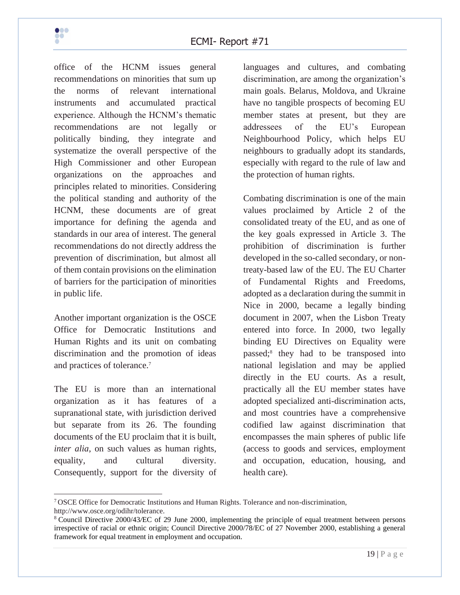

office of the HCNM issues general recommendations on minorities that sum up the norms of relevant international instruments and accumulated practical experience. Although the HCNM's thematic recommendations are not legally or politically binding, they integrate and systematize the overall perspective of the High Commissioner and other European organizations on the approaches and principles related to minorities. Considering the political standing and authority of the HCNM, these documents are of great importance for defining the agenda and standards in our area of interest. The general recommendations do not directly address the prevention of discrimination, but almost all of them contain provisions on the elimination of barriers for the participation of minorities in public life.

Another important organization is the OSCE Office for Democratic Institutions and Human Rights and its unit on combating discrimination and the promotion of ideas and practices of tolerance.<sup>7</sup>

The EU is more than an international organization as it has features of a supranational state, with jurisdiction derived but separate from its 26. The founding documents of the EU proclaim that it is built, *inter alia*, on such values as human rights, equality, and cultural diversity. Consequently, support for the diversity of languages and cultures, and combating discrimination, are among the organization's main goals. Belarus, Moldova, and Ukraine have no tangible prospects of becoming EU member states at present, but they are addressees of the EU's European Neighbourhood Policy, which helps EU neighbours to gradually adopt its standards, especially with regard to the rule of law and the protection of human rights.

Combating discrimination is one of the main values proclaimed by Article 2 of the consolidated treaty of the EU, and as one of the key goals expressed in Article 3. The prohibition of discrimination is further developed in the so-called secondary, or nontreaty-based law of the EU. The EU Charter of Fundamental Rights and Freedoms, adopted as a declaration during the summit in Nice in 2000, became a legally binding document in 2007, when the Lisbon Treaty entered into force. In 2000, two legally binding EU Directives on Equality were passed;<sup>8</sup> they had to be transposed into national legislation and may be applied directly in the EU courts. As a result, practically all the EU member states have adopted specialized anti-discrimination acts, and most countries have a comprehensive codified law against discrimination that encompasses the main spheres of public life (access to goods and services, employment and occupation, education, housing, and health care).

<sup>7</sup> OSCE Office for Democratic Institutions and Human Rights. Tolerance and non-discrimination, http://www.osce.org/odihr/tolerance.

<sup>8</sup> Council Directive 2000/43*/*EC of 29 June 2000, implementing the principle of equal treatment between persons irrespective of racial or ethnic origin; Council Directive 2000/78/EC of 27 November 2000, establishing a general framework for equal treatment in employment and occupation.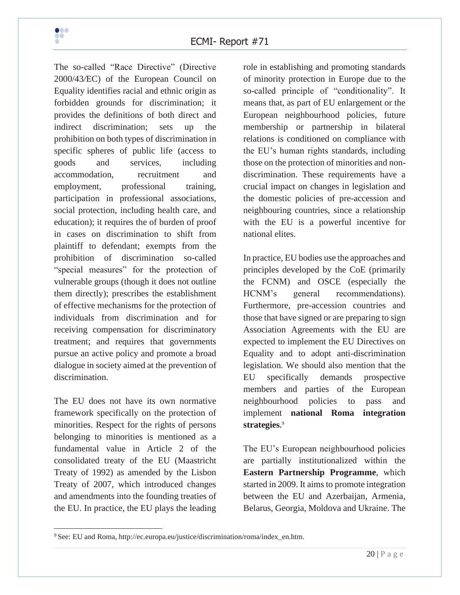

The so-called "Race Directive" (Directive 2000/43*/*EC) of the European Council on Equality identifies racial and ethnic origin as forbidden grounds for discrimination; it provides the definitions of both direct and indirect discrimination; sets up the prohibition on both types of discrimination in specific spheres of public life (access to goods and services, including accommodation, recruitment and employment, professional training, participation in professional associations, social protection, including health care, and education); it requires the of burden of proof in cases on discrimination to shift from plaintiff to defendant; exempts from the prohibition of discrimination so-called "special measures" for the protection of vulnerable groups (though it does not outline them directly); prescribes the establishment of effective mechanisms for the protection of individuals from discrimination and for receiving compensation for discriminatory treatment; and requires that governments pursue an active policy and promote a broad dialogue in society aimed at the prevention of discrimination.

The EU does not have its own normative framework specifically on the protection of minorities. Respect for the rights of persons belonging to minorities is mentioned as a fundamental value in Article 2 of the consolidated treaty of the EU (Maastricht Treaty of 1992) as amended by the Lisbon Treaty of 2007, which introduced changes and amendments into the founding treaties of the EU. In practice, the EU plays the leading

role in establishing and promoting standards of minority protection in Europe due to the so-called principle of "conditionality". It means that, as part of EU enlargement or the European neighbourhood policies, future membership or partnership in bilateral relations is conditioned on compliance with the EU's human rights standards, including those on the protection of minorities and nondiscrimination. These requirements have a crucial impact on changes in legislation and the domestic policies of pre-accession and neighbouring countries, since a relationship with the EU is a powerful incentive for national elites.

In practice, EU bodies use the approaches and principles developed by the CoE (primarily the FCNM) and OSCE (especially the HCNM's general recommendations). Furthermore, pre-accession countries and those that have signed or are preparing to sign Association Agreements with the EU are expected to implement the EU Directives on Equality and to adopt anti-discrimination legislation. We should also mention that the EU specifically demands prospective members and parties of the European neighbourhood policies to pass and implement **national Roma integration strategies.** 9

The EU's European neighbourhood policies are partially institutionalized within the **Eastern Partnership Programme**, which started in 2009. It aims to promote integration between the EU and Azerbaijan, Armenia, Belarus, Georgia, Moldova and Ukraine. The

<sup>9</sup> See: EU and Roma, http://ec.europa.eu/justice/discrimination/roma/index\_en.htm.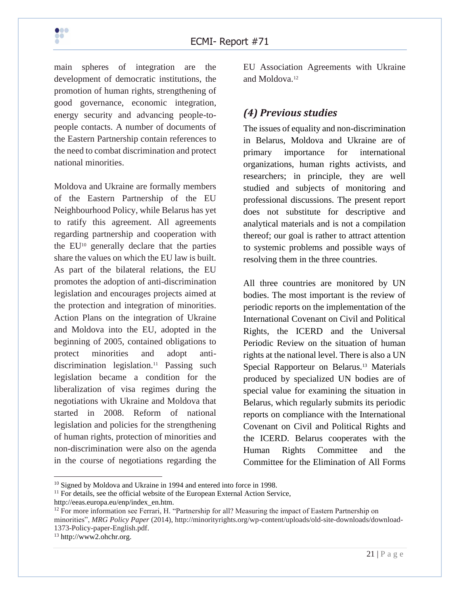main spheres of integration are the development of democratic institutions, the promotion of human rights, strengthening of good governance, economic integration, energy security and advancing people-topeople contacts. A number of documents of the Eastern Partnership contain references to the need to combat discrimination and protect national minorities.

Moldova and Ukraine are formally members of the Eastern Partnership of the EU Neighbourhood Policy, while Belarus has yet to ratify this agreement. All agreements regarding partnership and cooperation with the EU<sup>10</sup> generally declare that the parties share the values on which the EU law is built. As part of the bilateral relations, the EU promotes the adoption of anti-discrimination legislation and encourages projects aimed at the protection and integration of minorities. Action Plans on the integration of Ukraine and Moldova into the EU, adopted in the beginning of 2005, contained obligations to protect minorities and adopt antidiscrimination legislation.<sup>11</sup> Passing such legislation became a condition for the liberalization of visa regimes during the negotiations with Ukraine and Moldova that started in 2008. Reform of national legislation and policies for the strengthening of human rights, protection of minorities and non-discrimination were also on the agenda in the course of negotiations regarding the

EU Association Agreements with Ukraine and Moldova.<sup>12</sup>

# <span id="page-20-0"></span>*(4) Previous studies*

The issues of equality and non-discrimination in Belarus, Moldova and Ukraine are of primary importance for international organizations, human rights activists, and researchers; in principle, they are well studied and subjects of monitoring and professional discussions. The present report does not substitute for descriptive and analytical materials and is not a compilation thereof; our goal is rather to attract attention to systemic problems and possible ways of resolving them in the three countries.

All three countries are monitored by UN bodies. The most important is the review of periodic reports on the implementation of the International Covenant on Civil and Political Rights, the ICERD and the Universal Periodic Review on the situation of human rights at the national level. There is also a UN Special Rapporteur on Belarus.<sup>13</sup> Materials produced by specialized UN bodies are of special value for examining the situation in Belarus, which regularly submits its periodic reports on compliance with the International Covenant on Civil and Political Rights and the ICERD. Belarus cooperates with the Human Rights Committee and the Committee for the Elimination of All Forms

http://eeas.europa.eu/enp/index\_en.htm.



<sup>&</sup>lt;sup>10</sup> Signed by Moldova and Ukraine in 1994 and entered into force in 1998.

 $11$  For details, see the official website of the European External Action Service,

 $12$  For more information see Ferrari, H. "Partnership for all? Measuring the impact of Eastern Partnership on minorities", *MRG Policy Paper* (2014), http://minorityrights.org/wp-content/uploads/old-site-downloads/download-1373-Policy-paper-English.pdf.

<sup>13</sup> http://www2.ohchr.org.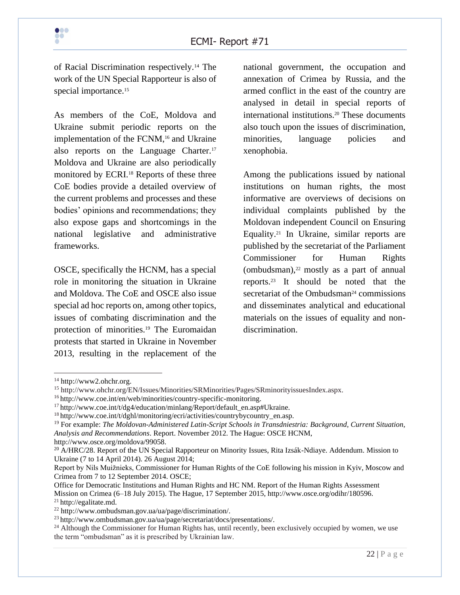of Racial Discrimination respectively.<sup>14</sup> The work of the UN Special Rapporteur is also of special importance.<sup>15</sup>

As members of the CoE, Moldova and Ukraine submit periodic reports on the implementation of the FCNM, <sup>16</sup> and Ukraine also reports on the Language Charter.<sup>17</sup> Moldova and Ukraine are also periodically monitored by ECRI.<sup>18</sup> Reports of these three CoE bodies provide a detailed overview of the current problems and processes and these bodies' opinions and recommendations; they also expose gaps and shortcomings in the national legislative and administrative frameworks.

OSCE, specifically the HCNM, has a special role in monitoring the situation in Ukraine and Moldova. The CoE and OSCE also issue special ad hoc reports on, among other topics, issues of combating discrimination and the protection of minorities.<sup>19</sup> The Euromaidan protests that started in Ukraine in November 2013, resulting in the replacement of the

national government, the occupation and annexation of Crimea by Russia, and the armed conflict in the east of the country are analysed in detail in special reports of international institutions.<sup>20</sup> These documents also touch upon the issues of discrimination, minorities, language policies and xenophobia.

Among the publications issued by national institutions on human rights, the most informative are overviews of decisions on individual complaints published by the Moldovan independent Council on Ensuring Equality.<sup>21</sup> In Ukraine, similar reports are published by the secretariat of the Parliament Commissioner for Human Rights (ombudsman), $22$  mostly as a part of annual reports.<sup>23</sup> It should be noted that the secretariat of the Ombudsman<sup>24</sup> commissions and disseminates analytical and educational materials on the issues of equality and nondiscrimination.

<sup>14</sup> http://www2.ohchr.org.

<sup>15</sup> http://www.ohchr.org/EN/Issues/Minorities/SRMinorities/Pages/SRminorityissuesIndex.aspx.

<sup>16</sup> http://www.coe.int/en/web/minorities/country-specific-monitoring.

 $17$  http://www.coe.int/t/dg4/education/minlang/Report/default\_en.asp#Ukraine.

<sup>&</sup>lt;sup>18</sup> http://www.coe.int/t/dghl/monitoring/ecri/activities/countrybycountry\_en.asp.

<sup>19</sup> For example: *The Moldovan-Administered Latin-Script Schools in Transdniestria: Background, Current Situation, Analysis and Recommendations*. Report. November 2012. The Hague: OSCE HCNM, http://www.osce.org/moldova/99058.

<sup>&</sup>lt;sup>20</sup> A/HRC/28. Report of the UN Special Rapporteur on Minority Issues, Rita Izsák-Ndiaye. Addendum. Mission to Ukraine (7 to 14 April 2014). 26 August 2014;

Report by Nils Muižnieks, Commissioner for Human Rights of the CoE following his mission in Kyiv, Moscow and Crimea from 7 to 12 September 2014. OSCE;

Office for Democratic Institutions and Human Rights and HC NM. Report of the Human Rights Assessment Mission on Crimea (6–18 July 2015). The Hague, 17 September 2015, http://www.osce.org/odihr/180596. <sup>21</sup> http://egalitate.md.

<sup>22</sup> http://www.ombudsman.gov.ua/ua/page/discrimination/.

<sup>23</sup> http://www.ombudsman.gov.ua/ua/page/secretariat/docs/presentations/.

<sup>&</sup>lt;sup>24</sup> Although the Commissioner for Human Rights has, until recently, been exclusively occupied by women, we use the term "ombudsman" as it is prescribed by Ukrainian law.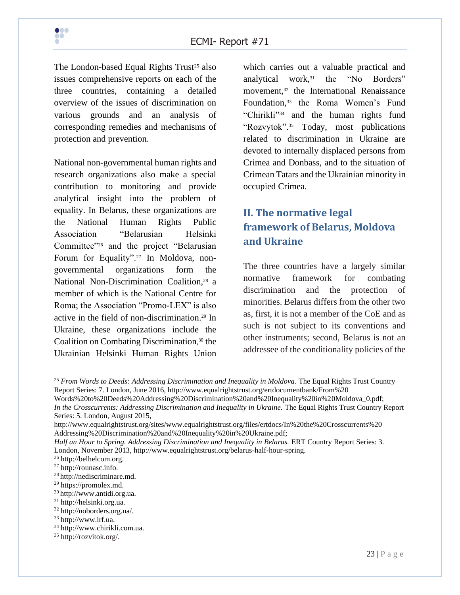The London-based Equal Rights  $Trust^{25}$  also issues comprehensive reports on each of the three countries, containing a detailed overview of the issues of discrimination on various grounds and an analysis of corresponding remedies and mechanisms of protection and prevention.

National non-governmental human rights and research organizations also make a special contribution to monitoring and provide analytical insight into the problem of equality. In Belarus, these organizations are the National Human Rights Public Association "Belarusian Helsinki Committee"<sup>26</sup> and the project "Belarusian Forum for Equality".<sup>27</sup> In Moldova, nongovernmental organizations form the National Non-Discrimination Coalition,<sup>28</sup> a member of which is the National Centre for Roma; the Association "Promo-LEX" is also active in the field of non-discrimination.<sup>29</sup> In Ukraine, these organizations include the Coalition on Combating Discrimination, <sup>30</sup> the Ukrainian Helsinki Human Rights Union which carries out a valuable practical and analytical work,<sup>31</sup> the "No Borders" movement,<sup>32</sup> the International Renaissance Foundation,<sup>33</sup> the Roma Women's Fund "Chirikli"<sup>34</sup> and the human rights fund "Rozvytok".<sup>35</sup> Today, most publications related to discrimination in Ukraine are devoted to internally displaced persons from Crimea and Donbass, and to the situation of Crimean Tatars and the Ukrainian minority in occupied Crimea.

# <span id="page-22-0"></span>**II. The normative legal framework of Belarus, Moldova and Ukraine**

The three countries have a largely similar normative framework for combating discrimination and the protection of minorities. Belarus differs from the other two as, first, it is not a member of the CoE and as such is not subject to its conventions and other instruments; second, Belarus is not an addressee of the conditionality policies of the

<sup>25</sup> *From Words to Deeds: Addressing Discrimination and Inequality in Moldova*. The Equal Rights Trust Country Report Series: 7. London, June 2016, http://www.equalrightstrust.org/ertdocumentbank/From%20 Words%20to%20Deeds%20Addressing%20Discrimination%20and%20Inequality%20in%20Moldova\_0.pdf;

*In the Crosscurrents: Addressing Discrimination and Inequality in Ukraine. The Equal Rights Trust Country Report* Series: 5. London, August 2015,

http://www.equalrightstrust.org/sites/www.equalrightstrust.org/files/ertdocs/In%20the%20Crosscurrents%20 Addressing%20Discrimination%20and%20Inequality%20in%20Ukraine.pdf;

*Half an Hour to Spring. Addressing Discrimination and Inequality in Belarus.* ERT Country Report Series: 3. London, November 2013, http://www.equalrightstrust.org/belarus-half-hour-spring.

<sup>26</sup> http://belhelcom.org.

<sup>27</sup> http://rounasc.info.

<sup>28</sup> http://nediscriminare.md.

<sup>29</sup> https://promolex.md.

<sup>30</sup> http://www.antidi.org.ua.

<sup>31</sup> http://helsinki.org.ua.

<sup>32</sup> http://noborders.org.ua/.

<sup>33</sup> http://www.irf.ua.

<sup>34</sup> http://www.chirikli.com.ua.

<sup>35</sup> http://rozvitok.org/.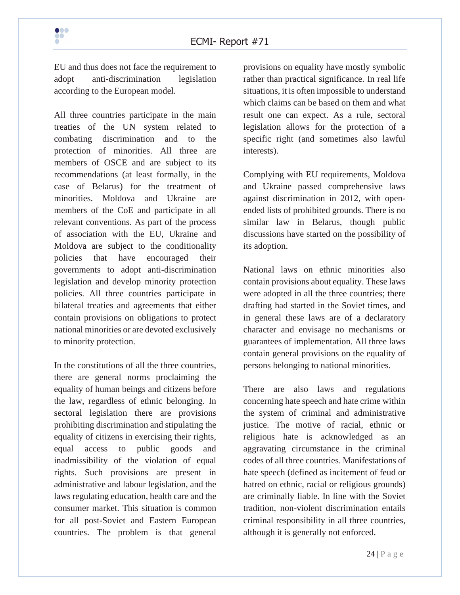EU and thus does not face the requirement to adopt anti-discrimination legislation according to the European model.

All three countries participate in the main treaties of the UN system related to combating discrimination and to the protection of minorities. All three are members of OSCE and are subject to its recommendations (at least formally, in the case of Belarus) for the treatment of minorities. Moldova and Ukraine are members of the CoE and participate in all relevant conventions. As part of the process of association with the EU, Ukraine and Moldova are subject to the conditionality policies that have encouraged their governments to adopt anti-discrimination legislation and develop minority protection policies. All three countries participate in bilateral treaties and agreements that either contain provisions on obligations to protect national minorities or are devoted exclusively to minority protection.

In the constitutions of all the three countries, there are general norms proclaiming the equality of human beings and citizens before the law, regardless of ethnic belonging. In sectoral legislation there are provisions prohibiting discrimination and stipulating the equality of citizens in exercising their rights, equal access to public goods and inadmissibility of the violation of equal rights. Such provisions are present in administrative and labour legislation, and the laws regulating education, health care and the consumer market. This situation is common for all post-Soviet and Eastern European countries. The problem is that general provisions on equality have mostly symbolic rather than practical significance. In real life situations, it is often impossible to understand which claims can be based on them and what result one can expect. As a rule, sectoral legislation allows for the protection of a specific right (and sometimes also lawful interests).

Complying with EU requirements, Moldova and Ukraine passed comprehensive laws against discrimination in 2012, with openended lists of prohibited grounds. There is no similar law in Belarus, though public discussions have started on the possibility of its adoption.

National laws on ethnic minorities also contain provisions about equality. These laws were adopted in all the three countries; there drafting had started in the Soviet times, and in general these laws are of a declaratory character and envisage no mechanisms or guarantees of implementation. All three laws contain general provisions on the equality of persons belonging to national minorities.

There are also laws and regulations concerning hate speech and hate crime within the system of criminal and administrative justice. The motive of racial, ethnic or religious hate is acknowledged as an aggravating circumstance in the criminal codes of all three countries. Manifestations of hate speech (defined as incitement of feud or hatred on ethnic, racial or religious grounds) are criminally liable. In line with the Soviet tradition, non-violent discrimination entails criminal responsibility in all three countries, although it is generally not enforced.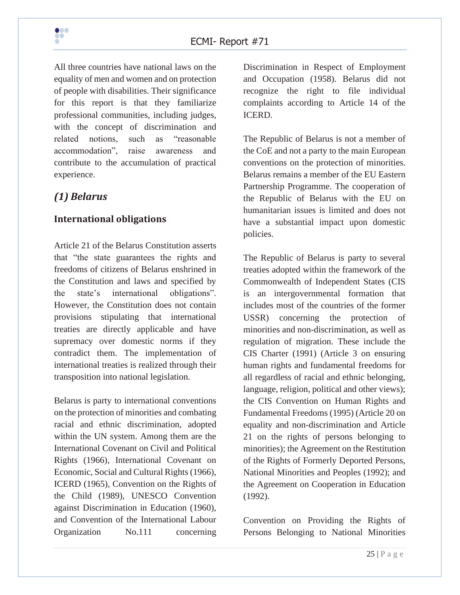All three countries have national laws on the equality of men and women and on protection of people with disabilities. Their significance for this report is that they familiarize professional communities, including judges, with the concept of discrimination and related notions, such as "reasonable accommodation", raise awareness and contribute to the accumulation of practical experience.

## <span id="page-24-0"></span>*(1) Belarus*

#### <span id="page-24-1"></span>**International obligations**

Article 21 of the Belarus Constitution asserts that "the state guarantees the rights and freedoms of citizens of Belarus enshrined in the Constitution and laws and specified by the state's international obligations". However, the Constitution does not contain provisions stipulating that international treaties are directly applicable and have supremacy over domestic norms if they contradict them. The implementation of international treaties is realized through their transposition into national legislation.

Belarus is party to international conventions on the protection of minorities and combating racial and ethnic discrimination, adopted within the UN system. Among them are the International Covenant on Civil and Political Rights (1966), International Covenant on Economic, Social and Cultural Rights (1966), ICERD (1965), Convention on the Rights of the Child (1989), UNESCO Convention against Discrimination in Education (1960), and Convention of the International Labour Organization No.111 concerning

Discrimination in Respect of Employment and Occupation (1958). Belarus did not recognize the right to file individual complaints according to Article 14 of the ICERD.

The Republic of Belarus is not a member of the CoE and not a party to the main European conventions on the protection of minorities. Belarus remains a member of the EU Eastern Partnership Programme. The cooperation of the Republic of Belarus with the EU on humanitarian issues is limited and does not have a substantial impact upon domestic policies.

The Republic of Belarus is party to several treaties adopted within the framework of the Commonwealth of Independent States (CIS is an intergovernmental formation that includes most of the countries of the former USSR) concerning the protection of minorities and non-discrimination, as well as regulation of migration. These include the CIS Charter (1991) (Article 3 on ensuring human rights and fundamental freedoms for all regardless of racial and ethnic belonging, language, religion, political and other views); the CIS Convention on Human Rights and Fundamental Freedoms (1995) (Article 20 on equality and non-discrimination and Article 21 on the rights of persons belonging to minorities); the Agreement on the Restitution of the Rights of Formerly Deported Persons, National Minorities and Peoples (1992); and the Agreement on Cooperation in Education (1992).

Convention on Providing the Rights of Persons Belonging to National Minorities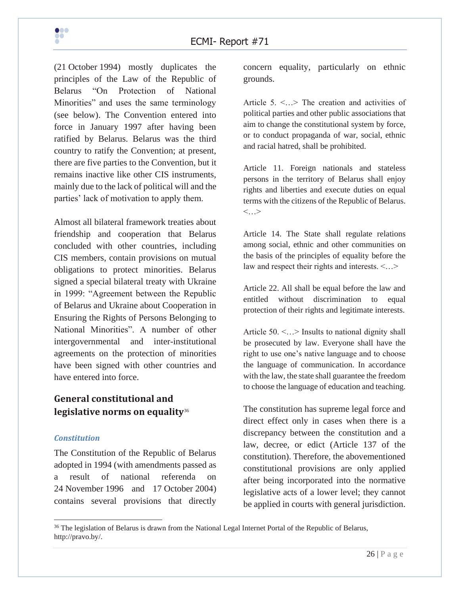(21 October 1994) mostly duplicates the principles of the Law of the Republic of Belarus "On Protection of National Minorities" and uses the same terminology (see below). The Convention entered into force in January 1997 after having been ratified by Belarus. Belarus was the third country to ratify the Convention; at present, there are five parties to the Convention, but it remains inactive like other CIS instruments, mainly due to the lack of political will and the parties' lack of motivation to apply them.

Almost all bilateral framework treaties about friendship and cooperation that Belarus concluded with other countries, including CIS members, contain provisions on mutual obligations to protect minorities. Belarus signed a special bilateral treaty with Ukraine in 1999: "Agreement between the Republic of Belarus and Ukraine about Cooperation in Ensuring the Rights of Persons Belonging to National Minorities". A number of other intergovernmental and inter-institutional agreements on the protection of minorities have been signed with other countries and have entered into force.

# <span id="page-25-0"></span>**General constitutional and legislative norms on equality**<sup>36</sup>

#### *Constitution*

The Constitution of the Republic of Belarus adopted in 1994 (with amendments passed as a result of national referenda on 24 November 1996 and 17 October 2004) contains several provisions that directly

concern equality, particularly on ethnic grounds.

Article 5. <…> The creation and activities of political parties and other public associations that aim to change the constitutional system by force, or to conduct propaganda of war, social, ethnic and racial hatred, shall be prohibited.

Article 11. Foreign nationals and stateless persons in the territory of Belarus shall enjoy rights and liberties and execute duties on equal terms with the citizens of the Republic of Belarus. <…>

Article 14. The State shall regulate relations among social, ethnic and other communities on the basis of the principles of equality before the law and respect their rights and interests. <…>

Article 22. All shall be equal before the law and entitled without discrimination to equal protection of their rights and legitimate interests.

Article 50. <…> Insults to national dignity shall be prosecuted by law. Everyone shall have the right to use one's native language and to choose the language of communication. In accordance with the law, the state shall guarantee the freedom to choose the language of education and teaching.

The constitution has supreme legal force and direct effect only in cases when there is a discrepancy between the constitution and a law, decree, or edict (Article 137 of the constitution). Therefore, the abovementioned constitutional provisions are only applied after being incorporated into the normative legislative acts of a lower level; they cannot be applied in courts with general jurisdiction.

<sup>&</sup>lt;sup>36</sup> The legislation of Belarus is drawn from the National Legal Internet Portal of the Republic of Belarus, http://pravo.by/.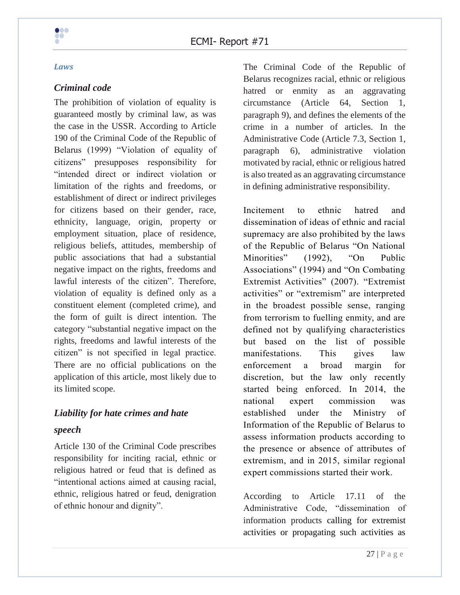

#### *Laws*

#### *Criminal code*

The prohibition of violation of equality is guaranteed mostly by criminal law, as was the case in the USSR. According to Article 190 of the Criminal Code of the Republic of Belarus (1999) "Violation of equality of citizens" presupposes responsibility for "intended direct or indirect violation or limitation of the rights and freedoms, or establishment of direct or indirect privileges for citizens based on their gender, race, ethnicity, language, origin, property or employment situation, place of residence, religious beliefs, attitudes, membership of public associations that had a substantial negative impact on the rights, freedoms and lawful interests of the citizen". Therefore, violation of equality is defined only as a constituent element (completed crime), and the form of guilt is direct intention. The category "substantial negative impact on the rights, freedoms and lawful interests of the citizen" is not specified in legal practice. There are no official publications on the application of this article, most likely due to its limited scope.

# *Liability for hate crimes and hate speech*

Article 130 of the Criminal Code prescribes responsibility for inciting racial, ethnic or religious hatred or feud that is defined as "intentional actions aimed at causing racial, ethnic, religious hatred or feud, denigration of ethnic honour and dignity".

The Criminal Code of the Republic of Belarus recognizes racial, ethnic or religious hatred or enmity as an aggravating circumstance (Article 64, Section 1, paragraph 9), and defines the elements of the crime in a number of articles. In the Administrative Code (Article 7.3, Section 1, paragraph 6), administrative violation motivated by racial, ethnic or religious hatred is also treated as an aggravating circumstance in defining administrative responsibility.

Incitement to ethnic hatred and dissemination of ideas of ethnic and racial supremacy are also prohibited by the laws of the Republic of Belarus "On National Minorities" (1992), "On Public Associations" (1994) and "On Combating Extremist Activities" (2007). "Extremist activities" or "extremism" are interpreted in the broadest possible sense, ranging from terrorism to fuelling enmity, and are defined not by qualifying characteristics but based on the list of possible manifestations. This gives law enforcement a broad margin for discretion, but the law only recently started being enforced. In 2014, the national expert commission was established under the Ministry of Information of the Republic of Belarus to assess information products according to the presence or absence of attributes of extremism, and in 2015, similar regional expert commissions started their work.

According to Article 17.11 of the Administrative Code, "dissemination of information products calling for extremist activities or propagating such activities as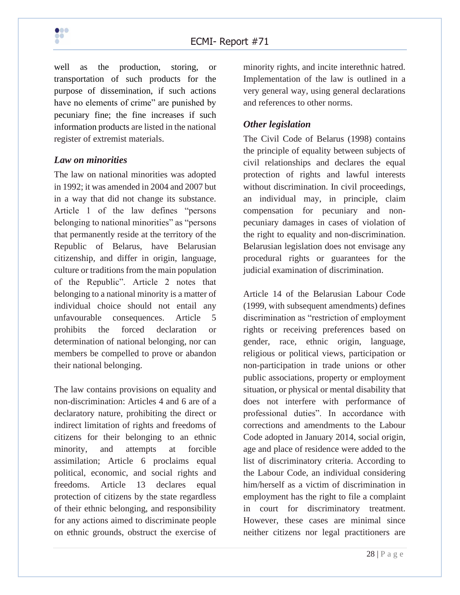

well as the production, storing, or transportation of such products for the purpose of dissemination, if such actions have no elements of crime" are punished by pecuniary fine; the fine increases if such information products are listed in the national register of extremist materials.

#### *Law on minorities*

The law on national minorities was adopted in 1992; it was amended in 2004 and 2007 but in a way that did not change its substance. Article 1 of the law defines "persons belonging to national minorities" as "persons" that permanently reside at the territory of the Republic of Belarus, have Belarusian citizenship, and differ in origin, language, culture or traditions from the main population of the Republic". Article 2 notes that belonging to a national minority is a matter of individual choice should not entail any unfavourable consequences. Article 5 prohibits the forced declaration or determination of national belonging, nor can members be compelled to prove or abandon their national belonging.

The law contains provisions on equality and non-discrimination: Articles 4 and 6 are of a declaratory nature, prohibiting the direct or indirect limitation of rights and freedoms of citizens for their belonging to an ethnic minority, and attempts at forcible assimilation; Article 6 proclaims equal political, economic, and social rights and freedoms. Article 13 declares equal protection of citizens by the state regardless of their ethnic belonging, and responsibility for any actions aimed to discriminate people on ethnic grounds, obstruct the exercise of minority rights, and incite interethnic hatred. Implementation of the law is outlined in a very general way, using general declarations and references to other norms.

### *Other legislation*

The Civil Code of Belarus (1998) contains the principle of equality between subjects of civil relationships and declares the equal protection of rights and lawful interests without discrimination. In civil proceedings, an individual may, in principle, claim compensation for pecuniary and nonpecuniary damages in cases of violation of the right to equality and non-discrimination. Belarusian legislation does not envisage any procedural rights or guarantees for the judicial examination of discrimination.

Article 14 of the Belarusian Labour Code (1999, with subsequent amendments) defines discrimination as "restriction of employment rights or receiving preferences based on gender, race, ethnic origin, language, religious or political views, participation or non-participation in trade unions or other public associations, property or employment situation, or physical or mental disability that does not interfere with performance of professional duties". In accordance with corrections and amendments to the Labour Code adopted in January 2014, social origin, age and place of residence were added to the list of discriminatory criteria. According to the Labour Code, an individual considering him/herself as a victim of discrimination in employment has the right to file a complaint in court for discriminatory treatment. However, these cases are minimal since neither citizens nor legal practitioners are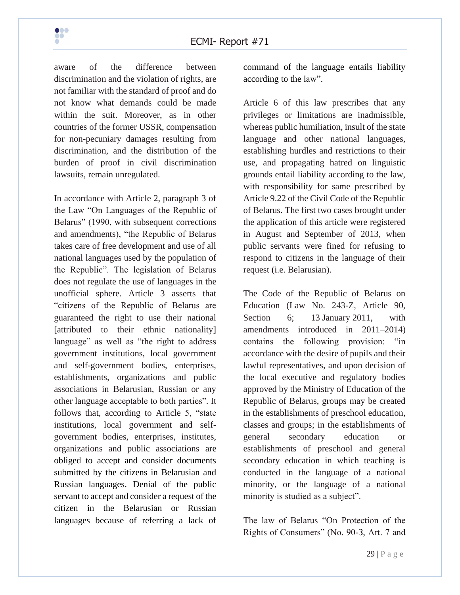aware of the difference between discrimination and the violation of rights, are not familiar with the standard of proof and do not know what demands could be made within the suit. Moreover, as in other countries of the former USSR, compensation for non-pecuniary damages resulting from discrimination, and the distribution of the burden of proof in civil discrimination lawsuits, remain unregulated.

In accordance with Article 2, paragraph 3 of the Law "On Languages of the Republic of Belarus" (1990, with subsequent corrections and amendments), "the Republic of Belarus takes care of free development and use of all national languages used by the population of the Republic". The legislation of Belarus does not regulate the use of languages in the unofficial sphere. Article 3 asserts that "citizens of the Republic of Belarus are guaranteed the right to use their national [attributed to their ethnic nationality] language" as well as "the right to address government institutions, local government and self-government bodies, enterprises, establishments, organizations and public associations in Belarusian, Russian or any other language acceptable to both parties". It follows that, according to Article 5, "state institutions, local government and selfgovernment bodies, enterprises, institutes, organizations and public associations are obliged to accept and consider documents submitted by the citizens in Belarusian and Russian languages. Denial of the public servant to accept and consider a request of the citizen in the Belarusian or Russian languages because of referring a lack of command of the language entails liability according to the law".

Article 6 of this law prescribes that any privileges or limitations are inadmissible, whereas public humiliation, insult of the state language and other national languages, establishing hurdles and restrictions to their use, and propagating hatred on linguistic grounds entail liability according to the law, with responsibility for same prescribed by Article 9.22 of the Civil Code of the Republic of Belarus. The first two cases brought under the application of this article were registered in August and September of 2013, when public servants were fined for refusing to respond to citizens in the language of their request (i.e. Belarusian).

The Code of the Republic of Belarus on Education (Law No. 243-Z, Article 90, Section 6; 13 January 2011, with amendments introduced in 2011–2014) contains the following provision: "in accordance with the desire of pupils and their lawful representatives, and upon decision of the local executive and regulatory bodies approved by the Ministry of Education of the Republic of Belarus, groups may be created in the establishments of preschool education, classes and groups; in the establishments of general secondary education or establishments of preschool and general secondary education in which teaching is conducted in the language of a national minority, or the language of a national minority is studied as a subject".

The law of Belarus "On Protection of the Rights of Consumers" (No. 90-З, Art. 7 and

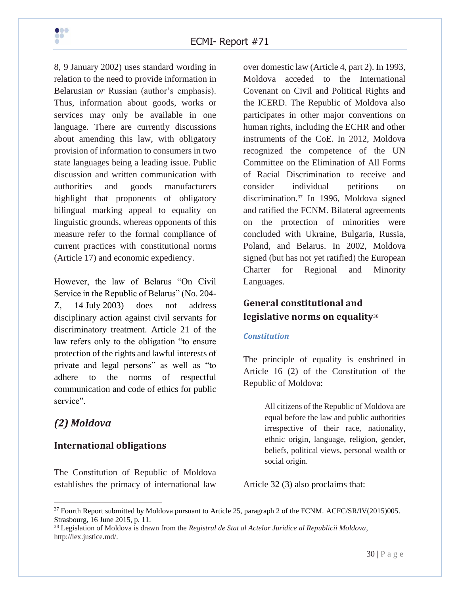8, 9 January 2002) uses standard wording in relation to the need to provide information in Belarusian *or* Russian (author's emphasis). Thus, information about goods, works or services may only be available in one language. There are currently discussions about amending this law, with obligatory provision of information to consumers in two state languages being a leading issue. Public discussion and written communication with authorities and goods manufacturers highlight that proponents of obligatory bilingual marking appeal to equality on linguistic grounds, whereas opponents of this measure refer to the formal compliance of current practices with constitutional norms (Article 17) and economic expediency.

However, the law of Belarus "On Civil Service in the Republic of Belarus" (No. 204- Z, 14 July 2003) does not address disciplinary action against civil servants for discriminatory treatment. Article 21 of the law refers only to the obligation "to ensure protection of the rights and lawful interests of private and legal persons" as well as "to adhere to the norms of respectful communication and code of ethics for public service".

# <span id="page-29-0"></span>*(2) Moldova*

### <span id="page-29-1"></span>**International obligations**

The Constitution of Republic of Moldova establishes the primacy of international law over domestic law (Article 4, part 2). In 1993, Moldova acceded to the International Covenant on Civil and Political Rights and the ICERD. The Republic of Moldova also participates in other major conventions on human rights, including the ECHR and other instruments of the CoE. In 2012, Moldova recognized the competence of the UN Committee on the Elimination of All Forms of Racial Discrimination to receive and consider individual petitions on discrimination.<sup>37</sup> In 1996, Moldova signed and ratified the FCNM. Bilateral agreements on the protection of minorities were concluded with Ukraine, Bulgaria, Russia, Poland, and Belarus. In 2002, Moldova signed (but has not yet ratified) the European Charter for Regional and Minority Languages.

# <span id="page-29-2"></span>**General constitutional and legislative norms on equality**<sup>38</sup>

#### *Constitution*

The principle of equality is enshrined in Article 16 (2) of the Constitution of the Republic of Moldova:

> All citizens of the Republic of Moldova are equal before the law and public authorities irrespective of their race, nationality, ethnic origin, language, religion, gender, beliefs, political views, personal wealth or social origin.

Article 32 (3) also proclaims that:

<sup>&</sup>lt;sup>37</sup> Fourth Report submitted by Moldova pursuant to Article 25, paragraph 2 of the FCNM. ACFC/SR/IV(2015)005. Strasbourg, 16 June 2015, p. 11.

<sup>38</sup> Legislation of Moldova is drawn from the *Registrul de Stat al Actelor Juridice al Republicii Moldova*, http://lex.justice.md/.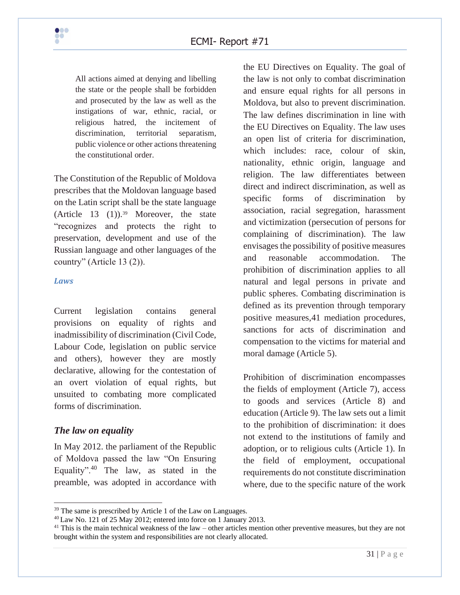

All actions aimed at denying and libelling the state or the people shall be forbidden and prosecuted by the law as well as the instigations of war, ethnic, racial, or religious hatred, the incitement of discrimination, territorial separatism, public violence or other actions threatening the constitutional order.

The Constitution of the Republic of Moldova prescribes that the Moldovan language based on the Latin script shall be the state language (Article 13  $(1)$ ).<sup>39</sup> Moreover, the state "recognizes and protects the right to preservation, development and use of the Russian language and other languages of the country" (Article 13 (2)).

#### *Laws*

Current legislation contains general provisions on equality of rights and inadmissibility of discrimination (Civil Code, Labour Code, legislation on public service and others), however they are mostly declarative, allowing for the contestation of an overt violation of equal rights, but unsuited to combating more complicated forms of discrimination.

#### *The law on equality*

In May 2012. the parliament of the Republic of Moldova passed the law "On Ensuring Equality". $40$  The law, as stated in the preamble, was adopted in accordance with the EU Directives on Equality. The goal of the law is not only to combat discrimination and ensure equal rights for all persons in Moldova, but also to prevent discrimination. The law defines discrimination in line with the EU Directives on Equality. The law uses an open list of criteria for discrimination, which includes: race, colour of skin, nationality, ethnic origin, language and religion. The law differentiates between direct and indirect discrimination, as well as specific forms of discrimination by association, racial segregation, harassment and victimization (persecution of persons for complaining of discrimination). The law envisages the possibility of positive measures and reasonable accommodation. The prohibition of discrimination applies to all natural and legal persons in private and public spheres. Combating discrimination is defined as its prevention through temporary positive measures,41 mediation procedures, sanctions for acts of discrimination and compensation to the victims for material and moral damage (Article 5).

Prohibition of discrimination encompasses the fields of employment (Article 7), access to goods and services (Article 8) and education (Article 9). The law sets out a limit to the prohibition of discrimination: it does not extend to the institutions of family and adoption, or to religious cults (Article 1). In the field of employment, occupational requirements do not constitute discrimination where, due to the specific nature of the work

<sup>&</sup>lt;sup>39</sup> The same is prescribed by Article 1 of the Law on Languages.

 $^{40}$  Law No. 121 of 25 May 2012; entered into force on 1 January 2013.

 $41$  This is the main technical weakness of the law – other articles mention other preventive measures, but they are not brought within the system and responsibilities are not clearly allocated.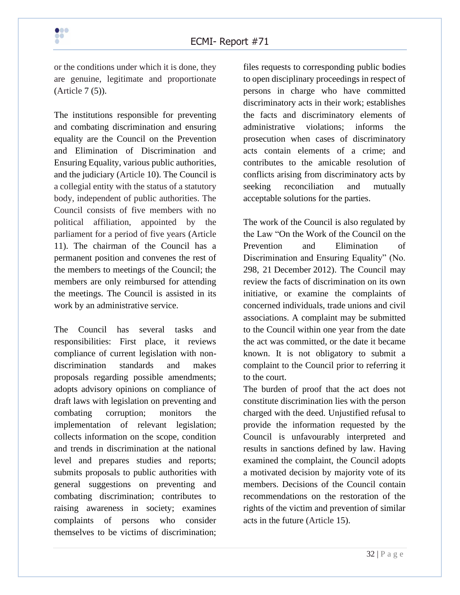or the conditions under which it is done, they are genuine, legitimate and proportionate (Article 7 (5)).

The institutions responsible for preventing and combating discrimination and ensuring equality are the Council on the Prevention and Elimination of Discrimination and Ensuring Equality, various public authorities, and the judiciary (Article 10). The Council is a collegial entity with the status of a statutory body, independent of public authorities. The Council consists of five members with no political affiliation, appointed by the parliament for a period of five years (Article 11). The chairman of the Council has a permanent position and convenes the rest of the members to meetings of the Council; the members are only reimbursed for attending the meetings. The Council is assisted in its work by an administrative service.

The Council has several tasks and responsibilities: First place, it reviews compliance of current legislation with nondiscrimination standards and makes proposals regarding possible amendments; adopts advisory opinions on compliance of draft laws with legislation on preventing and combating corruption; monitors the implementation of relevant legislation; collects information on the scope, condition and trends in discrimination at the national level and prepares studies and reports; submits proposals to public authorities with general suggestions on preventing and combating discrimination; contributes to raising awareness in society; examines complaints of persons who consider themselves to be victims of discrimination;

files requests to corresponding public bodies to open disciplinary proceedings in respect of persons in charge who have committed discriminatory acts in their work; establishes the facts and discriminatory elements of administrative violations; informs the prosecution when cases of discriminatory acts contain elements of a crime; and contributes to the amicable resolution of conflicts arising from discriminatory acts by seeking reconciliation and mutually acceptable solutions for the parties.

The work of the Council is also regulated by the Law "On the Work of the Council on the Prevention and Elimination of Discrimination and Ensuring Equality" (No. 298, 21 December 2012). The Council may review the facts of discrimination on its own initiative, or examine the complaints of concerned individuals, trade unions and civil associations. A complaint may be submitted to the Council within one year from the date the act was committed, or the date it became known. It is not obligatory to submit a complaint to the Council prior to referring it to the court.

The burden of proof that the act does not constitute discrimination lies with the person charged with the deed. Unjustified refusal to provide the information requested by the Council is unfavourably interpreted and results in sanctions defined by law. Having examined the complaint, the Council adopts a motivated decision by majority vote of its members. Decisions of the Council contain recommendations on the restoration of the rights of the victim and prevention of similar acts in the future (Article 15).

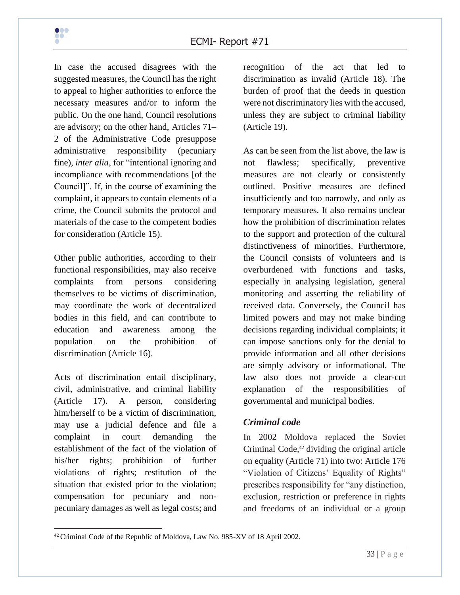

In case the accused disagrees with the suggested measures, the Council has the right to appeal to higher authorities to enforce the necessary measures and/or to inform the public. On the one hand, Council resolutions are advisory; on the other hand, Articles 71– 2 of the Administrative Code presuppose administrative responsibility (pecuniary fine), *inter alia*, for "intentional ignoring and incompliance with recommendations [of the Council]". If, in the course of examining the complaint, it appears to contain elements of a crime, the Council submits the protocol and materials of the case to the competent bodies for consideration (Article 15).

Other public authorities, according to their functional responsibilities, may also receive complaints from persons considering themselves to be victims of discrimination, may coordinate the work of decentralized bodies in this field, and can contribute to education and awareness among the population on the prohibition of discrimination (Article 16).

Acts of discrimination entail disciplinary, civil, administrative, and criminal liability (Article 17). A person, considering him/herself to be a victim of discrimination, may use a judicial defence and file a complaint in court demanding the establishment of the fact of the violation of his/her rights; prohibition of further violations of rights; restitution of the situation that existed prior to the violation; compensation for pecuniary and nonpecuniary damages as well as legal costs; and recognition of the act that led to discrimination as invalid (Article 18). The burden of proof that the deeds in question were not discriminatory lies with the accused, unless they are subject to criminal liability (Article 19).

As can be seen from the list above, the law is not flawless; specifically, preventive measures are not clearly or consistently outlined. Positive measures are defined insufficiently and too narrowly, and only as temporary measures. It also remains unclear how the prohibition of discrimination relates to the support and protection of the cultural distinctiveness of minorities. Furthermore, the Council consists of volunteers and is overburdened with functions and tasks, especially in analysing legislation, general monitoring and asserting the reliability of received data. Conversely, the Council has limited powers and may not make binding decisions regarding individual complaints; it can impose sanctions only for the denial to provide information and all other decisions are simply advisory or informational. The law also does not provide a clear-cut explanation of the responsibilities of governmental and municipal bodies.

#### *Criminal code*

In 2002 Moldova replaced the Soviet Criminal Code, $42$  dividing the original article on equality (Article 71) into two: Article 176 "Violation of Citizens' Equality of Rights" prescribes responsibility for "any distinction, exclusion, restriction or preference in rights and freedoms of an individual or a group



<sup>42</sup> Criminal Code of the Republic of Moldova, Law No. 985-XV of 18 April 2002.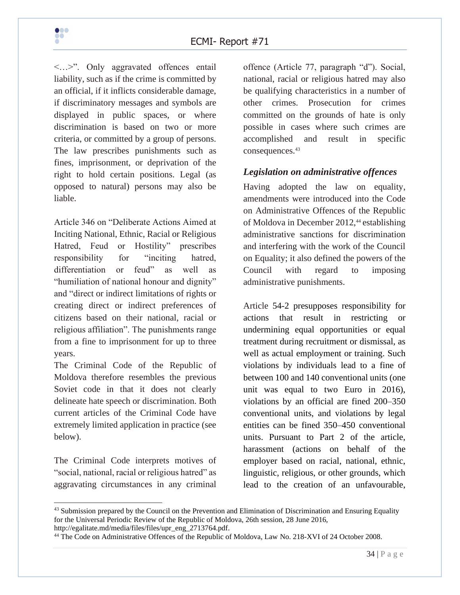<…>". Only aggravated offences entail liability, such as if the crime is committed by an official, if it inflicts considerable damage, if discriminatory messages and symbols are displayed in public spaces, or where discrimination is based on two or more criteria, or committed by a group of persons. The law prescribes punishments such as fines, imprisonment, or deprivation of the right to hold certain positions. Legal (as opposed to natural) persons may also be liable.

Article 346 on "Deliberate Actions Aimed at Inciting National, Ethnic, Racial or Religious Hatred, Feud or Hostility" prescribes responsibility for "inciting hatred, differentiation or feud" as well as "humiliation of national honour and dignity" and "direct or indirect limitations of rights or creating direct or indirect preferences of citizens based on their national, racial or religious affiliation". The punishments range from a fine to imprisonment for up to three years.

The Criminal Code of the Republic of Moldova therefore resembles the previous Soviet code in that it does not clearly delineate hate speech or discrimination. Both current articles of the Criminal Code have extremely limited application in practice (see below).

The Criminal Code interprets motives of "social, national, racial or religious hatred" as aggravating circumstances in any criminal

offence (Article 77, paragraph "d"). Social, national, racial or religious hatred may also be qualifying characteristics in a number of other crimes. Prosecution for crimes committed on the grounds of hate is only possible in cases where such crimes are accomplished and result in specific consequences.<sup>43</sup>

### *Legislation on administrative offences*

Having adopted the law on equality, amendments were introduced into the Code on Administrative Offences of the Republic of Moldova in December 2012,<sup>44</sup> establishing administrative sanctions for discrimination and interfering with the work of the Council on Equality; it also defined the powers of the Council with regard to imposing administrative punishments.

Article 54-2 presupposes responsibility for actions that result in restricting or undermining equal opportunities or equal treatment during recruitment or dismissal, as well as actual employment or training. Such violations by individuals lead to a fine of between 100 and 140 conventional units (one unit was equal to two Euro in 2016), violations by an official are fined 200–350 conventional units, and violations by legal entities can be fined 350–450 conventional units. Pursuant to Part 2 of the article, harassment (actions on behalf of the employer based on racial, national, ethnic, linguistic, religious, or other grounds, which lead to the creation of an unfavourable,



 $43$  Submission prepared by the Council on the Prevention and Elimination of Discrimination and Ensuring Equality for the Universal Periodic Review of the Republic of Moldova, 26th session, 28 June 2016, http://egalitate.md/media/files/files/upr\_eng\_2713764.pdf.

<sup>44</sup> The Code on Administrative Offences of the Republic of Moldova, Law No. 218-XVI of 24 October 2008.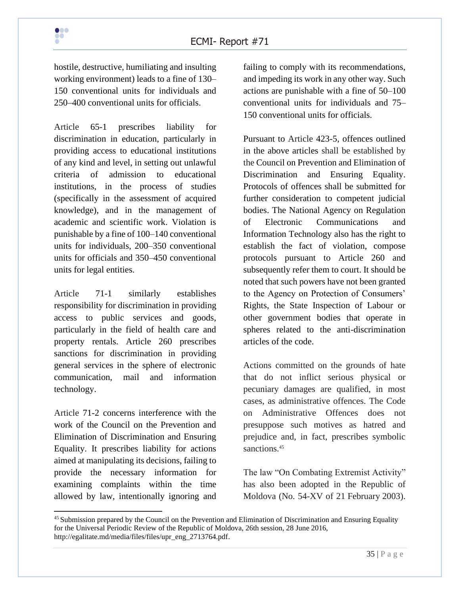hostile, destructive, humiliating and insulting working environment) leads to a fine of 130– 150 conventional units for individuals and 250–400 conventional units for officials.

Article 65-1 prescribes liability for discrimination in education, particularly in providing access to educational institutions of any kind and level, in setting out unlawful criteria of admission to educational institutions, in the process of studies (specifically in the assessment of acquired knowledge), and in the management of academic and scientific work. Violation is punishable by a fine of 100–140 conventional units for individuals, 200–350 conventional units for officials and 350–450 conventional units for legal entities.

Article 71-1 similarly establishes responsibility for discrimination in providing access to public services and goods, particularly in the field of health care and property rentals. Article 260 prescribes sanctions for discrimination in providing general services in the sphere of electronic communication, mail and information technology.

Article 71-2 concerns interference with the work of the Council on the Prevention and Elimination of Discrimination and Ensuring Equality. It prescribes liability for actions aimed at manipulating its decisions, failing to provide the necessary information for examining complaints within the time allowed by law, intentionally ignoring and failing to comply with its recommendations, and impeding its work in any other way. Such actions are punishable with a fine of 50–100 conventional units for individuals and 75– 150 conventional units for officials.

Pursuant to Article 423-5, offences outlined in the above articles shall be established by the Council on Prevention and Elimination of Discrimination and Ensuring Equality. Protocols of offences shall be submitted for further consideration to competent judicial bodies. The National Agency on Regulation of Electronic Communications and Information Technology also has the right to establish the fact of violation, compose protocols pursuant to Article 260 and subsequently refer them to court. It should be noted that such powers have not been granted to the Agency on Protection of Consumers' Rights, the State Inspection of Labour or other government bodies that operate in spheres related to the anti-discrimination articles of the code.

Actions committed on the grounds of hate that do not inflict serious physical or pecuniary damages are qualified, in most cases, as administrative offences. The Code on Administrative Offences does not presuppose such motives as hatred and prejudice and, in fact, prescribes symbolic sanctions.<sup>45</sup>

The law "On Combating Extremist Activity" has also been adopted in the Republic of Moldova (No. 54-XV of 21 February 2003).



<sup>&</sup>lt;sup>45</sup> Submission prepared by the Council on the Prevention and Elimination of Discrimination and Ensuring Equality for the Universal Periodic Review of the Republic of Moldova, 26th session, 28 June 2016, http://egalitate.md/media/files/files/upr\_eng\_2713764.pdf.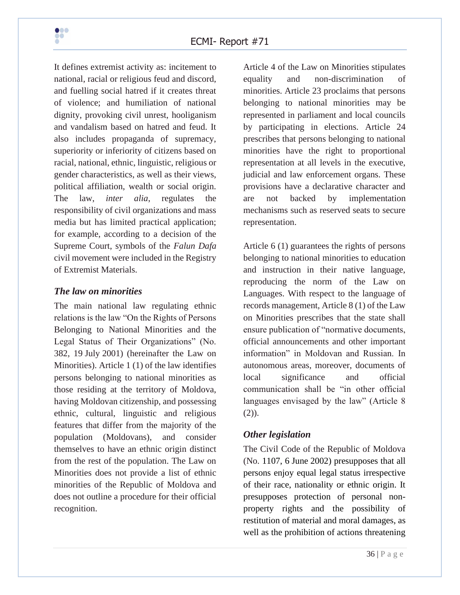It defines extremist activity as: incitement to national, racial or religious feud and discord, and fuelling social hatred if it creates threat of violence; and humiliation of national dignity, provoking civil unrest, hooliganism and vandalism based on hatred and feud. It also includes propaganda of supremacy, superiority or inferiority of citizens based on racial, national, ethnic, linguistic, religious or gender characteristics, as well as their views, political affiliation, wealth or social origin. The law, *inter alia*, regulates the responsibility of civil organizations and mass media but has limited practical application; for example, according to a decision of the Supreme Court, symbols of the *Falun Dafa* civil movement were included in the Registry of Extremist Materials.

### *The law on minorities*

The main national law regulating ethnic relations is the law "On the Rights of Persons Belonging to National Minorities and the Legal Status of Their Organizations" (No. 382, 19 July 2001) (hereinafter the Law on Minorities). Article 1 (1) of the law identifies persons belonging to national minorities as those residing at the territory of Moldova, having Moldovan citizenship, and possessing ethnic, cultural, linguistic and religious features that differ from the majority of the population (Moldovans), and consider themselves to have an ethnic origin distinct from the rest of the population. The Law on Minorities does not provide a list of ethnic minorities of the Republic of Moldova and does not outline a procedure for their official recognition.

Article 4 of the Law on Minorities stipulates equality and non-discrimination of minorities. Article 23 proclaims that persons belonging to national minorities may be represented in parliament and local councils by participating in elections. Article 24 prescribes that persons belonging to national minorities have the right to proportional representation at all levels in the executive, judicial and law enforcement organs. These provisions have a declarative character and are not backed by implementation mechanisms such as reserved seats to secure representation.

Article 6 (1) guarantees the rights of persons belonging to national minorities to education and instruction in their native language, reproducing the norm of the Law on Languages. With respect to the language of records management, Article 8 (1) of the Law on Minorities prescribes that the state shall ensure publication of "normative documents, official announcements and other important information" in Moldovan and Russian. In autonomous areas, moreover, documents of local significance and official communication shall be "in other official languages envisaged by the law" (Article 8)  $(2)$ ).

### *Other legislation*

The Civil Code of the Republic of Moldova (No. 1107, 6 June 2002) presupposes that all persons enjoy equal legal status irrespective of their race, nationality or ethnic origin. It presupposes protection of personal nonproperty rights and the possibility of restitution of material and moral damages, as well as the prohibition of actions threatening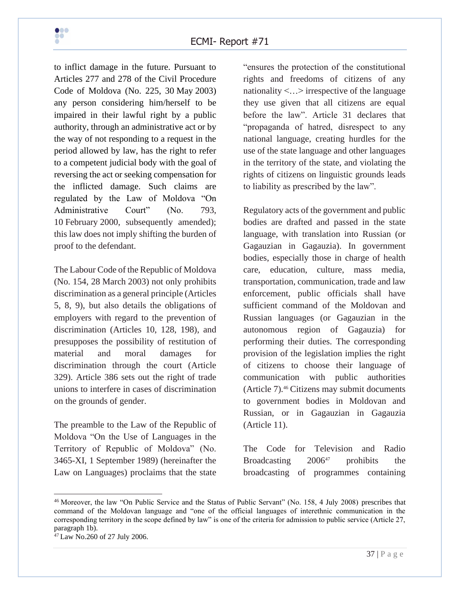to inflict damage in the future. Pursuant to Articles 277 and 278 of the Civil Procedure Code of Moldova (No. 225, 30 May 2003) any person considering him/herself to be impaired in their lawful right by a public authority, through an administrative act or by the way of not responding to a request in the period allowed by law, has the right to refer to a competent judicial body with the goal of reversing the act or seeking compensation for the inflicted damage. Such claims are regulated by the Law of Moldova "On Administrative Court" (No. 793, 10 February 2000, subsequently amended); this law does not imply shifting the burden of proof to the defendant.

The Labour Code of the Republic of Moldova (No. 154, 28 March 2003) not only prohibits discrimination as a general principle (Articles 5, 8, 9), but also details the obligations of employers with regard to the prevention of discrimination (Articles 10, 128, 198), and presupposes the possibility of restitution of material and moral damages for discrimination through the court (Article 329). Article 386 sets out the right of trade unions to interfere in cases of discrimination on the grounds of gender.

The preamble to the Law of the Republic of Moldova "On the Use of Languages in the Territory of Republic of Moldova" (No. 3465-XI, 1 September 1989) (hereinafter the Law on Languages) proclaims that the state

"ensures the protection of the constitutional rights and freedoms of citizens of any nationality <…> irrespective of the language they use given that all citizens are equal before the law". Article 31 declares that "propaganda of hatred, disrespect to any national language, creating hurdles for the use of the state language and other languages in the territory of the state, and violating the rights of citizens on linguistic grounds leads to liability as prescribed by the law".

Regulatory acts of the government and public bodies are drafted and passed in the state language, with translation into Russian (or Gagauzian in Gagauzia). In government bodies, especially those in charge of health care, education, culture, mass media, transportation, communication, trade and law enforcement, public officials shall have sufficient command of the Moldovan and Russian languages (or Gagauzian in the autonomous region of Gagauzia) for performing their duties. The corresponding provision of the legislation implies the right of citizens to choose their language of communication with public authorities (Article 7).<sup>46</sup> Citizens may submit documents to government bodies in Moldovan and Russian, or in Gagauzian in Gagauzia (Article 11).

The Code for Television and Radio Broadcasting  $2006^{47}$  prohibits the broadcasting of programmes containing

<sup>46</sup> Moreover, the law "On Public Service and the Status of Public Servant" (No. 158, 4 July 2008) prescribes that command of the Moldovan language and "one of the official languages of interethnic communication in the corresponding territory in the scope defined by law" is one of the criteria for admission to public service (Article 27, paragraph 1b).

<sup>47</sup> Law No.260 of 27 July 2006.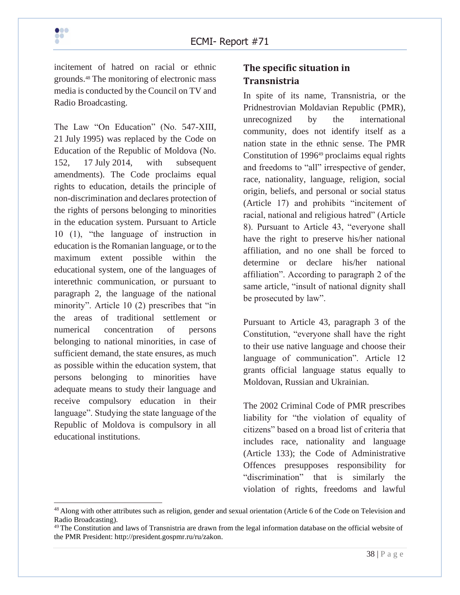incitement of hatred on racial or ethnic grounds.<sup>48</sup> The monitoring of electronic mass media is conducted by the Council on TV and Radio Broadcasting.

The Law "On Education" (No. 547-XIII, 21 July 1995) was replaced by the Code on Education of the Republic of Moldova (No. 152, 17 July 2014, with subsequent amendments). The Code proclaims equal rights to education, details the principle of non-discrimination and declares protection of the rights of persons belonging to minorities in the education system. Pursuant to Article 10 (1), "the language of instruction in education is the Romanian language, or to the maximum extent possible within the educational system, one of the languages of interethnic communication, or pursuant to paragraph 2, the language of the national minority". Article 10 (2) prescribes that "in the areas of traditional settlement or numerical concentration of persons belonging to national minorities, in case of sufficient demand, the state ensures, as much as possible within the education system, that persons belonging to minorities have adequate means to study their language and receive compulsory education in their language". Studying the state language of the Republic of Moldova is compulsory in all educational institutions.

## **The specific situation in Transnistria**

In spite of its name, Transnistria, or the Pridnestrovian Moldavian Republic (PMR), unrecognized by the international community, does not identify itself as a nation state in the ethnic sense. The PMR Constitution of 1996<sup>49</sup> proclaims equal rights and freedoms to "all" irrespective of gender, race, nationality, language, religion, social origin, beliefs, and personal or social status (Article 17) and prohibits "incitement of racial, national and religious hatred" (Article 8). Pursuant to Article 43, "everyone shall have the right to preserve his/her national affiliation, and no one shall be forced to determine or declare his/her national affiliation". According to paragraph 2 of the same article, "insult of national dignity shall be prosecuted by law".

Pursuant to Article 43, paragraph 3 of the Constitution, "everyone shall have the right to their use native language and choose their language of communication". Article 12 grants official language status equally to Moldovan, Russian and Ukrainian.

The 2002 Criminal Code of PMR prescribes liability for "the violation of equality of citizens" based on a broad list of criteria that includes race, nationality and language (Article 133); the Code of Administrative Offences presupposes responsibility for "discrimination" that is similarly the violation of rights, freedoms and lawful

<sup>&</sup>lt;sup>48</sup> Along with other attributes such as religion, gender and sexual orientation (Article 6 of the Code on Television and Radio Broadcasting).

 $49$  The Constitution and laws of Transnistria are drawn from the legal information database on the official website of the PMR President: http://president.gospmr.ru/ru/zakon.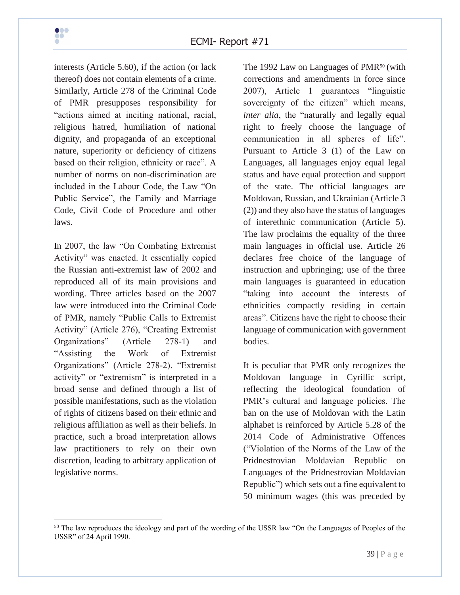interests (Article 5.60), if the action (or lack thereof) does not contain elements of a crime. Similarly, Article 278 of the Criminal Code of PMR presupposes responsibility for "actions aimed at inciting national, racial, religious hatred, humiliation of national dignity, and propaganda of an exceptional nature, superiority or deficiency of citizens based on their religion, ethnicity or race". A number of norms on non-discrimination are included in the Labour Code, the Law "On Public Service", the Family and Marriage Code, Civil Code of Procedure and other laws.

In 2007, the law "On Combating Extremist Activity" was enacted. It essentially copied the Russian anti-extremist law of 2002 and reproduced all of its main provisions and wording. Three articles based on the 2007 law were introduced into the Criminal Code of PMR, namely "Public Calls to Extremist Activity" (Article 276), "Creating Extremist Organizations" (Article 278-1) and "Assisting the Work of Extremist Organizations" (Article 278-2). "Extremist activity" or "extremism" is interpreted in a broad sense and defined through a list of possible manifestations, such as the violation of rights of citizens based on their ethnic and religious affiliation as well as their beliefs. In practice, such a broad interpretation allows law practitioners to rely on their own discretion, leading to arbitrary application of legislative norms.

The 1992 Law on Languages of  $PMR^{50}$  (with corrections and amendments in force since 2007), Article 1 guarantees "linguistic sovereignty of the citizen" which means, *inter alia*, the "naturally and legally equal right to freely choose the language of communication in all spheres of life". Pursuant to Article 3 (1) of the Law on Languages, all languages enjoy equal legal status and have equal protection and support of the state. The official languages are Moldovan, Russian, and Ukrainian (Article 3 (2)) and they also have the status of languages of interethnic communication (Article 5). The law proclaims the equality of the three main languages in official use. Article 26 declares free choice of the language of instruction and upbringing; use of the three main languages is guaranteed in education "taking into account the interests of ethnicities compactly residing in certain areas". Citizens have the right to choose their language of communication with government bodies.

It is peculiar that PMR only recognizes the Moldovan language in Cyrillic script, reflecting the ideological foundation of PMR's cultural and language policies. The ban on the use of Moldovan with the Latin alphabet is reinforced by Article 5.28 of the 2014 Code of Administrative Offences ("Violation of the Norms of the Law of the Pridnestrovian Moldavian Republic on Languages of the Pridnestrovian Moldavian Republic") which sets out a fine equivalent to 50 minimum wages (this was preceded by

<sup>&</sup>lt;sup>50</sup> The law reproduces the ideology and part of the wording of the USSR law "On the Languages of Peoples of the USSR" of 24 April 1990.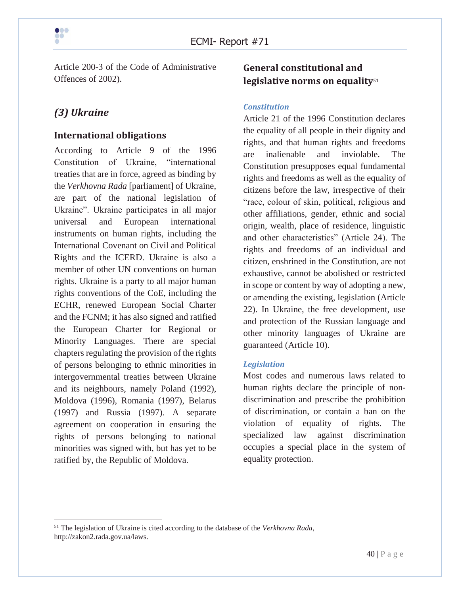

Article 200-3 of the Code of Administrative Offences of 2002).

# *(3) Ukraine*

#### **International obligations**

According to Article 9 of the 1996 Constitution of Ukraine, "international treaties that are in force, agreed as binding by the *Verkhovna Rada* [parliament] of Ukraine, are part of the national legislation of Ukraine". Ukraine participates in all major universal and European international instruments on human rights, including the International Covenant on Civil and Political Rights and the ICERD. Ukraine is also a member of other UN conventions on human rights. Ukraine is a party to all major human rights conventions of the CoE, including the ECHR, renewed European Social Charter and the FCNM; it has also signed and ratified the European Charter for Regional or Minority Languages. There are special chapters regulating the provision of the rights of persons belonging to ethnic minorities in intergovernmental treaties between Ukraine and its neighbours, namely Poland (1992), Moldova (1996), Romania (1997), Belarus (1997) and Russia (1997). A separate agreement on cooperation in ensuring the rights of persons belonging to national minorities was signed with, but has yet to be ratified by, the Republic of Moldova.

## **General constitutional and legislative norms on equality**<sup>51</sup>

#### *Constitution*

Article 21 of the 1996 Constitution declares the equality of all people in their dignity and rights, and that human rights and freedoms are inalienable and inviolable. The Constitution presupposes equal fundamental rights and freedoms as well as the equality of citizens before the law, irrespective of their "race, colour of skin, political, religious and other affiliations, gender, ethnic and social origin, wealth, place of residence, linguistic and other characteristics" (Article 24). The rights and freedoms of an individual and citizen, enshrined in the Constitution, are not exhaustive, cannot be abolished or restricted in scope or content by way of adopting a new, or amending the existing, legislation (Article 22). In Ukraine, the free development, use and protection of the Russian language and other minority languages of Ukraine are guaranteed (Article 10).

#### *Legislation*

Most codes and numerous laws related to human rights declare the principle of nondiscrimination and prescribe the prohibition of discrimination, or contain a ban on the violation of equality of rights. The specialized law against discrimination occupies a special place in the system of equality protection.

<sup>51</sup> The legislation of Ukraine is cited according to the database of the *Verkhovna Rada*, http://zakon2.rada.gov.ua/laws.

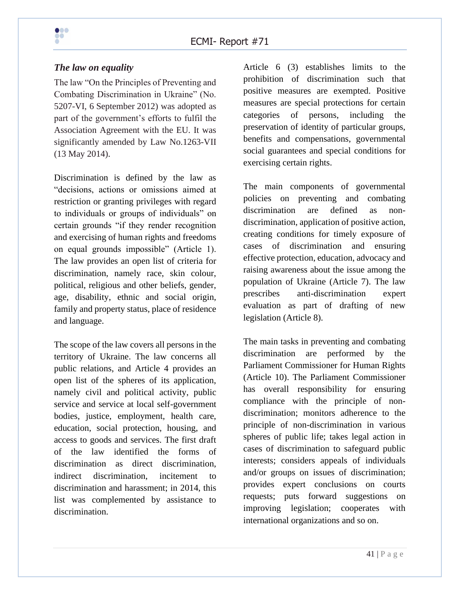#### *The law on equality*

The law "On the Principles of Preventing and Combating Discrimination in Ukraine" (No. 5207-VI, 6 September 2012) was adopted as part of the government's efforts to fulfil the Association Agreement with the EU. It was significantly amended by Law No.1263-VII (13 May 2014).

Discrimination is defined by the law as "decisions, actions or omissions aimed at restriction or granting privileges with regard to individuals or groups of individuals" on certain grounds "if they render recognition and exercising of human rights and freedoms on equal grounds impossible" (Article 1). The law provides an open list of criteria for discrimination, namely race, skin colour, political, religious and other beliefs, gender, age, disability, ethnic and social origin, family and property status, place of residence and language.

The scope of the law covers all persons in the territory of Ukraine. The law concerns all public relations, and Article 4 provides an open list of the spheres of its application, namely civil and political activity, public service and service at local self-government bodies, justice, employment, health care, education, social protection, housing, and access to goods and services. The first draft of the law identified the forms of discrimination as direct discrimination, indirect discrimination, incitement to discrimination and harassment; in 2014, this list was complemented by assistance to discrimination.

Article 6 (3) establishes limits to the prohibition of discrimination such that positive measures are exempted. Positive measures are special protections for certain categories of persons, including the preservation of identity of particular groups, benefits and compensations, governmental social guarantees and special conditions for exercising certain rights.

The main components of governmental policies on preventing and combating discrimination are defined as nondiscrimination, application of positive action, creating conditions for timely exposure of cases of discrimination and ensuring effective protection, education, advocacy and raising awareness about the issue among the population of Ukraine (Article 7). The law prescribes anti-discrimination expert evaluation as part of drafting of new legislation (Article 8).

The main tasks in preventing and combating discrimination are performed by the Parliament Commissioner for Human Rights (Article 10). The Parliament Commissioner has overall responsibility for ensuring compliance with the principle of nondiscrimination; monitors adherence to the principle of non-discrimination in various spheres of public life; takes legal action in cases of discrimination to safeguard public interests; considers appeals of individuals and/or groups on issues of discrimination; provides expert conclusions on courts requests; puts forward suggestions on improving legislation; cooperates with international organizations and so on.

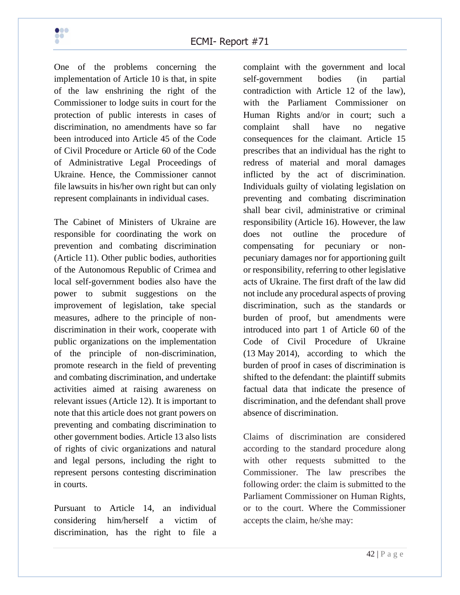

One of the problems concerning the implementation of Article 10 is that, in spite of the law enshrining the right of the Commissioner to lodge suits in court for the protection of public interests in cases of discrimination, no amendments have so far been introduced into Article 45 of the Code of Civil Procedure or Article 60 of the Code of Administrative Legal Proceedings of Ukraine. Hence, the Commissioner cannot file lawsuits in his/her own right but can only represent complainants in individual cases.

The Cabinet of Ministers of Ukraine are responsible for coordinating the work on prevention and combating discrimination (Article 11). Other public bodies, authorities of the Autonomous Republic of Crimea and local self-government bodies also have the power to submit suggestions on the improvement of legislation, take special measures, adhere to the principle of nondiscrimination in their work, cooperate with public organizations on the implementation of the principle of non-discrimination, promote research in the field of preventing and combating discrimination, and undertake activities aimed at raising awareness on relevant issues (Article 12). It is important to note that this article does not grant powers on preventing and combating discrimination to other government bodies. Article 13 also lists of rights of civic organizations and natural and legal persons, including the right to represent persons contesting discrimination in courts.

Pursuant to Article 14, an individual considering him/herself a victim of discrimination, has the right to file a

complaint with the government and local self-government bodies (in partial contradiction with Article 12 of the law), with the Parliament Commissioner on Human Rights and/or in court; such a complaint shall have no negative consequences for the claimant. Article 15 prescribes that an individual has the right to redress of material and moral damages inflicted by the act of discrimination. Individuals guilty of violating legislation on preventing and combating discrimination shall bear civil, administrative or criminal responsibility (Article 16). However, the law does not outline the procedure of compensating for pecuniary or nonpecuniary damages nor for apportioning guilt or responsibility, referring to other legislative acts of Ukraine. The first draft of the law did not include any procedural aspects of proving discrimination, such as the standards or burden of proof, but amendments were introduced into part 1 of Article 60 of the Code of Civil Procedure of Ukraine (13 May 2014), according to which the burden of proof in cases of discrimination is shifted to the defendant: the plaintiff submits factual data that indicate the presence of discrimination, and the defendant shall prove absence of discrimination.

Claims of discrimination are considered according to the standard procedure along with other requests submitted to the Commissioner. The law prescribes the following order: the claim is submitted to the Parliament Commissioner on Human Rights, or to the court. Where the Commissioner accepts the claim, he/she may: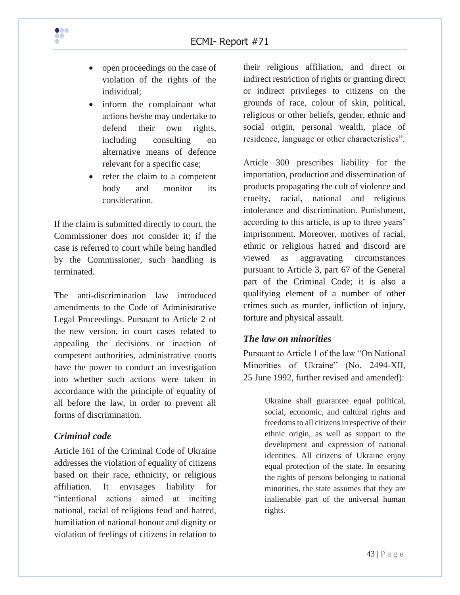

- open proceedings on the case of violation of the rights of the individual;
- inform the complainant what actions he/she may undertake to defend their own rights, including consulting on alternative means of defence relevant for a specific case;
- refer the claim to a competent body and monitor its consideration.

If the claim is submitted directly to court, the Commissioner does not consider it; if the case is referred to court while being handled by the Commissioner, such handling is terminated.

The anti-discrimination law introduced amendments to the Code of Administrative Legal Proceedings. Pursuant to Article 2 of the new version, in court cases related to appealing the decisions or inaction of competent authorities, administrative courts have the power to conduct an investigation into whether such actions were taken in accordance with the principle of equality of all before the law, in order to prevent all forms of discrimination.

#### *Criminal code*

Article 161 of the Criminal Code of Ukraine addresses the violation of equality of citizens based on their race, ethnicity, or religious affiliation. It envisages liability for "intentional actions aimed at inciting national, racial of religious feud and hatred, humiliation of national honour and dignity or violation of feelings of citizens in relation to

their religious affiliation, and direct or indirect restriction of rights or granting direct or indirect privileges to citizens on the grounds of race, colour of skin, political, religious or other beliefs, gender, ethnic and social origin, personal wealth, place of residence, language or other characteristics".

Article 300 prescribes liability for the importation, production and dissemination of products propagating the cult of violence and cruelty, racial, national and religious intolerance and discrimination. Punishment, according to this article, is up to three years' imprisonment. Moreover, motives of racial, ethnic or religious hatred and discord are viewed as aggravating circumstances pursuant to Article 3, part 67 of the General part of the Criminal Code; it is also a qualifying element of a number of other crimes such as murder, infliction of injury, torture and physical assault.

#### *The law on minorities*

Pursuant to Article 1 of the law "On National Minorities of Ukraine" (No. 2494-XII, 25 June 1992, further revised and amended):

> Ukraine shall guarantee equal political, social, economic, and cultural rights and freedoms to all citizens irrespective of their ethnic origin, as well as support to the development and expression of national identities. All citizens of Ukraine enjoy equal protection of the state. In ensuring the rights of persons belonging to national minorities, the state assumes that they are inalienable part of the universal human rights.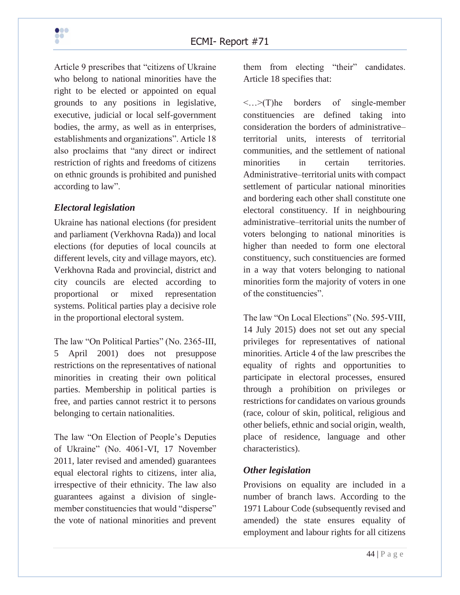Article 9 prescribes that "citizens of Ukraine who belong to national minorities have the right to be elected or appointed on equal grounds to any positions in legislative, executive, judicial or local self-government bodies, the army, as well as in enterprises, establishments and organizations". Article 18 also proclaims that "any direct or indirect restriction of rights and freedoms of citizens on ethnic grounds is prohibited and punished according to law".

#### *Electoral legislation*

Ukraine has national elections (for president and parliament (Verkhovna Rada)) and local elections (for deputies of local councils at different levels, city and village mayors, etc). Verkhovna Rada and provincial, district and city councils are elected according to proportional or mixed representation systems. Political parties play a decisive role in the proportional electoral system.

The law "On Political Parties" (No. 2365-III, 5 April 2001) does not presuppose restrictions on the representatives of national minorities in creating their own political parties. Membership in political parties is free, and parties cannot restrict it to persons belonging to certain nationalities.

The law "On Election of People's Deputies of Ukraine" (No. 4061-VI, 17 November 2011, later revised and amended) guarantees equal electoral rights to citizens, inter alia, irrespective of their ethnicity. The law also guarantees against a division of singlemember constituencies that would "disperse" the vote of national minorities and prevent

them from electing "their" candidates. Article 18 specifies that:

<…>(T)he borders of single-member constituencies are defined taking into consideration the borders of administrative– territorial units, interests of territorial communities, and the settlement of national minorities in certain territories. Administrative–territorial units with compact settlement of particular national minorities and bordering each other shall constitute one electoral constituency. If in neighbouring administrative–territorial units the number of voters belonging to national minorities is higher than needed to form one electoral constituency, such constituencies are formed in a way that voters belonging to national minorities form the majority of voters in one of the constituencies".

The law "On Local Elections" (No. 595-VIII, 14 July 2015) does not set out any special privileges for representatives of national minorities. Article 4 of the law prescribes the equality of rights and opportunities to participate in electoral processes, ensured through a prohibition on privileges or restrictions for candidates on various grounds (race, colour of skin, political, religious and other beliefs, ethnic and social origin, wealth, place of residence, language and other characteristics).

#### *Other legislation*

Provisions on equality are included in a number of branch laws. According to the 1971 Labour Code (subsequently revised and amended) the state ensures equality of employment and labour rights for all citizens

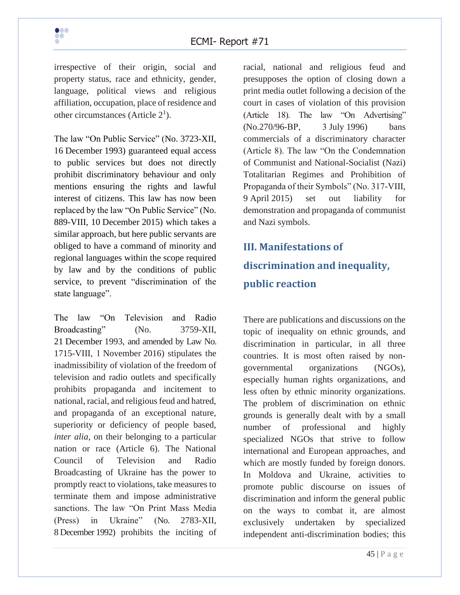irrespective of their origin, social and property status, race and ethnicity, gender, language, political views and religious affiliation, occupation, place of residence and other circumstances (Article  $2<sup>1</sup>$ ).

The law "On Public Service" (No. 3723-XII, 16 December 1993) guaranteed equal access to public services but does not directly prohibit discriminatory behaviour and only mentions ensuring the rights and lawful interest of citizens. This law has now been replaced by the law "On Public Service" (No. 889-VIII, 10 December 2015) which takes a similar approach, but here public servants are obliged to have a command of minority and regional languages within the scope required by law and by the conditions of public service, to prevent "discrimination of the state language".

The law "On Television and Radio Broadcasting" (No. 3759-XII, 21 December 1993, and amended by Law No. 1715-VІІІ, 1 November 2016) stipulates the inadmissibility of violation of the freedom of television and radio outlets and specifically prohibits propaganda and incitement to national, racial, and religious feud and hatred, and propaganda of an exceptional nature, superiority or deficiency of people based, *inter alia*, on their belonging to a particular nation or race (Article 6). The National Council of Television and Radio Broadcasting of Ukraine has the power to promptly react to violations, take measures to terminate them and impose administrative sanctions. The law "On Print Mass Media (Press) in Ukraine" (No. 2783-XII, 8 December 1992) prohibits the inciting of racial, national and religious feud and presupposes the option of closing down a print media outlet following a decision of the court in cases of violation of this provision (Article 18). The law "On Advertising" (No.270/96-ВР, 3 July 1996) bans commercials of a discriminatory character (Article 8). The law "On the Condemnation of Communist and National-Socialist (Nazi) Totalitarian Regimes and Prohibition of Propaganda of their Symbols" (No. 317-VIII, 9 April 2015) set out liability for demonstration and propaganda of communist and Nazi symbols.

# **III. Manifestations of discrimination and inequality, public reaction**

There are publications and discussions on the topic of inequality on ethnic grounds, and discrimination in particular, in all three countries. It is most often raised by nongovernmental organizations (NGOs), especially human rights organizations, and less often by ethnic minority organizations. The problem of discrimination on ethnic grounds is generally dealt with by a small number of professional and highly specialized NGOs that strive to follow international and European approaches, and which are mostly funded by foreign donors. In Moldova and Ukraine, activities to promote public discourse on issues of discrimination and inform the general public on the ways to combat it, are almost exclusively undertaken by specialized independent anti-discrimination bodies; this

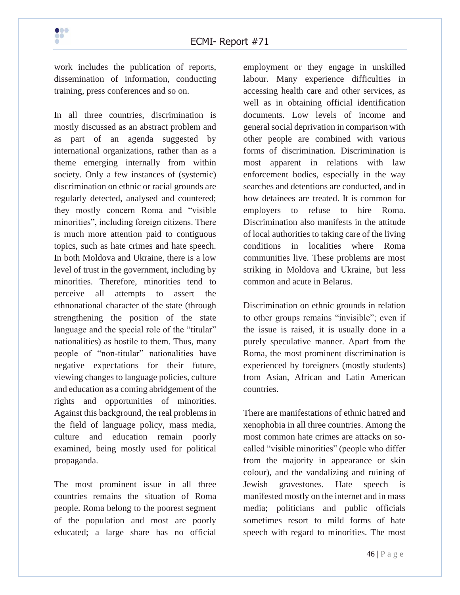work includes the publication of reports, dissemination of information, conducting training, press conferences and so on.

In all three countries, discrimination is mostly discussed as an abstract problem and as part of an agenda suggested by international organizations, rather than as a theme emerging internally from within society. Only a few instances of (systemic) discrimination on ethnic or racial grounds are regularly detected, analysed and countered; they mostly concern Roma and "visible minorities", including foreign citizens. There is much more attention paid to contiguous topics, such as hate crimes and hate speech. In both Moldova and Ukraine, there is a low level of trust in the government, including by minorities. Therefore, minorities tend to perceive all attempts to assert the ethnonational character of the state (through strengthening the position of the state language and the special role of the "titular" nationalities) as hostile to them. Thus, many people of "non-titular" nationalities have negative expectations for their future, viewing changes to language policies, culture and education as a coming abridgement of the rights and opportunities of minorities. Against this background, the real problems in the field of language policy, mass media, culture and education remain poorly examined, being mostly used for political propaganda.

The most prominent issue in all three countries remains the situation of Roma people. Roma belong to the poorest segment of the population and most are poorly educated; a large share has no official employment or they engage in unskilled labour. Many experience difficulties in accessing health care and other services, as well as in obtaining official identification documents. Low levels of income and general social deprivation in comparison with other people are combined with various forms of discrimination. Discrimination is most apparent in relations with law enforcement bodies, especially in the way searches and detentions are conducted, and in how detainees are treated. It is common for employers to refuse to hire Roma. Discrimination also manifests in the attitude of local authorities to taking care of the living conditions in localities where Roma communities live. These problems are most striking in Moldova and Ukraine, but less common and acute in Belarus.

Discrimination on ethnic grounds in relation to other groups remains "invisible"; even if the issue is raised, it is usually done in a purely speculative manner. Apart from the Roma, the most prominent discrimination is experienced by foreigners (mostly students) from Asian, African and Latin American countries.

There are manifestations of ethnic hatred and xenophobia in all three countries. Among the most common hate crimes are attacks on socalled "visible minorities" (people who differ from the majority in appearance or skin colour), and the vandalizing and ruining of Jewish gravestones. Hate speech is manifested mostly on the internet and in mass media; politicians and public officials sometimes resort to mild forms of hate speech with regard to minorities. The most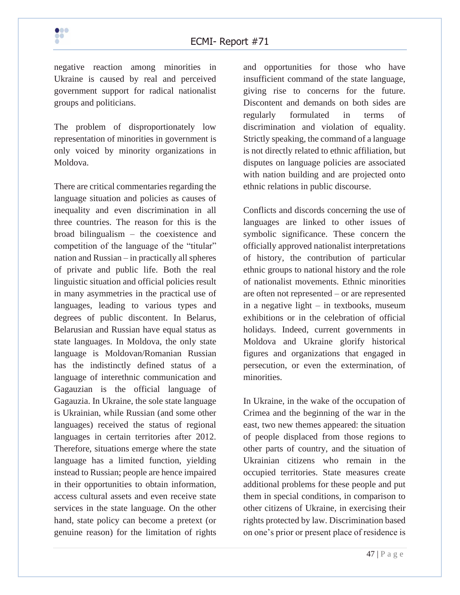negative reaction among minorities in Ukraine is caused by real and perceived government support for radical nationalist groups and politicians.

The problem of disproportionately low representation of minorities in government is only voiced by minority organizations in Moldova.

There are critical commentaries regarding the language situation and policies as causes of inequality and even discrimination in all three countries. The reason for this is the broad bilingualism – the coexistence and competition of the language of the "titular" nation and Russian – in practically all spheres of private and public life. Both the real linguistic situation and official policies result in many asymmetries in the practical use of languages, leading to various types and degrees of public discontent. In Belarus, Belarusian and Russian have equal status as state languages. In Moldova, the only state language is Moldovan/Romanian Russian has the indistinctly defined status of a language of interethnic communication and Gagauzian is the official language of Gagauzia. In Ukraine, the sole state language is Ukrainian, while Russian (and some other languages) received the status of regional languages in certain territories after 2012. Therefore, situations emerge where the state language has a limited function, yielding instead to Russian; people are hence impaired in their opportunities to obtain information, access cultural assets and even receive state services in the state language. On the other hand, state policy can become a pretext (or genuine reason) for the limitation of rights

and opportunities for those who have insufficient command of the state language, giving rise to concerns for the future. Discontent and demands on both sides are regularly formulated in terms of discrimination and violation of equality. Strictly speaking, the command of a language is not directly related to ethnic affiliation, but disputes on language policies are associated with nation building and are projected onto ethnic relations in public discourse.

Conflicts and discords concerning the use of languages are linked to other issues of symbolic significance. These concern the officially approved nationalist interpretations of history, the contribution of particular ethnic groups to national history and the role of nationalist movements. Ethnic minorities are often not represented – or are represented in a negative light – in textbooks, museum exhibitions or in the celebration of official holidays. Indeed, current governments in Moldova and Ukraine glorify historical figures and organizations that engaged in persecution, or even the extermination, of minorities.

In Ukraine, in the wake of the occupation of Crimea and the beginning of the war in the east, two new themes appeared: the situation of people displaced from those regions to other parts of country, and the situation of Ukrainian citizens who remain in the occupied territories. State measures create additional problems for these people and put them in special conditions, in comparison to other citizens of Ukraine, in exercising their rights protected by law. Discrimination based on one's prior or present place of residence is

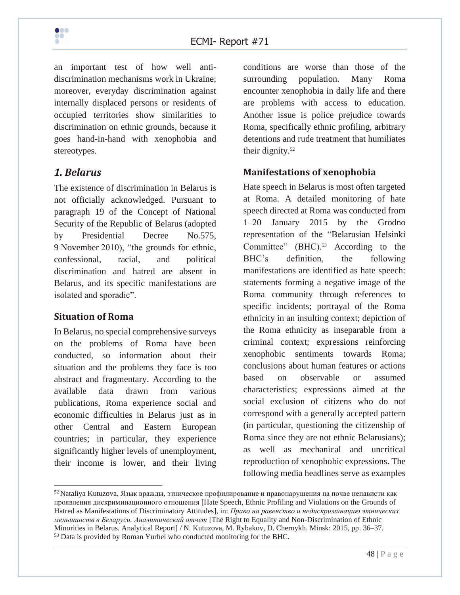

an important test of how well antidiscrimination mechanisms work in Ukraine; moreover, everyday discrimination against internally displaced persons or residents of occupied territories show similarities to discrimination on ethnic grounds, because it goes hand-in-hand with xenophobia and stereotypes.

## *1. Belarus*

The existence of discrimination in Belarus is not officially acknowledged. Pursuant to paragraph 19 of the Concept of National Security of the Republic of Belarus (adopted by Presidential Decree No.575, 9 November 2010), "the grounds for ethnic, confessional, racial, and political discrimination and hatred are absent in Belarus, and its specific manifestations are isolated and sporadic".

#### **Situation of Roma**

In Belarus, no special comprehensive surveys on the problems of Roma have been conducted, so information about their situation and the problems they face is too abstract and fragmentary. According to the available data drawn from various publications, Roma experience social and economic difficulties in Belarus just as in other Central and Eastern European countries; in particular, they experience significantly higher levels of unemployment, their income is lower, and their living

conditions are worse than those of the surrounding population. Many Roma encounter xenophobia in daily life and there are problems with access to education. Another issue is police prejudice towards Roma, specifically ethnic profiling, arbitrary detentions and rude treatment that humiliates their dignity.<sup>52</sup>

#### **Manifestations of xenophobia**

Hate speech in Belarus is most often targeted at Roma. A detailed monitoring of hate speech directed at Roma was conducted from 1–20 January 2015 by the Grodno representation of the "Belarusian Helsinki Committee" (BHC).<sup>53</sup> According to the BHC's definition, the following manifestations are identified as hate speech: statements forming a negative image of the Roma community through references to specific incidents; portrayal of the Roma ethnicity in an insulting context; depiction of the Roma ethnicity as inseparable from a criminal context; expressions reinforcing xenophobic sentiments towards Roma; conclusions about human features or actions based on observable or assumed characteristics; expressions aimed at the social exclusion of citizens who do not correspond with a generally accepted pattern (in particular, questioning the citizenship of Roma since they are not ethnic Belarusians); as well as mechanical and uncritical reproduction of xenophobic expressions. The following media headlines serve as examples

<sup>52</sup> Nataliya Kutuzova, Язык вражды, этническое профилирование и правонарушения на почве ненависти как проявления дискриминационного отношения [Hate Speech, Ethnic Profiling and Violations on the Grounds of Hatred as Manifestations of Discriminatory Attitudes], in: *Право на равенство и недискриминацию этнических меньшинств в Беларуси. Аналитический отчет* [The Right to Equality and Non-Discrimination of Ethnic Minorities in Belarus. Analytical Report] / N. Kutuzova, M. Rybakov, D. Chernykh. Minsk: 2015, pp. 36–37. <sup>53</sup> Data is provided by Roman Yurhel who conducted monitoring for the BHC.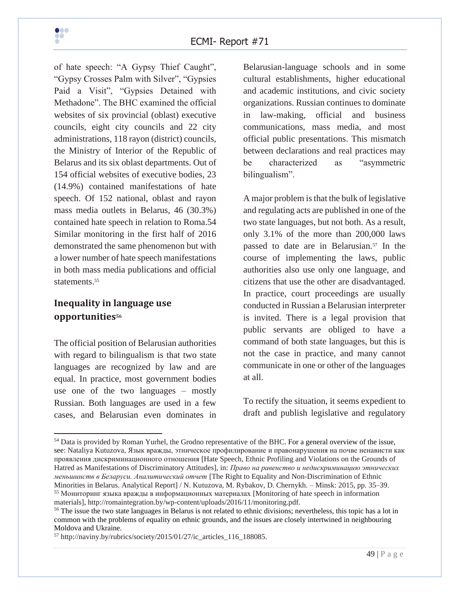

of hate speech: "A Gypsy Thief Caught", "Gypsy Crosses Palm with Silver", "Gypsies Paid a Visit", "Gypsies Detained with Methadone". The BHC examined the official websites of six provincial (oblast) executive councils, eight city councils and 22 city administrations, 118 rayon (district) councils, the Ministry of Interior of the Republic of Belarus and its six oblast departments. Out of 154 official websites of executive bodies, 23 (14.9%) contained manifestations of hate speech. Of 152 national, oblast and rayon mass media outlets in Belarus, 46 (30.3%) contained hate speech in relation to Roma.54 Similar monitoring in the first half of 2016 demonstrated the same phenomenon but with a lower number of hate speech manifestations in both mass media publications and official statements.<sup>55</sup>

#### **Inequality in language use opportunities<sup>56</sup>**

The official position of Belarusian authorities with regard to bilingualism is that two state languages are recognized by law and are equal. In practice, most government bodies use one of the two languages – mostly Russian. Both languages are used in a few cases, and Belarusian even dominates in

Belarusian-language schools and in some cultural establishments, higher educational and academic institutions, and civic society organizations. Russian continues to dominate in law-making, official and business communications, mass media, and most official public presentations. This mismatch between declarations and real practices may be characterized as "asymmetric bilingualism".

A major problem is that the bulk of legislative and regulating acts are published in one of the two state languages, but not both. As a result, only 3.1% of the more than 200,000 laws passed to date are in Belarusian.<sup>57</sup> In the course of implementing the laws, public authorities also use only one language, and citizens that use the other are disadvantaged. In practice, court proceedings are usually conducted in Russian a Belarusian interpreter is invited. There is a legal provision that public servants are obliged to have a command of both state languages, but this is not the case in practice, and many cannot communicate in one or other of the languages at all.

To rectify the situation, it seems expedient to draft and publish legislative and regulatory

<sup>&</sup>lt;sup>54</sup> Data is provided by Roman Yurhel, the Grodno representative of the BHC. For a general overview of the issue, see: Nataliya Kutuzova, Язык вражды, этническое профилирование и правонарушения на почве ненависти как проявления дискриминационного отношения [Hate Speech, Ethnic Profiling and Violations on the Grounds of Hatred as Manifestations of Discriminatory Attitudes], in: *Право на равенство и недискриминацию этнических меньшинств в Беларуси. Аналитический отчет* [The Right to Equality and Non-Discrimination of Ethnic Minorities in Belarus. Analytical Report] / N. Kutuzova, M. Rybakov, D. Chernykh. – Minsk: 2015, pp. 35–39. <sup>55</sup> Мониторинг языка вражды в информационных материалах [Monitoring of hate speech in information materials], http://romaintegration.by/wp-content/uploads/2016/11/monitoring.pdf.

<sup>&</sup>lt;sup>56</sup> The issue the two state languages in Belarus is not related to ethnic divisions; nevertheless, this topic has a lot in common with the problems of equality on ethnic grounds, and the issues are closely intertwined in neighbouring Moldova and Ukraine.

<sup>57</sup> http://naviny.by/rubrics/society/2015/01/27/ic\_articles\_116\_188085.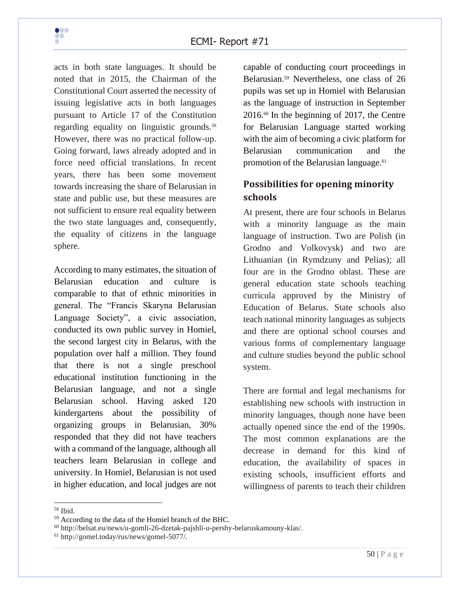

acts in both state languages. It should be noted that in 2015, the Chairman of the Constitutional Court asserted the necessity of issuing legislative acts in both languages pursuant to Article 17 of the Constitution regarding equality on linguistic grounds.<sup>58</sup> However, there was no practical follow-up. Going forward, laws already adopted and in force need official translations. In recent years, there has been some movement towards increasing the share of Belarusian in state and public use, but these measures are not sufficient to ensure real equality between the two state languages and, consequently, the equality of citizens in the language sphere.

According to many estimates, the situation of Belarusian education and culture is comparable to that of ethnic minorities in general. The "Francis Skaryna Belarusian Language Society", a civic association, conducted its own public survey in Homiel, the second largest city in Belarus, with the population over half a million. They found that there is not a single preschool educational institution functioning in the Belarusian language, and not a single Belarusian school. Having asked 120 kindergartens about the possibility of organizing groups in Belarusian, 30% responded that they did not have teachers with a command of the language, although all teachers learn Belarusian in college and university. In Homiel, Belarusian is not used in higher education, and local judges are not

capable of conducting court proceedings in Belarusian.<sup>59</sup> Nevertheless, one class of 26 pupils was set up in Homiel with Belarusian as the language of instruction in September 2016.<sup>60</sup> In the beginning of 2017, the Centre for Belarusian Language started working with the aim of becoming a civic platform for Belarusian communication and the promotion of the Belarusian language.<sup>61</sup>

# **Possibilities for opening minority schools**

At present, there are four schools in Belarus with a minority language as the main language of instruction. Two are Polish (in Grodno and Volkovysk) and two are Lithuanian (in Rymdzuny and Pelias); all four are in the Grodno oblast. These are general education state schools teaching curricula approved by the Ministry of Education of Belarus. State schools also teach national minority languages as subjects and there are optional school courses and various forms of complementary language and culture studies beyond the public school system.

There are formal and legal mechanisms for establishing new schools with instruction in minority languages, though none have been actually opened since the end of the 1990s. The most common explanations are the decrease in demand for this kind of education, the availability of spaces in existing schools, insufficient efforts and willingness of parents to teach their children

 $58$  Ibid.

<sup>59</sup> According to the data of the Homiel branch of the BHC.

<sup>60</sup> http://belsat.eu/news/u-gomli-26-dzetak-pajshli-u-pershy-belaruskamouny-klas/.

<sup>61</sup> http://gomel.today/rus/news/gomel-5077/.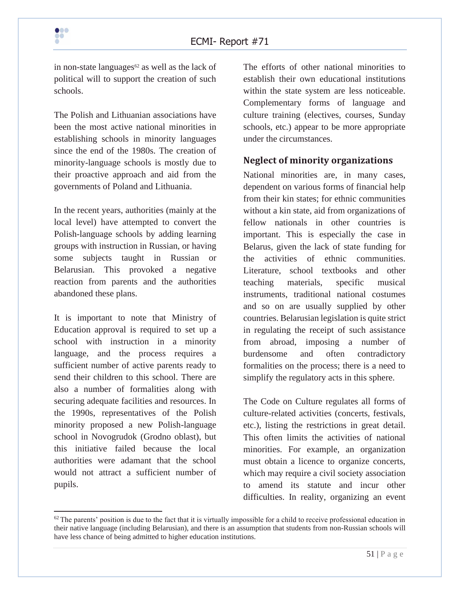in non-state languages $62$  as well as the lack of political will to support the creation of such schools.

The Polish and Lithuanian associations have been the most active national minorities in establishing schools in minority languages since the end of the 1980s. The creation of minority-language schools is mostly due to their proactive approach and aid from the governments of Poland and Lithuania.

In the recent years, authorities (mainly at the local level) have attempted to convert the Polish-language schools by adding learning groups with instruction in Russian, or having some subjects taught in Russian or Belarusian. This provoked a negative reaction from parents and the authorities abandoned these plans.

It is important to note that Ministry of Education approval is required to set up a school with instruction in a minority language, and the process requires a sufficient number of active parents ready to send their children to this school. There are also a number of formalities along with securing adequate facilities and resources. In the 1990s, representatives of the Polish minority proposed a new Polish-language school in Novogrudok (Grodno oblast), but this initiative failed because the local authorities were adamant that the school would not attract a sufficient number of pupils.

The efforts of other national minorities to establish their own educational institutions within the state system are less noticeable. Complementary forms of language and culture training (electives, courses, Sunday schools, etc.) appear to be more appropriate under the circumstances.

## **Neglect of minority organizations**

National minorities are, in many cases, dependent on various forms of financial help from their kin states; for ethnic communities without a kin state, aid from organizations of fellow nationals in other countries is important. This is especially the case in Belarus, given the lack of state funding for the activities of ethnic communities. Literature, school textbooks and other teaching materials, specific musical instruments, traditional national costumes and so on are usually supplied by other countries. Belarusian legislation is quite strict in regulating the receipt of such assistance from abroad, imposing a number of burdensome and often contradictory formalities on the process; there is a need to simplify the regulatory acts in this sphere.

The Code on Culture regulates all forms of culture-related activities (concerts, festivals, etc.), listing the restrictions in great detail. This often limits the activities of national minorities. For example, an organization must obtain a licence to organize concerts, which may require a civil society association to amend its statute and incur other difficulties. In reality, organizing an event

 $62$  The parents' position is due to the fact that it is virtually impossible for a child to receive professional education in their native language (including Belarusian), and there is an assumption that students from non-Russian schools will have less chance of being admitted to higher education institutions.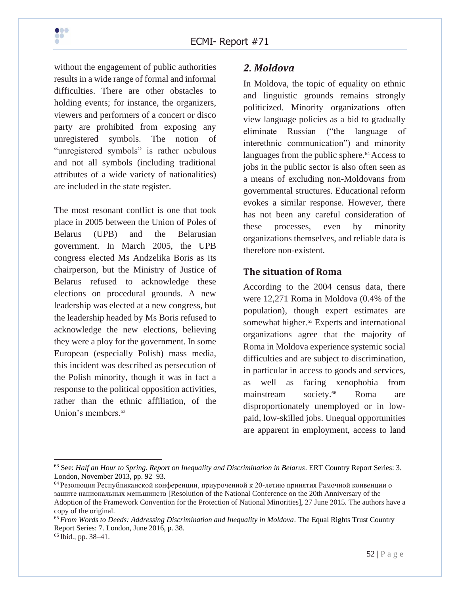without the engagement of public authorities results in a wide range of formal and informal difficulties. There are other obstacles to holding events; for instance, the organizers, viewers and performers of a concert or disco party are prohibited from exposing any unregistered symbols. The notion of "unregistered symbols" is rather nebulous and not all symbols (including traditional attributes of a wide variety of nationalities) are included in the state register.

The most resonant conflict is one that took place in 2005 between the Union of Poles of Belarus (UPB) and the Belarusian government. In March 2005, the UPB congress elected Ms Andzelika Boris as its chairperson, but the Ministry of Justice of Belarus refused to acknowledge these elections on procedural grounds. A new leadership was elected at a new congress, but the leadership headed by Ms Boris refused to acknowledge the new elections, believing they were a ploy for the government. In some European (especially Polish) mass media, this incident was described as persecution of the Polish minority, though it was in fact a response to the political opposition activities, rather than the ethnic affiliation, of the Union's members.<sup>63</sup>

## *2. Moldova*

In Moldova, the topic of equality on ethnic and linguistic grounds remains strongly politicized. Minority organizations often view language policies as a bid to gradually eliminate Russian ("the language of interethnic communication") and minority languages from the public sphere.<sup>64</sup> Access to jobs in the public sector is also often seen as a means of excluding non-Moldovans from governmental structures. Educational reform evokes a similar response. However, there has not been any careful consideration of these processes, even by minority organizations themselves, and reliable data is therefore non-existent.

## **The situation of Roma**

According to the 2004 census data, there were 12,271 Roma in Moldova (0.4% of the population), though expert estimates are somewhat higher.<sup>65</sup> Experts and international organizations agree that the majority of Roma in Moldova experience systemic social difficulties and are subject to discrimination, in particular in access to goods and services, as well as facing xenophobia from mainstream society.<sup>66</sup> Roma are disproportionately unemployed or in lowpaid, low-skilled jobs. Unequal opportunities are apparent in employment, access to land



<sup>63</sup> See: *Half an Hour to Spring. Report on Inequality and Discrimination in Belarus*. ERT Country Report Series: 3. London, November 2013, pp. 92–93.

 $64$  Резолюция Республиканской конференции, приуроченной к 20-летию принятия Рамочной конвенции о защите национальных меньшинств [Resolution of the National Conference on the 20th Anniversary of the Adoption of the Framework Convention for the Protection of National Minorities], 27 June 2015. The authors have a copy of the original.

<sup>65</sup> *From Words to Deeds: Addressing Discrimination and Inequality in Moldova*. The Equal Rights Trust Country Report Series: 7. London, June 2016, p. 38.

<sup>66</sup> Ibid., pp. 38–41.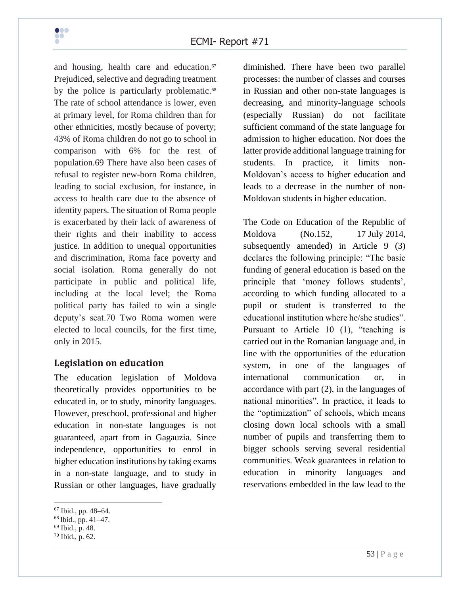

and housing, health care and education.<sup>67</sup> Prejudiced, selective and degrading treatment by the police is particularly problematic.<sup>68</sup> The rate of school attendance is lower, even at primary level, for Roma children than for other ethnicities, mostly because of poverty; 43% of Roma children do not go to school in comparison with 6% for the rest of population.69 There have also been cases of refusal to register new-born Roma children, leading to social exclusion, for instance, in access to health care due to the absence of identity papers. The situation of Roma people is exacerbated by their lack of awareness of their rights and their inability to access justice. In addition to unequal opportunities and discrimination, Roma face poverty and social isolation. Roma generally do not participate in public and political life, including at the local level; the Roma political party has failed to win a single deputy's seat.70 Two Roma women were elected to local councils, for the first time, only in 2015.

#### **Legislation on education**

The education legislation of Moldova theoretically provides opportunities to be educated in, or to study, minority languages. However, preschool, professional and higher education in non-state languages is not guaranteed, apart from in Gagauzia. Since independence, opportunities to enrol in higher education institutions by taking exams in a non-state language, and to study in Russian or other languages, have gradually

diminished. There have been two parallel processes: the number of classes and courses in Russian and other non-state languages is decreasing, and minority-language schools (especially Russian) do not facilitate sufficient command of the state language for admission to higher education. Nor does the latter provide additional language training for students. In practice, it limits non-Moldovan's access to higher education and leads to a decrease in the number of non-Moldovan students in higher education.

The Code on Education of the Republic of Moldova (No.152, 17 July 2014, subsequently amended) in Article 9 (3) declares the following principle: "The basic funding of general education is based on the principle that 'money follows students', according to which funding allocated to a pupil or student is transferred to the educational institution where he/she studies". Pursuant to Article 10 (1), "teaching is carried out in the Romanian language and, in line with the opportunities of the education system, in one of the languages of international communication or, in accordance with part (2), in the languages of national minorities". In practice, it leads to the "optimization" of schools, which means closing down local schools with a small number of pupils and transferring them to bigger schools serving several residential communities. Weak guarantees in relation to education in minority languages and reservations embedded in the law lead to the

<sup>67</sup> Ibid., pp. 48–64.

<sup>68</sup> Ibid., pp. 41–47.

<sup>69</sup> Ibid., p. 48.

<sup>70</sup> Ibid., p. 62.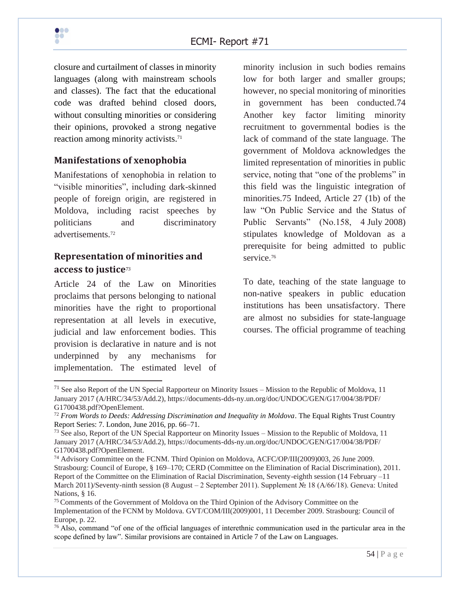

closure and curtailment of classes in minority languages (along with mainstream schools and classes). The fact that the educational code was drafted behind closed doors, without consulting minorities or considering their opinions, provoked a strong negative reaction among minority activists.<sup>71</sup>

#### **Manifestations of xenophobia**

Manifestations of xenophobia in relation to "visible minorities", including dark-skinned people of foreign origin, are registered in Moldova, including racist speeches by politicians and discriminatory advertisements.<sup>72</sup>

#### **Representation of minorities and access to justice**<sup>73</sup>

Article 24 of the Law on Minorities proclaims that persons belonging to national minorities have the right to proportional representation at all levels in executive, judicial and law enforcement bodies. This provision is declarative in nature and is not underpinned by any mechanisms for implementation. The estimated level of

minority inclusion in such bodies remains low for both larger and smaller groups; however, no special monitoring of minorities in government has been conducted.74 Another key factor limiting minority recruitment to governmental bodies is the lack of command of the state language. The government of Moldova acknowledges the limited representation of minorities in public service, noting that "one of the problems" in this field was the linguistic integration of minorities.75 Indeed, Article 27 (1b) of the law "On Public Service and the Status of Public Servants" (No.158, 4 July 2008) stipulates knowledge of Moldovan as a prerequisite for being admitted to public service.<sup>76</sup>

To date, teaching of the state language to non-native speakers in public education institutions has been unsatisfactory. There are almost no subsidies for state-language courses. The official programme of teaching

 $<sup>71</sup>$  See also Report of the UN Special Rapporteur on Minority Issues – Mission to the Republic of Moldova, 11</sup> January 2017 (A/HRC/34/53/Add.2), https://documents-dds-ny.un.org/doc/UNDOC/GEN/G17/004/38/PDF/ G1700438.pdf?OpenElement.

<sup>72</sup> *From Words to Deeds: Addressing Discrimination and Inequality in Moldova*. The Equal Rights Trust Country Report Series: 7. London, June 2016, pp. 66–71.

<sup>&</sup>lt;sup>73</sup> See also, Report of the UN Special Rapporteur on Minority Issues – Mission to the Republic of Moldova, 11 January 2017 (A/HRC/34/53/Add.2), https://documents-dds-ny.un.org/doc/UNDOC/GEN/G17/004/38/PDF/ G1700438.pdf?OpenElement.

<sup>74</sup> Advisory Committee on the FCNM. Third Opinion on Moldova, ACFC/OP/III(2009)003, 26 June 2009. Strasbourg: Council of Europe, § 169–170; CERD (Committee on the Elimination of Racial Discrimination), 2011. Report of the Committee on the Elimination of Racial Discrimination, Seventy-eighth session (14 February –11 March 2011)/Seventy-ninth session (8 August – 2 September 2011). Supplement № 18 (A/66/18). Geneva: United Nations, § 16.

<sup>&</sup>lt;sup>75</sup> Comments of the Government of Moldova on the Third Opinion of the Advisory Committee on the Implementation of the FCNM by Moldova. GVT/COM/III(2009)001, 11 December 2009. Strasbourg: Council of Europe, p. 22.

 $76$  Also, command "of one of the official languages of interethnic communication used in the particular area in the scope defined by law". Similar provisions are contained in Article 7 of the Law on Languages.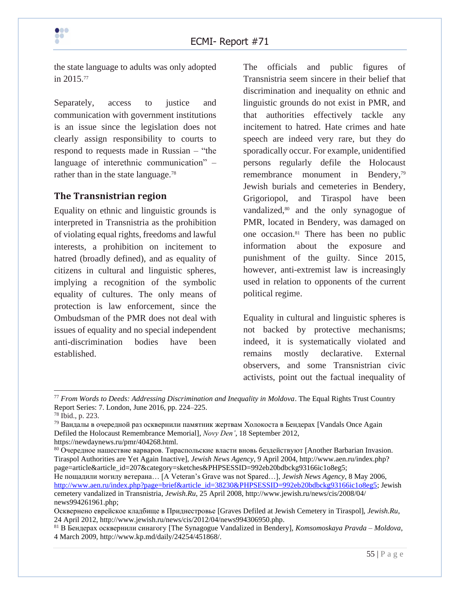

the state language to adults was only adopted in 2015.<sup>77</sup>

Separately, access to justice and communication with government institutions is an issue since the legislation does not clearly assign responsibility to courts to respond to requests made in Russian – "the language of interethnic communication" – rather than in the state language.<sup>78</sup>

#### **The Transnistrian region**

Equality on ethnic and linguistic grounds is interpreted in Transnistria as the prohibition of violating equal rights, freedoms and lawful interests, a prohibition on incitement to hatred (broadly defined), and as equality of citizens in cultural and linguistic spheres, implying a recognition of the symbolic equality of cultures. The only means of protection is law enforcement, since the Ombudsman of the PMR does not deal with issues of equality and no special independent anti-discrimination bodies have been established.

The officials and public figures of Transnistria seem sincere in their belief that discrimination and inequality on ethnic and linguistic grounds do not exist in PMR, and that authorities effectively tackle any incitement to hatred. Hate crimes and hate speech are indeed very rare, but they do sporadically occur. For example, unidentified persons regularly defile the Holocaust remembrance monument in Bendery,<sup>79</sup> Jewish burials and cemeteries in Bendery, Grigoriopol, and Tiraspol have been vandalized,<sup>80</sup> and the only synagogue of PMR, located in Bendery, was damaged on one occasion.<sup>81</sup> There has been no public information about the exposure and punishment of the guilty. Since 2015, however, anti-extremist law is increasingly used in relation to opponents of the current political regime.

Equality in cultural and linguistic spheres is not backed by protective mechanisms; indeed, it is systematically violated and remains mostly declarative. External observers, and some Transnistrian civic activists, point out the factual inequality of

<sup>77</sup> *From Words to Deeds: Addressing Discrimination and Inequality in Moldova*. The Equal Rights Trust Country Report Series: 7. London, June 2016, pp. 224–225.

<sup>78</sup> Ibid., p. 223.

<sup>&</sup>lt;sup>79</sup> Вандалы в очередной раз осквернили памятник жертвам Холокоста в Бендерах [Vandals Once Again Defiled the Holocaust Remembrance Memorial], *Novy Den'*, 18 September 2012, https://newdaynews.ru/pmr/404268.html.

<sup>&</sup>lt;sup>80</sup> Очередное нашествие варваров. Тираспольские власти вновь бездействуют [Another Barbarian Invasion. Tiraspol Authorities are Yet Again Inactive], *Jewish News Agency*, 9 April 2004, http://www.aen.ru/index.php? page=article&article\_id=207&category=sketches&PHPSESSID=992eb20bdbckg93166ic1o8eg5;

Не пощадили могилу ветерана… [A Veteran's Grave was not Spared…], *Jewish News Agency*, 8 May 2006, [http://www.aen.ru/index.php?page=brief&article\\_id=38230&PHPSESSID=992eb20bdbckg93166ic1o8eg5;](http://www.aen.ru/index.php?page=brief&article_id=38230&PHPSESSID=992eb20bdbckg93166ic1o8eg5) Jewish cemetery vandalized in Transnistria, *Jewish.Ru*, 25 April 2008, http://www.jewish.ru/news/cis/2008/04/ news994261961.php;

Осквернено еврейское кладбище в Приднестровье [Graves Defiled at Jewish Cemetery in Tiraspol], *Jewish.Ru*, 24 April 2012, http://www.jewish.ru/news/cis/2012/04/news994306950.php.

<sup>81</sup> В Бендерах осквернили синагогу [The Synagogue Vandalized in Bendery], *Komsomoskaya Pravda – Moldova*, 4 March 2009, http://www.kp.md/daily/24254/451868/.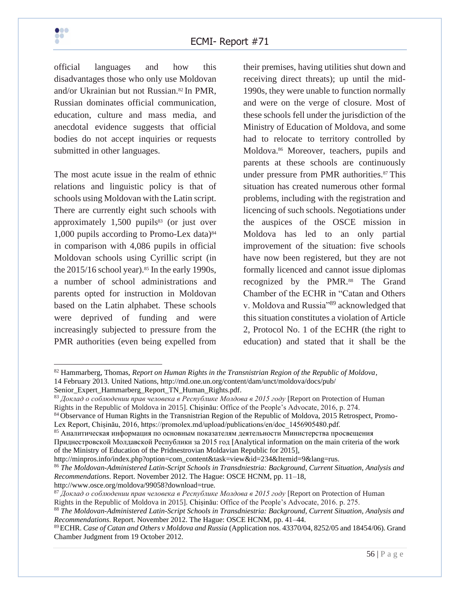official languages and how this disadvantages those who only use Moldovan and/or Ukrainian but not Russian.<sup>82</sup> In PMR, Russian dominates official communication, education, culture and mass media, and anecdotal evidence suggests that official bodies do not accept inquiries or requests submitted in other languages.

The most acute issue in the realm of ethnic relations and linguistic policy is that of schools using Moldovan with the Latin script. There are currently eight such schools with approximately  $1,500$  pupils<sup>83</sup> (or just over 1,000 pupils according to Promo-Lex data) $84$ in comparison with 4,086 pupils in official Moldovan schools using Cyrillic script (in the  $2015/16$  school year).<sup>85</sup> In the early 1990s, a number of school administrations and parents opted for instruction in Moldovan based on the Latin alphabet. These schools were deprived of funding and were increasingly subjected to pressure from the PMR authorities (even being expelled from

their premises, having utilities shut down and receiving direct threats); up until the mid-1990s, they were unable to function normally and were on the verge of closure. Most of these schools fell under the jurisdiction of the Ministry of Education of Moldova, and some had to relocate to territory controlled by Moldova.<sup>86</sup> Moreover, teachers, pupils and parents at these schools are continuously under pressure from PMR authorities.<sup>87</sup> This situation has created numerous other formal problems, including with the registration and licencing of such schools. Negotiations under the auspices of the OSCE mission in Moldova has led to an only partial improvement of the situation: five schools have now been registered, but they are not formally licenced and cannot issue diplomas recognized by the PMR.<sup>88</sup> The Grand Chamber of the ECHR in "Catan and Others v. Moldova and Russia"<sup>89</sup> acknowledged that this situation constitutes a violation of Article 2, Protocol No. 1 of the ECHR (the right to education) and stated that it shall be the

http://minpros.info/index.php?option=com\_content&task=view&id=234&Itemid=9&lang=rus.

<sup>86</sup> *The Moldovan-Administered Latin-Script Schools in Transdniestria: Background, Current Situation, Analysis and Recommendations*. Report. November 2012. The Hague: OSCE HCNM, pp. 11–18,

http://www.osce.org/moldova/99058?download=true.

<sup>82</sup> Hammarberg, Thomas, *Report on Human Rights in the Transnistrian Region of the Republic of Moldova*, 14 February 2013. United Nations, http://md.one.un.org/content/dam/unct/moldova/docs/pub/ Senior\_Expert\_Hammarberg\_Report\_TN\_Human\_Rights.pdf.

<sup>83</sup> *Доклад о соблюдении прав человека в Республике Молдова в 2015 году* [Report on Protection of Human Rights in the Republic of Moldova in 2015]. Chișinău: Office of the People's Advocate, 2016, p. 274.

<sup>84</sup> Observance of Human Rights in the Transnistrian Region of the Republic of Moldova, 2015 Retrospect, Promo-Lex Report, Chișinău, 2016, https://promolex.md/upload/publications/en/doc\_1456905480.pdf.

<sup>85</sup> Аналитическая информация по основным показателям деятельности Министерства просвещения Приднестровской Молдавской Республики за 2015 год [Analytical information on the main criteria of the work of the Ministry of Education of the Pridnestrovian Moldavian Republic for 2015],

<sup>87</sup> *Доклад о соблюдении прав человека в Республике Молдова в 2015 году* [Report on Protection of Human Rights in the Republic of Moldova in 2015]. Chișinău: Office of the People's Advocate, 2016. p. 275.

<sup>88</sup> *The Moldovan-Administered Latin-Script Schools in Transdniestria: Background, Current Situation, Analysis and Recommendations*. Report. November 2012. The Hague: OSCE HCNM, pp. 41–44.

<sup>89</sup>ECHR. *Case of Catan and Others v Moldova and Russia* (Application nos. 43370/04, 8252/05 and 18454/06). Grand Chamber Judgment from 19 October 2012.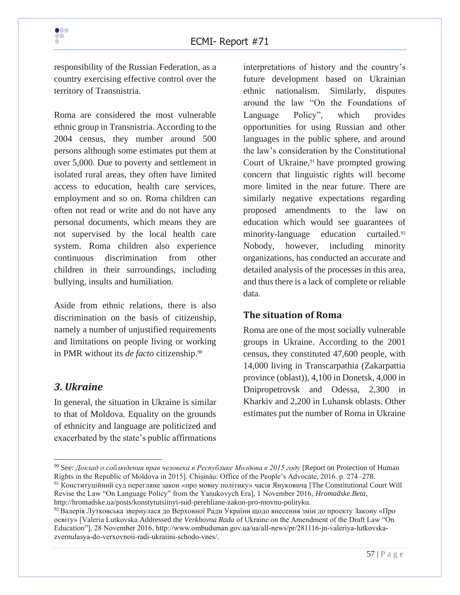responsibility of the Russian Federation, as a country exercising effective control over the territory of Transnistria.

Roma are considered the most vulnerable ethnic group in Transnistria. According to the 2004 census, they number around 500 persons although some estimates put them at over 5,000. Due to poverty and settlement in isolated rural areas, they often have limited access to education, health care services, employment and so on. Roma children can often not read or write and do not have any personal documents, which means they are not supervised by the local health care system. Roma children also experience continuous discrimination from other children in their surroundings, including bullying, insults and humiliation.

Aside from ethnic relations, there is also discrimination on the basis of citizenship, namely a number of unjustified requirements and limitations on people living or working in PMR without its *de facto* citizenship.<sup>90</sup>

## *3. Ukraine*

In general, the situation in Ukraine is similar to that of Moldova. Equality on the grounds of ethnicity and language are politicized and exacerbated by the state's public affirmations

interpretations of history and the country's future development based on Ukrainian ethnic nationalism. Similarly, disputes around the law "On the Foundations of Language Policy", which provides opportunities for using Russian and other languages in the public sphere, and around the law's consideration by the Constitutional Court of Ukraine,<sup>91</sup> have prompted growing concern that linguistic rights will become more limited in the near future. There are similarly negative expectations regarding proposed amendments to the law on education which would see guarantees of minority-language education curtailed.<sup>92</sup> Nobody, however, including minority organizations, has conducted an accurate and detailed analysis of the processes in this area, and thus there is a lack of complete or reliable data.

## **The situation of Roma**

Roma are one of the most socially vulnerable groups in Ukraine. According to the 2001 census, they constituted 47,600 people, with 14,000 living in Transcarpathia (Zakarpattia province (oblast)), 4,100 in Donetsk, 4,000 in Dnipropetrovsk and Odessa, 2,300 in Kharkiv and 2,200 in Luhansk oblasts. Other estimates put the number of Roma in Ukraine

<sup>90</sup> See: *Доклад о соблюдении прав человека в Республике Молдова в 2015 году* [Report on Protection of Human Rights in the Republic of Moldova in 2015]. Chișinău: Office of the People's Advocate, 2016. p. 274–278.

<sup>91</sup> Конституційний суд перегляне закон «про мовну політику» часів Януковича [The Constitutional Court Will Revise the Law "On Language Policy" from the Yanukovych Era], 1 November 2016, *Hromadske.Beta*, http://hromadske.ua/posts/konstytutsiinyi-sud-perehliane-zakon-pro-movnu-polityku.

<sup>92</sup> Валерія Лутковська звернулася до Верховної Ради України щодо внесення змін до проекту Закону «Про освіту» [Valeria Lutkovska Addressed the *Verkhovna Rada* of Ukraine on the Amendment of the Draft Law "On Education"], 28 November 2016, http://www.ombudsman.gov.ua/ua/all-news/pr/281116-jn-valeriya-lutkovskazvernulasya-do-verxovnoii-radi-ukraiini-schodo-vnes/.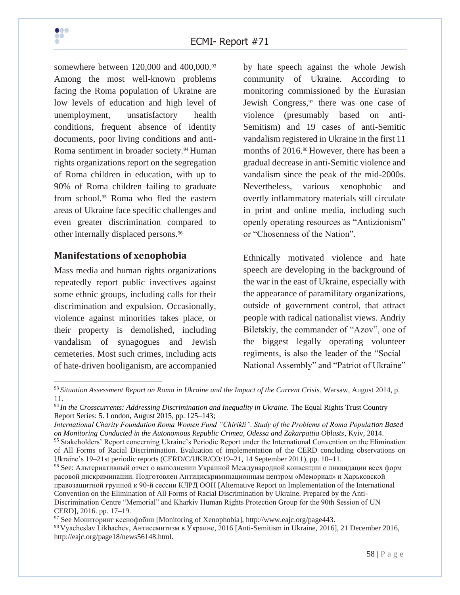

somewhere between 120,000 and 400,000.<sup>93</sup> Among the most well-known problems facing the Roma population of Ukraine are low levels of education and high level of unemployment, unsatisfactory health conditions, frequent absence of identity documents, poor living conditions and anti-Roma sentiment in broader society.<sup>94</sup> Human rights organizations report on the segregation of Roma children in education, with up to 90% of Roma children failing to graduate from school.<sup>95</sup> Roma who fled the eastern areas of Ukraine face specific challenges and even greater discrimination compared to other internally displaced persons.<sup>96</sup>

#### **Manifestations of xenophobia**

Mass media and human rights organizations repeatedly report public invectives against some ethnic groups, including calls for their discrimination and expulsion. Occasionally, violence against minorities takes place, or their property is demolished, including vandalism of synagogues and Jewish cemeteries. Most such crimes, including acts of hate-driven hooliganism, are accompanied by hate speech against the whole Jewish community of Ukraine. According to monitoring commissioned by the Eurasian Jewish Congress, $97$  there was one case of violence (presumably based on anti-Semitism) and 19 cases of anti-Semitic vandalism registered in Ukraine in the first 11 months of 2016.<sup>98</sup> However, there has been a gradual decrease in anti-Semitic violence and vandalism since the peak of the mid-2000s. Nevertheless, various xenophobic and overtly inflammatory materials still circulate in print and online media, including such openly operating resources as "Antizionism" or "Chosenness of the Nation".

Ethnically motivated violence and hate speech are developing in the background of the war in the east of Ukraine, especially with the appearance of paramilitary organizations, outside of government control, that attract people with radical nationalist views. Andriy Biletskiy, the commander of "Azov", one of the biggest legally operating volunteer regiments, is also the leader of the "Social– National Assembly" and "Patriot of Ukraine"

<sup>97</sup> See Мониторинг ксенофобии [Monitoring of Xenophobia], http://www.eajc.org/page443. <sup>98</sup> Vyacheslav Likhachev, Антисемитизм в Украине, 2016 [Anti-Semitism in Ukraine, 2016], 21 December 2016, http://eajc.org/page18/news56148.html.

<sup>93</sup> *Situation Assessment Report on Roma in Ukraine and the Impact of the Current Crisis*. Warsaw, August 2014, p. 11.

<sup>&</sup>lt;sup>94</sup> In the Crosscurrents: Addressing Discrimination and Inequality in Ukraine. The Equal Rights Trust Country Report Series: 5. London, August 2015, pp. 125–143;

*International Charity Foundation Roma Women Fund "Chirikli". Study of the Problems of Roma Population Based on Monitoring Conducted in the Autonomous Republic Crimea, Odessa and Zakarpattia Oblasts*, Kyiv, 2014.

<sup>95</sup> Stakeholders' Report concerning Ukraine's Periodic Report under the International Convention on the Elimination of All Forms of Racial Discrimination. Evaluation of implementation of the CERD concluding observations on Ukraine's 19–21st periodic reports (CERD/C/UKR/CO/19–21, 14 September 2011), pp. 10–11.

<sup>96</sup> See: Альтернативный отчет о выполнении Украиной Международной конвенции о ликвидации всех форм расовой дискриминации. Подготовлен Антидискриминационным центром «Мемориал» и Харьковской правозащитной группой к 90-й сессии КЛРД ООН [Alternative Report on Implementation of the International Convention on the Elimination of All Forms of Racial Discrimination by Ukraine. Prepared by the Anti-Discrimination Centre "Memorial" and Kharkiv Human Rights Protection Group for the 90th Session of UN CERD], 2016. pp. 17–19.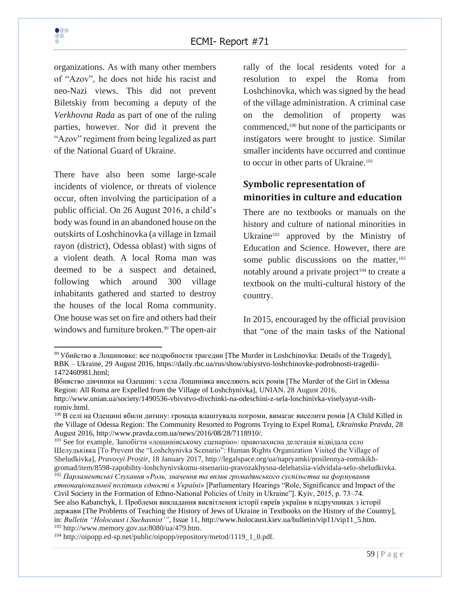

organizations. As with many other members of "Azov", he does not hide his racist and neo-Nazi views. This did not prevent Biletskiy from becoming a deputy of the *Verkhovna Rada* as part of one of the ruling parties, however. Nor did it prevent the "Azov" regiment from being legalized as part of the National Guard of Ukraine.

There have also been some large-scale incidents of violence, or threats of violence occur, often involving the participation of a public official. On 26 August 2016, a child's body was found in an abandoned house on the outskirts of Loshchinovka (a village in Izmail rayon (district), Odessa oblast) with signs of a violent death. A local Roma man was deemed to be a suspect and detained, following which around 300 village inhabitants gathered and started to destroy the houses of the local Roma community. One house was set on fire and others had their windows and furniture broken.<sup>99</sup> The open-air

rally of the local residents voted for a resolution to expel the Roma from Loshchinovka, which was signed by the head of the village administration. A criminal case on the demolition of property was commenced,<sup>100</sup> but none of the participants or instigators were brought to justice. Similar smaller incidents have occurred and continue to occur in other parts of Ukraine.<sup>101</sup>

## **Symbolic representation of minorities in culture and education**

There are no textbooks or manuals on the history and culture of national minorities in Ukraine<sup>102</sup> approved by the Ministry of Education and Science. However, there are some public discussions on the matter,  $103$ notably around a private project<sup>104</sup> to create a textbook on the multi-cultural history of the country.

In 2015, encouraged by the official provision that "one of the main tasks of the National

 $99$  Убийство в Лощиновке: все подробности трагедии [The Murder in Loshchinovka: Details of the Tragedy], RBK – Ukraine, 29 August 2016, https://daily.rbc.ua/rus/show/ubiystvo-loshchinovke-podrobnosti-tragedii-1472460981.html;

Вбивство дівчинки на Одещині: з села Лощинівка виселяють всіх ромів [The Murder of the Girl in Odessa Region: All Roma are Expelled from the Village of Loshchynivka], UNIAN. 28 August 2016, http://www.unian.ua/society/1490536-vbivstvo-divchinki-na-odeschini-z-sela-loschinivka-viselyayut-vsihromiv.html.

<sup>100</sup> В селі на Одещині вбили дитину: громада влаштувала погроми, вимагає виселити ромів [A Child Killed in the Village of Odessa Region: The Community Resorted to Pogroms Trying to Expel Roma], *Ukrainska Pravda*, 28 August 2016, http://www.pravda.com.ua/news/2016/08/28/7118910/.

<sup>101</sup> See for example, Запобігти «лощинівському сценарію»: правозахисна делегація відвідала село Шелудьківка [To Prevent the "Loshchynivka Scenario": Human Rights Organization Visited the Village of Sheludkivka], *Pravovyi Prostir*, 18 January 2017, http://legalspace.org/ua/napryamki/posilennya-romskikhgromad/item/8598-zapobihty-loshchynivskomu-stsenariiu-pravozakhysna-delehatsiia-vidvidala-selo-sheludkivka.

<sup>&</sup>lt;sup>102</sup> Парламентські Слухання «Роль, значення та вплив громадянського суспільства на формування *етнонаціональної політики єдності в Україні»* [Parliamentary Hearings "Role, Significance and Impact of the Civil Society in the Formation of Ethno-National Policies of Unity in Ukraine"]. Kyiv, 2015, p. 73–74. See also Kabanchyk, I. Проблеми викладання висвітлення історії євреїв україни в підручниках з історії держави [The Problems of Teaching the History of Jews of Ukraine in Textbooks on the History of the Country], in: *Bulletin "Holocaust i Suchasnist'"*, Issue 11, http://www.holocaust.kiev.ua/bulletin/vip11/vip11\_5.htm. <sup>103</sup> http://www.memory.gov.ua:8080/ua/479.htm.

<sup>&</sup>lt;sup>104</sup> http://oipopp.ed-sp.net/public/oipopp/repository/metod/1119\_1\_0.pdf.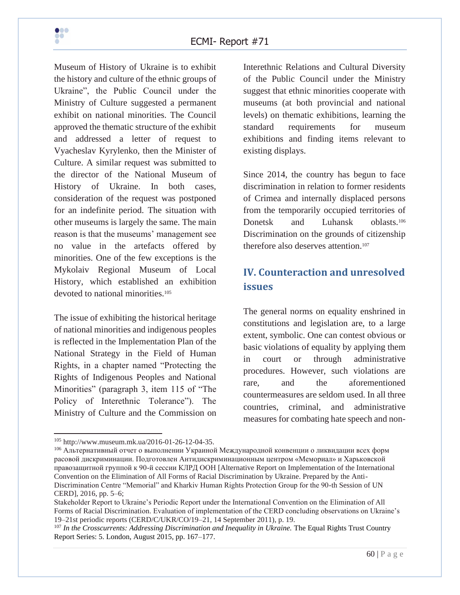

Museum of History of Ukraine is to exhibit the history and culture of the ethnic groups of Ukraine", the Public Council under the Ministry of Culture suggested a permanent exhibit on national minorities. The Council approved the thematic structure of the exhibit and addressed a letter of request to Vyacheslav Kyrylenko, then the Minister of Culture. A similar request was submitted to the director of the National Museum of History of Ukraine. In both cases, consideration of the request was postponed for an indefinite period. The situation with other museums is largely the same. The main reason is that the museums' management see no value in the artefacts offered by minorities. One of the few exceptions is the Mykolaiv Regional Museum of Local History, which established an exhibition devoted to national minorities.<sup>105</sup>

The issue of exhibiting the historical heritage of national minorities and indigenous peoples is reflected in the Implementation Plan of the National Strategy in the Field of Human Rights, in a chapter named "Protecting the Rights of Indigenous Peoples and National Minorities" (paragraph 3, item 115 of "The Policy of Interethnic Tolerance"). The Ministry of Culture and the Commission on Interethnic Relations and Cultural Diversity of the Public Council under the Ministry suggest that ethnic minorities cooperate with museums (at both provincial and national levels) on thematic exhibitions, learning the standard requirements for museum exhibitions and finding items relevant to existing displays.

Since 2014, the country has begun to face discrimination in relation to former residents of Crimea and internally displaced persons from the temporarily occupied territories of Donetsk and Luhansk oblasts.<sup>106</sup> Discrimination on the grounds of citizenship therefore also deserves attention.<sup>107</sup>

# **IV. Counteraction and unresolved issues**

The general norms on equality enshrined in constitutions and legislation are, to a large extent, symbolic. One can contest obvious or basic violations of equality by applying them in court or through administrative procedures. However, such violations are rare, and the aforementioned countermeasures are seldom used. In all three countries, criminal, and administrative measures for combating hate speech and non-

<sup>105</sup> http://www.museum.mk.ua/2016-01-26-12-04-35.

<sup>106</sup> Альтернативный отчет о выполнении Украиной Международной конвенции о ликвидации всех форм расовой дискриминации. Подготовлен Антидискриминационным центром «Мемориал» и Харьковской правозащитной группой к 90-й сессии КЛРД ООН [Alternative Report on Implementation of the International Convention on the Elimination of All Forms of Racial Discrimination by Ukraine. Prepared by the Anti-Discrimination Centre "Memorial" and Kharkiv Human Rights Protection Group for the 90-th Session of UN CERD], 2016, pp. 5–6;

Stakeholder Report to Ukraine's Periodic Report under the International Convention on the Elimination of All Forms of Racial Discrimination. Evaluation of implementation of the CERD concluding observations on Ukraine's 19–21st periodic reports (CERD/C/UKR/CO/19–21, 14 September 2011), p. 19.

<sup>&</sup>lt;sup>107</sup> In the Crosscurrents: Addressing Discrimination and Inequality in Ukraine. The Equal Rights Trust Country Report Series: 5. London, August 2015, pp. 167–177.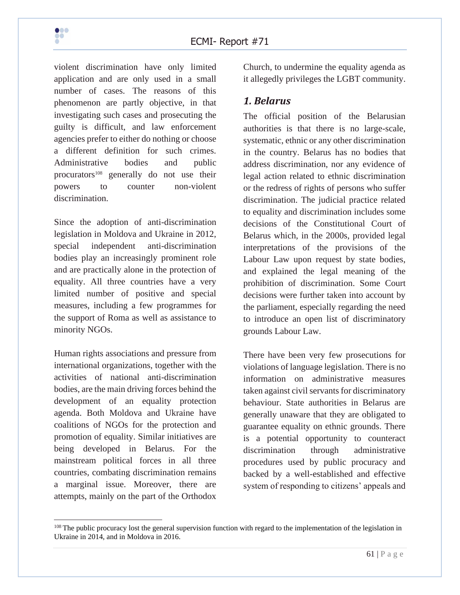

violent discrimination have only limited application and are only used in a small number of cases. The reasons of this phenomenon are partly objective, in that investigating such cases and prosecuting the guilty is difficult, and law enforcement agencies prefer to either do nothing or choose a different definition for such crimes. Administrative bodies and public procurators<sup>108</sup> generally do not use their powers to counter non-violent discrimination.

Since the adoption of anti-discrimination legislation in Moldova and Ukraine in 2012, special independent anti-discrimination bodies play an increasingly prominent role and are practically alone in the protection of equality. All three countries have a very limited number of positive and special measures, including a few programmes for the support of Roma as well as assistance to minority NGOs.

Human rights associations and pressure from international organizations, together with the activities of national anti-discrimination bodies, are the main driving forces behind the development of an equality protection agenda. Both Moldova and Ukraine have coalitions of NGOs for the protection and promotion of equality. Similar initiatives are being developed in Belarus. For the mainstream political forces in all three countries, combating discrimination remains a marginal issue. Moreover, there are attempts, mainly on the part of the Orthodox

Church, to undermine the equality agenda as it allegedly privileges the LGBT community.

## *1. Belarus*

The official position of the Belarusian authorities is that there is no large-scale, systematic, ethnic or any other discrimination in the country. Belarus has no bodies that address discrimination, nor any evidence of legal action related to ethnic discrimination or the redress of rights of persons who suffer discrimination. The judicial practice related to equality and discrimination includes some decisions of the Constitutional Court of Belarus which, in the 2000s, provided legal interpretations of the provisions of the Labour Law upon request by state bodies, and explained the legal meaning of the prohibition of discrimination. Some Court decisions were further taken into account by the parliament, especially regarding the need to introduce an open list of discriminatory grounds Labour Law.

There have been very few prosecutions for violations of language legislation. There is no information on administrative measures taken against civil servants for discriminatory behaviour. State authorities in Belarus are generally unaware that they are obligated to guarantee equality on ethnic grounds. There is a potential opportunity to counteract discrimination through administrative procedures used by public procuracy and backed by a well-established and effective system of responding to citizens' appeals and

<sup>&</sup>lt;sup>108</sup> The public procuracy lost the general supervision function with regard to the implementation of the legislation in Ukraine in 2014, and in Moldova in 2016.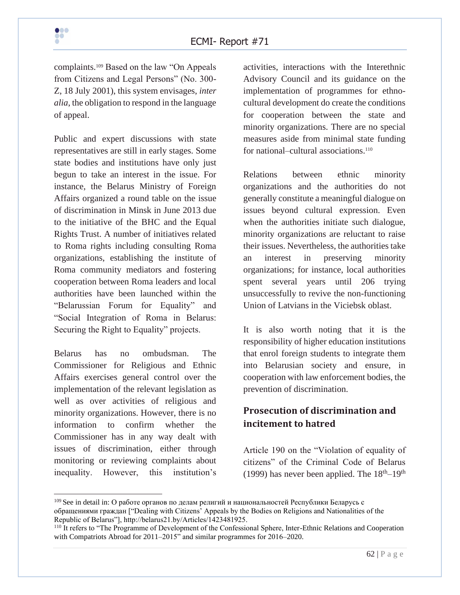complaints.<sup>109</sup> Based on the law "On Appeals from Citizens and Legal Persons" (No. 300- Z, 18 July 2001), this system envisages, *inter alia*, the obligation to respond in the language of appeal.

Public and expert discussions with state representatives are still in early stages. Some state bodies and institutions have only just begun to take an interest in the issue. For instance, the Belarus Ministry of Foreign Affairs organized a round table on the issue of discrimination in Minsk in June 2013 due to the initiative of the BHC and the Equal Rights Trust. A number of initiatives related to Roma rights including consulting Roma organizations, establishing the institute of Roma community mediators and fostering cooperation between Roma leaders and local authorities have been launched within the "Belarussian Forum for Equality" and "Social Integration of Roma in Belarus: Securing the Right to Equality" projects.

Belarus has no ombudsman. The Commissioner for Religious and Ethnic Affairs exercises general control over the implementation of the relevant legislation as well as over activities of religious and minority organizations. However, there is no information to confirm whether the Commissioner has in any way dealt with issues of discrimination, either through monitoring or reviewing complaints about inequality. However, this institution's

activities, interactions with the Interethnic Advisory Council and its guidance on the implementation of programmes for ethnocultural development do create the conditions for cooperation between the state and minority organizations. There are no special measures aside from minimal state funding for national–cultural associations.<sup>110</sup>

Relations between ethnic minority organizations and the authorities do not generally constitute a meaningful dialogue on issues beyond cultural expression. Even when the authorities initiate such dialogue, minority organizations are reluctant to raise their issues. Nevertheless, the authorities take an interest in preserving minority organizations; for instance, local authorities spent several years until 206 trying unsuccessfully to revive the non-functioning Union of Latvians in the Viciebsk oblast.

It is also worth noting that it is the responsibility of higher education institutions that enrol foreign students to integrate them into Belarusian society and ensure, in cooperation with law enforcement bodies, the prevention of discrimination.

## **Prosecution of discrimination and incitement to hatred**

Article 190 on the "Violation of equality of citizens" of the Criminal Code of Belarus (1999) has never been applied. The  $18<sup>th</sup>-19<sup>th</sup>$ 

<sup>&</sup>lt;sup>109</sup> See in detail in: О работе органов по делам религий и национальностей Республики Беларусь с обращениями граждан ["Dealing with Citizens' Appeals by the Bodies on Religions and Nationalities of the Republic of Belarus"], http://belarus21.by/Articles/1423481925.

<sup>&</sup>lt;sup>110</sup> It refers to "The Programme of Development of the Confessional Sphere, Inter-Ethnic Relations and Cooperation with Compatriots Abroad for 2011–2015" and similar programmes for 2016–2020.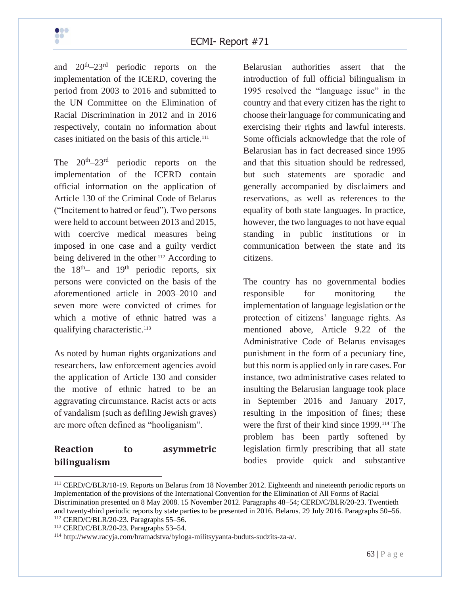and  $20<sup>th</sup>-23<sup>rd</sup>$ periodic reports on the implementation of the ICERD, covering the period from 2003 to 2016 and submitted to the UN Committee on the Elimination of Racial Discrimination in 2012 and in 2016 respectively, contain no information about cases initiated on the basis of this article.<sup>111</sup>

The  $20^{th} - 23^{rd}$  periodic reports on the implementation of the ICERD contain official information on the application of Article 130 of the Criminal Code of Belarus ("Incitement to hatred or feud"). Two persons were held to account between 2013 and 2015, with coercive medical measures being imposed in one case and a guilty verdict being delivered in the other.<sup>112</sup> According to the  $18<sup>th</sup>$  and  $19<sup>th</sup>$  periodic reports, six persons were convicted on the basis of the aforementioned article in 2003–2010 and seven more were convicted of crimes for which a motive of ethnic hatred was a qualifying characteristic.<sup>113</sup>

As noted by human rights organizations and researchers, law enforcement agencies avoid the application of Article 130 and consider the motive of ethnic hatred to be an aggravating circumstance. Racist acts or acts of vandalism (such as defiling Jewish graves) are more often defined as "hooliganism".

## **Reaction to asymmetric bilingualism**

Belarusian authorities assert that the introduction of full official bilingualism in 1995 resolved the "language issue" in the country and that every citizen has the right to choose their language for communicating and exercising their rights and lawful interests. Some officials acknowledge that the role of Belarusian has in fact decreased since 1995 and that this situation should be redressed, but such statements are sporadic and generally accompanied by disclaimers and reservations, as well as references to the equality of both state languages. In practice, however, the two languages to not have equal standing in public institutions or in communication between the state and its citizens.

The country has no governmental bodies responsible for monitoring the implementation of language legislation or the protection of citizens' language rights. As mentioned above, Article 9.22 of the Administrative Code of Belarus envisages punishment in the form of a pecuniary fine, but this norm is applied only in rare cases. For instance, two administrative cases related to insulting the Belarusian language took place in September 2016 and January 2017, resulting in the imposition of fines; these were the first of their kind since 1999.<sup>114</sup> The problem has been partly softened by legislation firmly prescribing that all state bodies provide quick and substantive

<sup>111</sup> CERD/C/BLR/18-19. Reports on Belarus from 18 November 2012. Eighteenth and nineteenth periodic reports on Implementation of the provisions of the International Convention for the Elimination of All Forms of Racial Discrimination presented on 8 May 2008. 15 November 2012. Paragraphs 48–54; CERD/C/BLR/20-23. Twentieth and twenty-third periodic reports by state parties to be presented in 2016. Belarus. 29 July 2016. Paragraphs 50–56. <sup>112</sup> CERD/C/BLR/20-23. Paragraphs 55–56.

<sup>113</sup> CERD/C/BLR/20-23. Paragraphs 53–54.

<sup>114</sup> http://www.racyja.com/hramadstva/byloga-militsyyanta-buduts-sudzits-za-a/.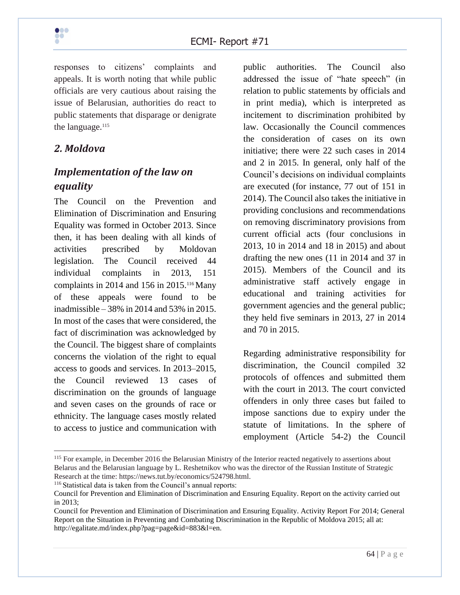

responses to citizens' complaints and appeals. It is worth noting that while public officials are very cautious about raising the issue of Belarusian, authorities do react to public statements that disparage or denigrate the language.<sup>115</sup>

## *2. Moldova*

# *Implementation of the law on equality*

The Council on the Prevention and Elimination of Discrimination and Ensuring Equality was formed in October 2013. Since then, it has been dealing with all kinds of activities prescribed by Moldovan legislation. The Council received 44 individual complaints in 2013, 151 complaints in 2014 and 156 in 2015.<sup>116</sup> Many of these appeals were found to be inadmissible – 38% in 2014 and 53% in 2015. In most of the cases that were considered, the fact of discrimination was acknowledged by the Council. The biggest share of complaints concerns the violation of the right to equal access to goods and services. In 2013–2015, the Council reviewed 13 cases of discrimination on the grounds of language and seven cases on the grounds of race or ethnicity. The language cases mostly related to access to justice and communication with public authorities. The Council also addressed the issue of "hate speech" (in relation to public statements by officials and in print media), which is interpreted as incitement to discrimination prohibited by law. Occasionally the Council commences the consideration of cases on its own initiative; there were 22 such cases in 2014 and 2 in 2015. In general, only half of the Council's decisions on individual complaints are executed (for instance, 77 out of 151 in 2014). The Council also takes the initiative in providing conclusions and recommendations on removing discriminatory provisions from current official acts (four conclusions in 2013, 10 in 2014 and 18 in 2015) and about drafting the new ones (11 in 2014 and 37 in 2015). Members of the Council and its administrative staff actively engage in educational and training activities for government agencies and the general public; they held five seminars in 2013, 27 in 2014 and 70 in 2015.

Regarding administrative responsibility for discrimination, the Council compiled 32 protocols of offences and submitted them with the court in 2013. The court convicted offenders in only three cases but failed to impose sanctions due to expiry under the statute of limitations. In the sphere of employment (Article 54-2) the Council

<sup>116</sup> Statistical data is taken from the Council's annual reports:

<sup>&</sup>lt;sup>115</sup> For example, in December 2016 the Belarusian Ministry of the Interior reacted negatively to assertions about Belarus and the Belarusian language by L. Reshetnikov who was the director of the Russian Institute of Strategic Research at the time: https://news.tut.by/economics/524798.html.

Council for Prevention and Elimination of Discrimination and Ensuring Equality. Report on the activity carried out in 2013;

Council for Prevention and Elimination of Discrimination and Ensuring Equality. Activity Report For 2014; General Report on the Situation in Preventing and Combating Discrimination in the Republic of Moldova 2015; all at: http://egalitate.md/index.php?pag=page&id=883&l=en.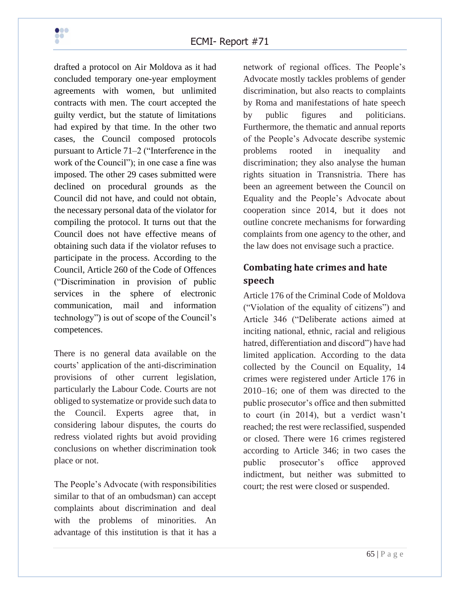

drafted a protocol on Air Moldova as it had concluded temporary one-year employment agreements with women, but unlimited contracts with men. The court accepted the guilty verdict, but the statute of limitations had expired by that time. In the other two cases, the Council composed protocols pursuant to Article 71–2 ("Interference in the work of the Council"); in one case a fine was imposed. The other 29 cases submitted were declined on procedural grounds as the Council did not have, and could not obtain, the necessary personal data of the violator for compiling the protocol. It turns out that the Council does not have effective means of obtaining such data if the violator refuses to participate in the process. According to the Council, Article 260 of the Code of Offences ("Discrimination in provision of public services in the sphere of electronic communication, mail and information technology") is out of scope of the Council's competences.

There is no general data available on the courts' application of the anti-discrimination provisions of other current legislation, particularly the Labour Code. Courts are not obliged to systematize or provide such data to the Council. Experts agree that, in considering labour disputes, the courts do redress violated rights but avoid providing conclusions on whether discrimination took place or not.

The People's Advocate (with responsibilities similar to that of an ombudsman) can accept complaints about discrimination and deal with the problems of minorities. An advantage of this institution is that it has a network of regional offices. The People's Advocate mostly tackles problems of gender discrimination, but also reacts to complaints by Roma and manifestations of hate speech by public figures and politicians. Furthermore, the thematic and annual reports of the People's Advocate describe systemic problems rooted in inequality and discrimination; they also analyse the human rights situation in Transnistria. There has been an agreement between the Council on Equality and the People's Advocate about cooperation since 2014, but it does not outline concrete mechanisms for forwarding complaints from one agency to the other, and the law does not envisage such a practice.

# **Combating hate crimes and hate speech**

Article 176 of the Criminal Code of Moldova ("Violation of the equality of citizens") and Article 346 ("Deliberate actions aimed at inciting national, ethnic, racial and religious hatred, differentiation and discord") have had limited application. According to the data collected by the Council on Equality, 14 crimes were registered under Article 176 in 2010–16; one of them was directed to the public prosecutor's office and then submitted to court (in 2014), but a verdict wasn't reached; the rest were reclassified, suspended or closed. There were 16 crimes registered according to Article 346; in two cases the public prosecutor's office approved indictment, but neither was submitted to court; the rest were closed or suspended.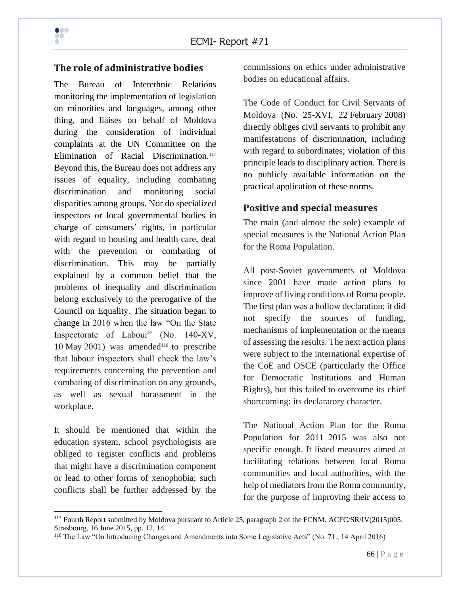#### **The role of administrative bodies**

The Bureau of Interethnic Relations monitoring the implementation of legislation on minorities and languages, among other thing, and liaises on behalf of Moldova during the consideration of individual complaints at the UN Committee on the Elimination of Racial Discrimination.<sup>117</sup> Beyond this, the Bureau does not address any issues of equality, including combating discrimination and monitoring social disparities among groups. Nor do specialized inspectors or local governmental bodies in charge of consumers' rights, in particular with regard to housing and health care, deal with the prevention or combating of discrimination. This may be partially explained by a common belief that the problems of inequality and discrimination belong exclusively to the prerogative of the Council on Equality. The situation began to change in 2016 when the law "On the State Inspectorate of Labour" (No. 140-XV, 10 May 2001) was amended<sup>118</sup> to prescribe that labour inspectors shall check the law's requirements concerning the prevention and combating of discrimination on any grounds, as well as sexual harassment in the workplace.

It should be mentioned that within the education system, school psychologists are obliged to register conflicts and problems that might have a discrimination component or lead to other forms of xenophobia; such conflicts shall be further addressed by the

commissions on ethics under administrative bodies on educational affairs.

The Code of Conduct for Civil Servants of Moldova (No. 25-XVI, 22 February 2008) directly obliges civil servants to prohibit any manifestations of discrimination, including with regard to subordinates; violation of this principle leads to disciplinary action. There is no publicly available information on the practical application of these norms.

#### **Positive and special measures**

The main (and almost the sole) example of special measures is the National Action Plan for the Roma Population.

All post-Soviet governments of Moldova since 2001 have made action plans to improve of living conditions of Roma people. The first plan was a hollow declaration; it did not specify the sources of funding, mechanisms of implementation or the means of assessing the results. The next action plans were subject to the international expertise of the CoE and OSCE (particularly the Office for Democratic Institutions and Human Rights), but this failed to overcome its chief shortcoming: its declaratory character.

The National Action Plan for the Roma Population for 2011–2015 was also not specific enough. It listed measures aimed at facilitating relations between local Roma communities and local authorities, with the help of mediators from the Roma community, for the purpose of improving their access to

<sup>&</sup>lt;sup>117</sup> Fourth Report submitted by Moldova pursuant to Article 25, paragraph 2 of the FCNM. ACFC/SR/IV(2015)005. Strasbourg, 16 June 2015, pp. 12, 14.

<sup>118</sup> The Law "On Introducing Changes and Amendments into Some Legislative Acts" (No. 71., 14 April 2016)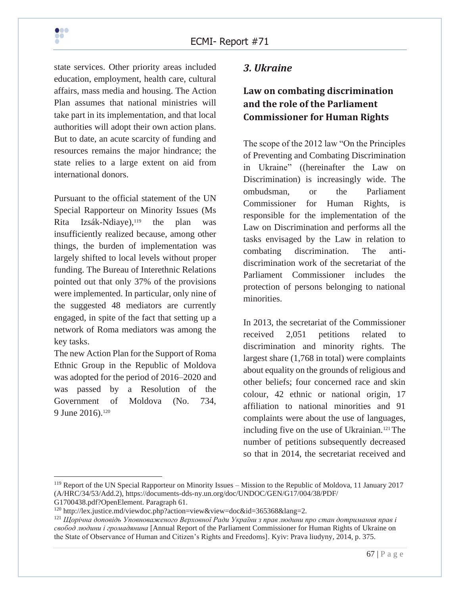state services. Other priority areas included education, employment, health care, cultural affairs, mass media and housing. The Action Plan assumes that national ministries will take part in its implementation, and that local authorities will adopt their own action plans. But to date, an acute scarcity of funding and resources remains the major hindrance; the state relies to a large extent on aid from international donors.

Pursuant to the official statement of the UN Special Rapporteur on Minority Issues (Ms Rita Izsák-Ndiaye),<sup>119</sup> the plan was insufficiently realized because, among other things, the burden of implementation was largely shifted to local levels without proper funding. The Bureau of Interethnic Relations pointed out that only 37% of the provisions were implemented. In particular, only nine of the suggested 48 mediators are currently engaged, in spite of the fact that setting up a network of Roma mediators was among the key tasks.

The new Action Plan for the Support of Roma Ethnic Group in the Republic of Moldova was adopted for the period of 2016–2020 and was passed by a Resolution of the Government of Moldova (No. 734, 9 June 2016).<sup>120</sup>

## *3. Ukraine*

# **Law on combating discrimination and the role of the Parliament Commissioner for Human Rights**

The scope of the 2012 law "On the Principles of Preventing and Combating Discrimination in Ukraine" ((hereinafter the Law on Discrimination) is increasingly wide. The ombudsman, or the Parliament Commissioner for Human Rights, is responsible for the implementation of the Law on Discrimination and performs all the tasks envisaged by the Law in relation to combating discrimination. The antidiscrimination work of the secretariat of the Parliament Commissioner includes the protection of persons belonging to national minorities.

In 2013, the secretariat of the Commissioner received 2,051 petitions related to discrimination and minority rights. The largest share (1,768 in total) were complaints about equality on the grounds of religious and other beliefs; four concerned race and skin colour, 42 ethnic or national origin, 17 affiliation to national minorities and 91 complaints were about the use of languages, including five on the use of Ukrainian.<sup>121</sup> The number of petitions subsequently decreased so that in 2014, the secretariat received and

<sup>119</sup> Report of the UN Special Rapporteur on Minority Issues – Mission to the Republic of Moldova, 11 January 2017 (A/HRC/34/53/Add.2), https://documents-dds-ny.un.org/doc/UNDOC/GEN/G17/004/38/PDF/

G1700438.pdf?OpenElement. Paragraph 61.

<sup>120</sup> http://lex.justice.md/viewdoc.php?action=view&view=doc&id=365368&lang=2.

<sup>121</sup> *Щорічна доповідь Уповноваженого Верховної Ради України з прав людини про стан дотримання прав і свобод людини і громадянина* [Annual Report of the Parliament Commissioner for Human Rights of Ukraine on the State of Observance of Human and Citizen's Rights and Freedoms]. Kyiv: Prava liudyny, 2014, p. 375.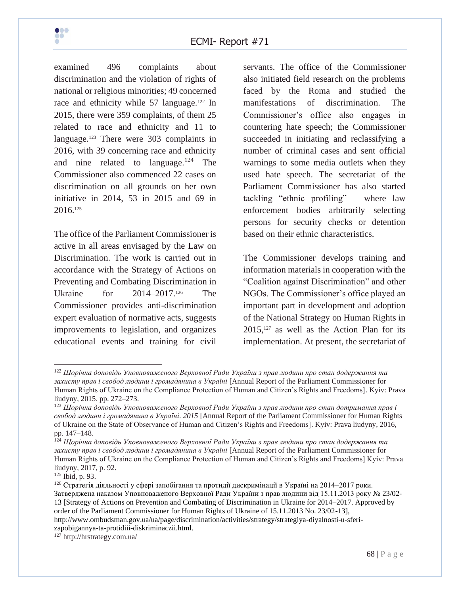

examined 496 complaints about discrimination and the violation of rights of national or religious minorities; 49 concerned race and ethnicity while 57 language.<sup>122</sup> In 2015, there were 359 complaints, of them 25 related to race and ethnicity and 11 to language.<sup>123</sup> There were 303 complaints in 2016, with 39 concerning race and ethnicity and nine related to language. $124$  The Commissioner also commenced 22 cases on discrimination on all grounds on her own initiative in 2014, 53 in 2015 and 69 in 2016.<sup>125</sup>

The office of the Parliament Commissioner is active in all areas envisaged by the Law on Discrimination. The work is carried out in accordance with the Strategy of Actions on Preventing and Combating Discrimination in Ukraine for 2014–2017.<sup>126</sup> The Commissioner provides anti-discrimination expert evaluation of normative acts, suggests improvements to legislation, and organizes educational events and training for civil

servants. The office of the Commissioner also initiated field research on the problems faced by the Roma and studied the manifestations of discrimination. The Commissioner's office also engages in countering hate speech; the Commissioner succeeded in initiating and reclassifying a number of criminal cases and sent official warnings to some media outlets when they used hate speech. The secretariat of the Parliament Commissioner has also started tackling "ethnic profiling" – where law enforcement bodies arbitrarily selecting persons for security checks or detention based on their ethnic characteristics.

The Commissioner develops training and information materials in cooperation with the "Coalition against Discrimination" and other NGOs. The Commissioner's office played an important part in development and adoption of the National Strategy on Human Rights in  $2015$ ,<sup>127</sup> as well as the Action Plan for its implementation. At present, the secretariat of

<sup>122</sup> *Щорічна доповідь Уповноваженого Верховної Ради України з прав людини про стан додержання та захисту прав і свобод людини і громадянина в Українi* [Annual Report of the Parliament Commissioner for Human Rights of Ukraine on the Compliance Protection of Human and Citizen's Rights and Freedoms]. Kyiv: Prava liudyny, 2015. pp. 272–273.

<sup>123</sup> *Щорічна доповідь Уповноваженого Верховної Ради України з прав людини про стан дотримання прав і свобод людини і громадянина в Україні. 2015* [Annual Report of the Parliament Commissioner for Human Rights of Ukraine on the State of Observance of Human and Citizen's Rights and Freedoms]. Kyiv: Prava liudyny, 2016, pp. 147–148.

<sup>124</sup> *Щорічна доповідь Уповноваженого Верховної Ради України з прав людини про стан додержання та захисту прав і свобод людини і громадянина в Українi* [Annual Report of the Parliament Commissioner for Human Rights of Ukraine on the Compliance Protection of Human and Citizen's Rights and Freedoms] Kyiv: Prava liudyny, 2017, p. 92.

<sup>125</sup> Ibid, p. 93.

<sup>126</sup> Стратегія діяльності у сфері запобігання та протидії дискримінації в Україні на 2014–2017 роки. Затверджена наказом Уповноваженого Верховної Ради України з прав людини від 15.11.2013 року № 23/02- 13 [Strategy of Actions on Prevention and Combating of Discrimination in Ukraine for 2014–2017. Approved by order of the Parliament Commissioner for Human Rights of Ukraine of 15.11.2013 No. 23/02-13], http://www.ombudsman.gov.ua/ua/page/discrimination/activities/strategy/strategiya-diyalnosti-u-sferizapobigannya-ta-protidiii-diskriminaczii.html.

<sup>127</sup> http://hrstrategy.com.ua/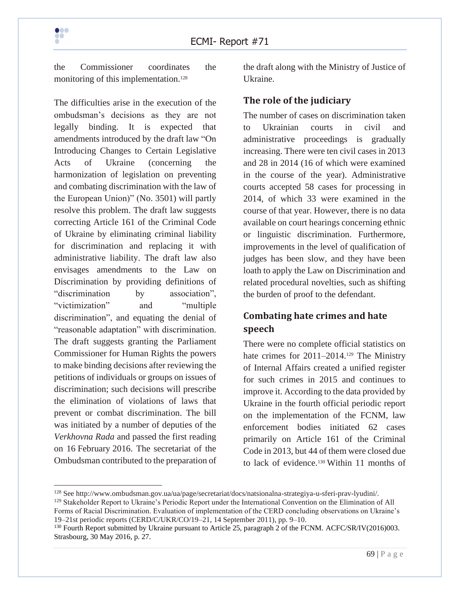

the Commissioner coordinates the monitoring of this implementation.<sup>128</sup>

The difficulties arise in the execution of the ombudsman's decisions as they are not legally binding. It is expected that amendments introduced by the draft law "On Introducing Changes to Certain Legislative Acts of Ukraine (concerning the harmonization of legislation on preventing and combating discrimination with the law of the European Union)" (No. 3501) will partly resolve this problem. The draft law suggests correcting Article 161 of the Criminal Code of Ukraine by eliminating criminal liability for discrimination and replacing it with administrative liability. The draft law also envisages amendments to the Law on Discrimination by providing definitions of "discrimination by association", "victimization" and "multiple discrimination", and equating the denial of "reasonable adaptation" with discrimination. The draft suggests granting the Parliament Commissioner for Human Rights the powers to make binding decisions after reviewing the petitions of individuals or groups on issues of discrimination; such decisions will prescribe the elimination of violations of laws that prevent or combat discrimination. The bill was initiated by a number of deputies of the *Verkhovna Rada* and passed the first reading on 16 February 2016. The secretariat of the Ombudsman contributed to the preparation of

the draft along with the Ministry of Justice of Ukraine.

#### **The role of the judiciary**

The number of cases on discrimination taken to Ukrainian courts in civil and administrative proceedings is gradually increasing. There were ten civil cases in 2013 and 28 in 2014 (16 of which were examined in the course of the year). Administrative courts accepted 58 cases for processing in 2014, of which 33 were examined in the course of that year. However, there is no data available on court hearings concerning ethnic or linguistic discrimination. Furthermore, improvements in the level of qualification of judges has been slow, and they have been loath to apply the Law on Discrimination and related procedural novelties, such as shifting the burden of proof to the defendant.

# **Combating hate crimes and hate speech**

There were no complete official statistics on hate crimes for 2011–2014.<sup>129</sup> The Ministry of Internal Affairs created a unified register for such crimes in 2015 and continues to improve it. According to the data provided by Ukraine in the fourth official periodic report on the implementation of the FCNM, law enforcement bodies initiated 62 cases primarily on Article 161 of the Criminal Code in 2013, but 44 of them were closed due to lack of evidence.<sup>130</sup> Within 11 months of

<sup>128</sup> See http://www.ombudsman.gov.ua/ua/page/secretariat/docs/natsionalna-strategiya-u-sferi-prav-lyudini/.

<sup>&</sup>lt;sup>129</sup> Stakeholder Report to Ukraine's Periodic Report under the International Convention on the Elimination of All Forms of Racial Discrimination. Evaluation of implementation of the CERD concluding observations on Ukraine's 19–21st periodic reports (CERD/C/UKR/CO/19–21, 14 September 2011), pp. 9–10.

<sup>&</sup>lt;sup>130</sup> Fourth Report submitted by Ukraine pursuant to Article 25, paragraph 2 of the FCNM. ACFC/SR/IV(2016)003. Strasbourg, 30 May 2016, p. 27.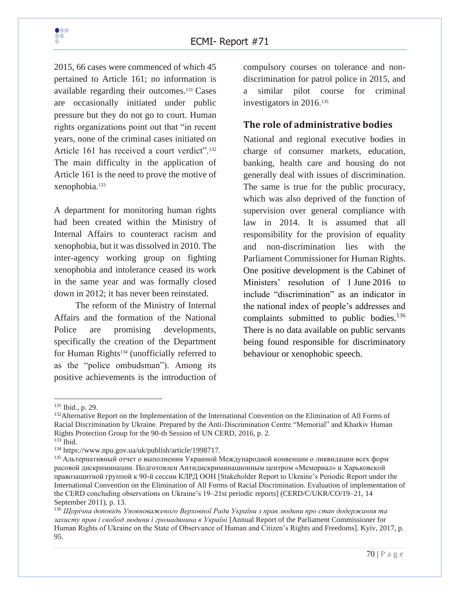2015, 66 cases were commenced of which 45 pertained to Article 161; no information is available regarding their outcomes.<sup>131</sup> Cases are occasionally initiated under public pressure but they do not go to court. Human rights organizations point out that "in recent years, none of the criminal cases initiated on Article 161 has received a court verdict".<sup>132</sup> The main difficulty in the application of Article 161 is the need to prove the motive of xenophobia.<sup>133</sup>

A department for monitoring human rights had been created within the Ministry of Internal Affairs to counteract racism and xenophobia, but it was dissolved in 2010. The inter-agency working group on fighting xenophobia and intolerance ceased its work in the same year and was formally closed down in 2012; it has never been reinstated.

The reform of the Ministry of Internal Affairs and the formation of the National Police are promising developments, specifically the creation of the Department for Human Rights<sup>134</sup> (unofficially referred to as the "police ombudsman"). Among its positive achievements is the introduction of compulsory courses on tolerance and nondiscrimination for patrol police in 2015, and a similar pilot course for criminal investigators in 2016.<sup>135</sup>

#### **The role of administrative bodies**

National and regional executive bodies in charge of consumer markets, education, banking, health care and housing do not generally deal with issues of discrimination. The same is true for the public procuracy, which was also deprived of the function of supervision over general compliance with law in 2014. It is assumed that all responsibility for the provision of equality and non-discrimination lies with the Parliament Commissioner for Human Rights. One positive development is the Cabinet of Ministers' resolution of 1 June 2016 to include "discrimination" as an indicator in the national index of people's addresses and complaints submitted to public bodies.<sup>136</sup> There is no data available on public servants being found responsible for discriminatory behaviour or xenophobic speech.

<sup>131</sup> Ibid., p. 29.

<sup>&</sup>lt;sup>132</sup>Alternative Report on the Implementation of the International Convention on the Elimination of All Forms of Racial Discrimination by Ukraine. Prepared by the Anti-Discrimination Centre "Memorial" and Kharkiv Human Rights Protection Group for the 90-th Session of UN CERD, 2016, p. 2.

<sup>133</sup> Ibid.

<sup>134</sup> https://www.npu.gov.ua/uk/publish/article/1998717.

<sup>&</sup>lt;sup>135</sup> Альтернативный отчет о выполнении Украиной Международной конвенции о ликвидации всех форм расовой дискриминации. Подготовлен Антидискриминационным центром «Мемориал» и Харьковской правозащитной группой к 90-й сессии КЛРД ООН [Stakeholder Report to Ukraine's Periodic Report under the International Convention on the Elimination of All Forms of Racial Discrimination. Evaluation of implementation of the CERD concluding observations on Ukraine's 19–21st periodic reports] (CERD/C/UKR/CO/19–21, 14 September 2011), p. 13.

<sup>136</sup> *Щорічна доповідь Уповноваженого Верховної Ради України з прав людини про стан додержання та захисту прав і свобод людини і громадянина в Українi* [Annual Report of the Parliament Commissioner for Human Rights of Ukraine on the State of Observance of Human and Citizen's Rights and Freedoms]. Kyiv, 2017, p. 95.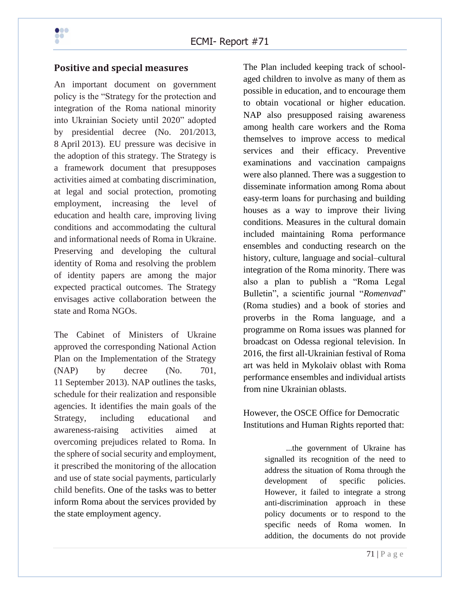

#### **Positive and special measures**

An important document on government policy is the "Strategy for the protection and integration of the Roma national minority into Ukrainian Society until 2020" adopted by presidential decree (No. 201/2013, 8 April 2013). EU pressure was decisive in the adoption of this strategy. The Strategy is a framework document that presupposes activities aimed at combating discrimination, at legal and social protection, promoting employment, increasing the level of education and health care, improving living conditions and accommodating the cultural and informational needs of Roma in Ukraine. Preserving and developing the cultural identity of Roma and resolving the problem of identity papers are among the major expected practical outcomes. The Strategy envisages active collaboration between the state and Roma NGOs.

The Cabinet of Ministers of Ukraine approved the corresponding National Action Plan on the Implementation of the Strategy (NAP) by decree (No. 701, 11 September 2013). NAP outlines the tasks, schedule for their realization and responsible agencies. It identifies the main goals of the Strategy, including educational and awareness-raising activities aimed at overcoming prejudices related to Roma. In the sphere of social security and employment, it prescribed the monitoring of the allocation and use of state social payments, particularly child benefits. One of the tasks was to better inform Roma about the services provided by the state employment agency.

The Plan included keeping track of schoolaged children to involve as many of them as possible in education, and to encourage them to obtain vocational or higher education. NAP also presupposed raising awareness among health care workers and the Roma themselves to improve access to medical services and their efficacy. Preventive examinations and vaccination campaigns were also planned. There was a suggestion to disseminate information among Roma about easy-term loans for purchasing and building houses as a way to improve their living conditions. Measures in the cultural domain included maintaining Roma performance ensembles and conducting research on the history, culture, language and social–cultural integration of the Roma minority. There was also a plan to publish a "Roma Legal Bulletin", a scientific journal "*Romenvad*" (Roma studies) and a book of stories and proverbs in the Roma language, and a programme on Roma issues was planned for broadcast on Odessa regional television. In 2016, the first all-Ukrainian festival of Roma art was held in Mykolaiv oblast with Roma performance ensembles and individual artists from nine Ukrainian oblasts.

#### However, the OSCE Office for Democratic Institutions and Human Rights reported that:

...the government of Ukraine has signalled its recognition of the need to address the situation of Roma through the development of specific policies. However, it failed to integrate a strong anti-discrimination approach in these policy documents or to respond to the specific needs of Roma women. In addition, the documents do not provide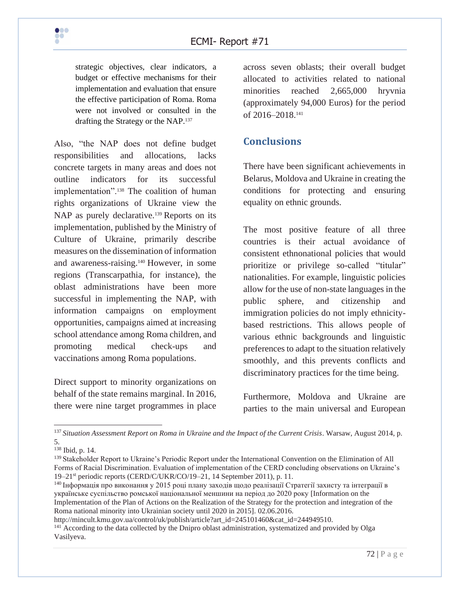

strategic objectives, clear indicators, a budget or effective mechanisms for their implementation and evaluation that ensure the effective participation of Roma. Roma were not involved or consulted in the drafting the Strategy or the NAP.<sup>137</sup>

Also, "the NAP does not define budget responsibilities and allocations, lacks concrete targets in many areas and does not outline indicators for its successful implementation".<sup>138</sup> The coalition of human rights organizations of Ukraine view the NAP as purely declarative.<sup>139</sup> Reports on its implementation, published by the Ministry of Culture of Ukraine, primarily describe measures on the dissemination of information and awareness-raising.<sup>140</sup> However, in some regions (Transcarpathia, for instance), the oblast administrations have been more successful in implementing the NAP, with information campaigns on employment opportunities, campaigns aimed at increasing school attendance among Roma children, and promoting medical check-ups and vaccinations among Roma populations.

Direct support to minority organizations on behalf of the state remains marginal. In 2016, there were nine target programmes in place

across seven oblasts; their overall budget allocated to activities related to national minorities reached 2,665,000 hryvnia (approximately 94,000 Euros) for the period of 2016–2018.<sup>141</sup>

## **Conclusions**

There have been significant achievements in Belarus, Moldova and Ukraine in creating the conditions for protecting and ensuring equality on ethnic grounds.

The most positive feature of all three countries is their actual avoidance of consistent ethnonational policies that would prioritize or privilege so-called "titular" nationalities. For example, linguistic policies allow for the use of non-state languages in the public sphere, and citizenship and immigration policies do not imply ethnicitybased restrictions. This allows people of various ethnic backgrounds and linguistic preferences to adapt to the situation relatively smoothly, and this prevents conflicts and discriminatory practices for the time being.

Furthermore, Moldova and Ukraine are parties to the main universal and European

http://mincult.kmu.gov.ua/control/uk/publish/article?art\_id=245101460&cat\_id=244949510.

<sup>137</sup> *Situation Assessment Report on Roma in Ukraine and the Impact of the Current Crisis*. Warsaw, August 2014, p. 5.

<sup>138</sup> Ibid, p. 14.

<sup>&</sup>lt;sup>139</sup> Stakeholder Report to Ukraine's Periodic Report under the International Convention on the Elimination of All Forms of Racial Discrimination. Evaluation of implementation of the CERD concluding observations on Ukraine's 19–21st periodic reports (CERD/C/UKR/CO/19–21, 14 September 2011), p. 11.

<sup>140</sup> Інформація про виконання у 2015 році плану заходів щодо реалізації Стратегії захисту та інтеграції в українське суспільство ромської національної меншини на період до 2020 року [Information on the Implementation of the Plan of Actions on the Realization of the Strategy for the protection and integration of the Roma national minority into Ukrainian society until 2020 in 2015]. 02.06.2016.

<sup>&</sup>lt;sup>141</sup> According to the data collected by the Dnipro oblast administration, systematized and provided by Olga Vasilyeva.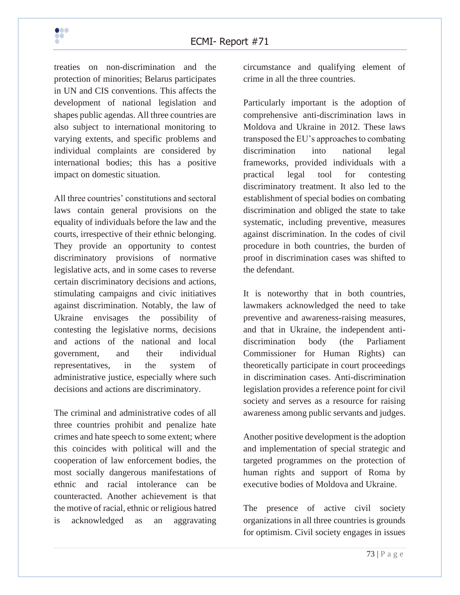treaties on non-discrimination and the protection of minorities; Belarus participates in UN and CIS conventions. This affects the development of national legislation and shapes public agendas. All three countries are also subject to international monitoring to varying extents, and specific problems and individual complaints are considered by international bodies; this has a positive impact on domestic situation.

All three countries' constitutions and sectoral laws contain general provisions on the equality of individuals before the law and the courts, irrespective of their ethnic belonging. They provide an opportunity to contest discriminatory provisions of normative legislative acts, and in some cases to reverse certain discriminatory decisions and actions, stimulating campaigns and civic initiatives against discrimination. Notably, the law of Ukraine envisages the possibility of contesting the legislative norms, decisions and actions of the national and local government, and their individual representatives, in the system of administrative justice, especially where such decisions and actions are discriminatory.

The criminal and administrative codes of all three countries prohibit and penalize hate crimes and hate speech to some extent; where this coincides with political will and the cooperation of law enforcement bodies, the most socially dangerous manifestations of ethnic and racial intolerance can be counteracted. Another achievement is that the motive of racial, ethnic or religious hatred is acknowledged as an aggravating

circumstance and qualifying element of crime in all the three countries.

Particularly important is the adoption of comprehensive anti-discrimination laws in Moldova and Ukraine in 2012. These laws transposed the EU's approaches to combating discrimination into national legal frameworks, provided individuals with a practical legal tool for contesting discriminatory treatment. It also led to the establishment of special bodies on combating discrimination and obliged the state to take systematic, including preventive, measures against discrimination. In the codes of civil procedure in both countries, the burden of proof in discrimination cases was shifted to the defendant.

It is noteworthy that in both countries, lawmakers acknowledged the need to take preventive and awareness-raising measures, and that in Ukraine, the independent antidiscrimination body (the Parliament Commissioner for Human Rights) can theoretically participate in court proceedings in discrimination cases. Anti-discrimination legislation provides a reference point for civil society and serves as a resource for raising awareness among public servants and judges.

Another positive development is the adoption and implementation of special strategic and targeted programmes on the protection of human rights and support of Roma by executive bodies of Moldova and Ukraine.

The presence of active civil society organizations in all three countries is grounds for optimism. Civil society engages in issues

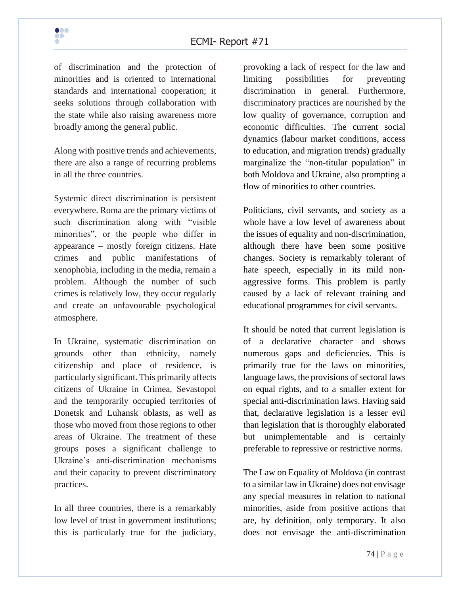of discrimination and the protection of minorities and is oriented to international standards and international cooperation; it seeks solutions through collaboration with the state while also raising awareness more broadly among the general public.

Along with positive trends and achievements, there are also a range of recurring problems in all the three countries.

Systemic direct discrimination is persistent everywhere. Roma are the primary victims of such discrimination along with "visible minorities", or the people who differ in appearance – mostly foreign citizens. Hate crimes and public manifestations of xenophobia, including in the media, remain a problem. Although the number of such crimes is relatively low, they occur regularly and create an unfavourable psychological atmosphere.

In Ukraine, systematic discrimination on grounds other than ethnicity, namely citizenship and place of residence, is particularly significant. This primarily affects citizens of Ukraine in Crimea, Sevastopol and the temporarily occupied territories of Donetsk and Luhansk oblasts, as well as those who moved from those regions to other areas of Ukraine. The treatment of these groups poses a significant challenge to Ukraine's anti-discrimination mechanisms and their capacity to prevent discriminatory practices.

In all three countries, there is a remarkably low level of trust in government institutions; this is particularly true for the judiciary,

provoking a lack of respect for the law and limiting possibilities for preventing discrimination in general. Furthermore, discriminatory practices are nourished by the low quality of governance, corruption and economic difficulties. The current social dynamics (labour market conditions, access to education, and migration trends) gradually marginalize the "non-titular population" in both Moldova and Ukraine, also prompting a flow of minorities to other countries.

Politicians, civil servants, and society as a whole have a low level of awareness about the issues of equality and non-discrimination, although there have been some positive changes. Society is remarkably tolerant of hate speech, especially in its mild nonaggressive forms. This problem is partly caused by a lack of relevant training and educational programmes for civil servants.

It should be noted that current legislation is of a declarative character and shows numerous gaps and deficiencies. This is primarily true for the laws on minorities, language laws, the provisions of sectoral laws on equal rights, and to a smaller extent for special anti-discrimination laws. Having said that, declarative legislation is a lesser evil than legislation that is thoroughly elaborated but unimplementable and is certainly preferable to repressive or restrictive norms.

The Law on Equality of Moldova (in contrast to a similar law in Ukraine) does not envisage any special measures in relation to national minorities, aside from positive actions that are, by definition, only temporary. It also does not envisage the anti-discrimination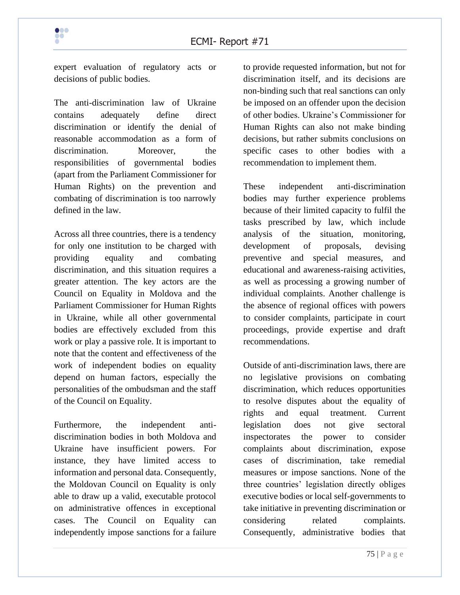

expert evaluation of regulatory acts or decisions of public bodies.

The anti-discrimination law of Ukraine contains adequately define direct discrimination or identify the denial of reasonable accommodation as a form of discrimination. Moreover, the responsibilities of governmental bodies (apart from the Parliament Commissioner for Human Rights) on the prevention and combating of discrimination is too narrowly defined in the law.

Across all three countries, there is a tendency for only one institution to be charged with providing equality and combating discrimination, and this situation requires a greater attention. The key actors are the Council on Equality in Moldova and the Parliament Commissioner for Human Rights in Ukraine, while all other governmental bodies are effectively excluded from this work or play a passive role. It is important to note that the content and effectiveness of the work of independent bodies on equality depend on human factors, especially the personalities of the ombudsman and the staff of the Council on Equality.

Furthermore, the independent antidiscrimination bodies in both Moldova and Ukraine have insufficient powers. For instance, they have limited access to information and personal data. Consequently, the Moldovan Council on Equality is only able to draw up a valid, executable protocol on administrative offences in exceptional cases. The Council on Equality can independently impose sanctions for a failure

to provide requested information, but not for discrimination itself, and its decisions are non-binding such that real sanctions can only be imposed on an offender upon the decision of other bodies. Ukraine's Commissioner for Human Rights can also not make binding decisions, but rather submits conclusions on specific cases to other bodies with a recommendation to implement them.

These independent anti-discrimination bodies may further experience problems because of their limited capacity to fulfil the tasks prescribed by law, which include analysis of the situation, monitoring, development of proposals, devising preventive and special measures, and educational and awareness-raising activities, as well as processing a growing number of individual complaints. Another challenge is the absence of regional offices with powers to consider complaints, participate in court proceedings, provide expertise and draft recommendations.

Outside of anti-discrimination laws, there are no legislative provisions on combating discrimination, which reduces opportunities to resolve disputes about the equality of rights and equal treatment. Current legislation does not give sectoral inspectorates the power to consider complaints about discrimination, expose cases of discrimination, take remedial measures or impose sanctions. None of the three countries' legislation directly obliges executive bodies or local self-governments to take initiative in preventing discrimination or considering related complaints. Consequently, administrative bodies that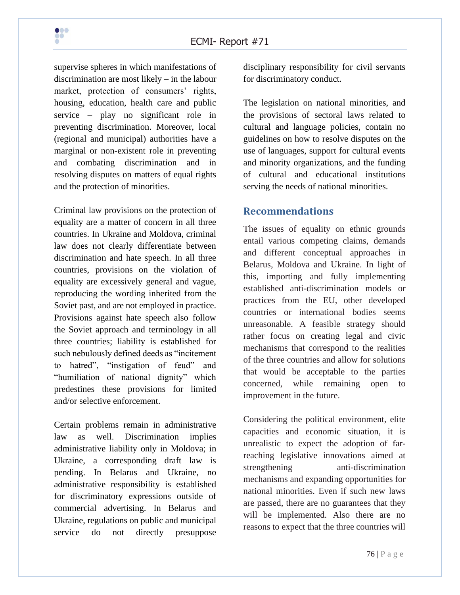supervise spheres in which manifestations of discrimination are most likely – in the labour market, protection of consumers' rights, housing, education, health care and public service – play no significant role in preventing discrimination. Moreover, local (regional and municipal) authorities have a marginal or non-existent role in preventing and combating discrimination and in resolving disputes on matters of equal rights and the protection of minorities.

Criminal law provisions on the protection of equality are a matter of concern in all three countries. In Ukraine and Moldova, criminal law does not clearly differentiate between discrimination and hate speech. In all three countries, provisions on the violation of equality are excessively general and vague, reproducing the wording inherited from the Soviet past, and are not employed in practice. Provisions against hate speech also follow the Soviet approach and terminology in all three countries; liability is established for such nebulously defined deeds as "incitement to hatred", "instigation of feud" and "humiliation of national dignity" which predestines these provisions for limited and/or selective enforcement.

Certain problems remain in administrative law as well. Discrimination implies administrative liability only in Moldova; in Ukraine, a corresponding draft law is pending. In Belarus and Ukraine, no administrative responsibility is established for discriminatory expressions outside of commercial advertising. In Belarus and Ukraine, regulations on public and municipal service do not directly presuppose

disciplinary responsibility for civil servants for discriminatory conduct.

The legislation on national minorities, and the provisions of sectoral laws related to cultural and language policies, contain no guidelines on how to resolve disputes on the use of languages, support for cultural events and minority organizations, and the funding of cultural and educational institutions serving the needs of national minorities.

#### **Recommendations**

The issues of equality on ethnic grounds entail various competing claims, demands and different conceptual approaches in Belarus, Moldova and Ukraine. In light of this, importing and fully implementing established anti-discrimination models or practices from the EU, other developed countries or international bodies seems unreasonable. A feasible strategy should rather focus on creating legal and civic mechanisms that correspond to the realities of the three countries and allow for solutions that would be acceptable to the parties concerned, while remaining open to improvement in the future.

Considering the political environment, elite capacities and economic situation, it is unrealistic to expect the adoption of farreaching legislative innovations aimed at strengthening anti-discrimination mechanisms and expanding opportunities for national minorities. Even if such new laws are passed, there are no guarantees that they will be implemented. Also there are no reasons to expect that the three countries will

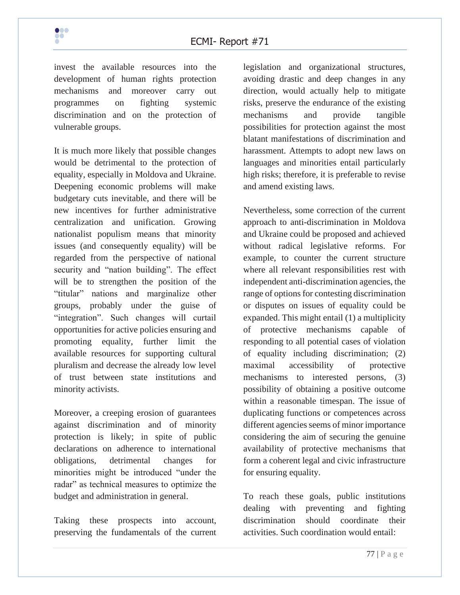invest the available resources into the development of human rights protection mechanisms and moreover carry out programmes on fighting systemic discrimination and on the protection of vulnerable groups.

It is much more likely that possible changes would be detrimental to the protection of equality, especially in Moldova and Ukraine. Deepening economic problems will make budgetary cuts inevitable, and there will be new incentives for further administrative centralization and unification. Growing nationalist populism means that minority issues (and consequently equality) will be regarded from the perspective of national security and "nation building". The effect will be to strengthen the position of the "titular" nations and marginalize other groups, probably under the guise of "integration". Such changes will curtail opportunities for active policies ensuring and promoting equality, further limit the available resources for supporting cultural pluralism and decrease the already low level of trust between state institutions and minority activists.

Moreover, a creeping erosion of guarantees against discrimination and of minority protection is likely; in spite of public declarations on adherence to international obligations, detrimental changes for minorities might be introduced "under the radar" as technical measures to optimize the budget and administration in general.

Taking these prospects into account, preserving the fundamentals of the current legislation and organizational structures, avoiding drastic and deep changes in any direction, would actually help to mitigate risks, preserve the endurance of the existing mechanisms and provide tangible possibilities for protection against the most blatant manifestations of discrimination and harassment. Attempts to adopt new laws on languages and minorities entail particularly high risks; therefore, it is preferable to revise and amend existing laws.

Nevertheless, some correction of the current approach to anti-discrimination in Moldova and Ukraine could be proposed and achieved without radical legislative reforms. For example, to counter the current structure where all relevant responsibilities rest with independent anti-discrimination agencies, the range of options for contesting discrimination or disputes on issues of equality could be expanded. This might entail (1) a multiplicity of protective mechanisms capable of responding to all potential cases of violation of equality including discrimination; (2) maximal accessibility of protective mechanisms to interested persons, (3) possibility of obtaining a positive outcome within a reasonable timespan. The issue of duplicating functions or competences across different agencies seems of minor importance considering the aim of securing the genuine availability of protective mechanisms that form a coherent legal and civic infrastructure for ensuring equality.

To reach these goals, public institutions dealing with preventing and fighting discrimination should coordinate their activities. Such coordination would entail: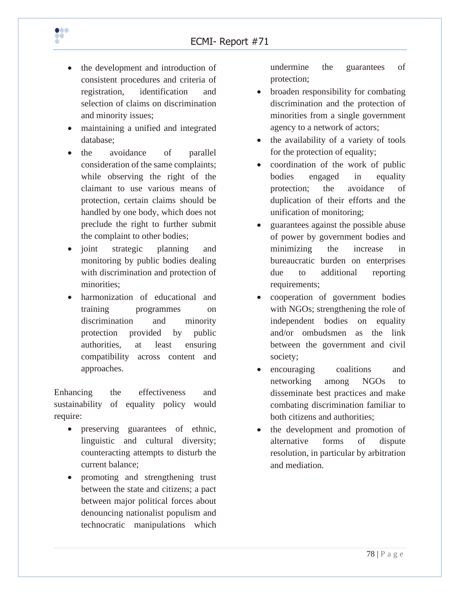

- the development and introduction of consistent procedures and criteria of registration, identification and selection of claims on discrimination and minority issues;
- maintaining a unified and integrated database;
- the avoidance of parallel consideration of the same complaints; while observing the right of the claimant to use various means of protection, certain claims should be handled by one body, which does not preclude the right to further submit the complaint to other bodies;
- joint strategic planning and monitoring by public bodies dealing with discrimination and protection of minorities;
- harmonization of educational and training programmes on discrimination and minority protection provided by public authorities, at least ensuring compatibility across content and approaches.

Enhancing the effectiveness and sustainability of equality policy would require:

- preserving guarantees of ethnic, linguistic and cultural diversity; counteracting attempts to disturb the current balance;
- promoting and strengthening trust between the state and citizens; a pact between major political forces about denouncing nationalist populism and technocratic manipulations which

undermine the guarantees of protection;

- broaden responsibility for combating discrimination and the protection of minorities from a single government agency to a network of actors;
- the availability of a variety of tools for the protection of equality;
- coordination of the work of public bodies engaged in equality protection; the avoidance of duplication of their efforts and the unification of monitoring;
- guarantees against the possible abuse of power by government bodies and minimizing the increase in bureaucratic burden on enterprises due to additional reporting requirements;
- cooperation of government bodies with NGOs; strengthening the role of independent bodies on equality and/or ombudsmen as the link between the government and civil society;
- encouraging coalitions and networking among NGOs to disseminate best practices and make combating discrimination familiar to both citizens and authorities;
- the development and promotion of alternative forms of dispute resolution, in particular by arbitration and mediation.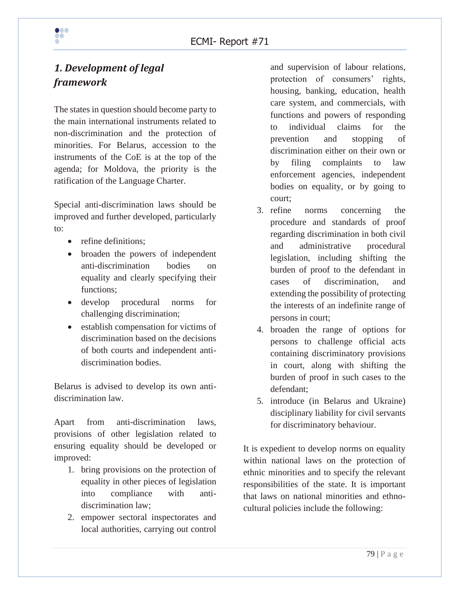# *1. Development of legal framework*

The states in question should become party to the main international instruments related to non-discrimination and the protection of minorities. For Belarus, accession to the instruments of the CoE is at the top of the agenda; for Moldova, the priority is the ratification of the Language Charter.

Special anti-discrimination laws should be improved and further developed, particularly to:

- refine definitions:
- broaden the powers of independent anti-discrimination bodies on equality and clearly specifying their functions;
- develop procedural norms for challenging discrimination;
- establish compensation for victims of discrimination based on the decisions of both courts and independent antidiscrimination bodies.

Belarus is advised to develop its own antidiscrimination law.

Apart from anti-discrimination laws, provisions of other legislation related to ensuring equality should be developed or improved:

- 1. bring provisions on the protection of equality in other pieces of legislation into compliance with antidiscrimination law;
- 2. empower sectoral inspectorates and local authorities, carrying out control

and supervision of labour relations, protection of consumers' rights, housing, banking, education, health care system, and commercials, with functions and powers of responding to individual claims for the prevention and stopping of discrimination either on their own or by filing complaints to law enforcement agencies, independent bodies on equality, or by going to court;

- 3. refine norms concerning the procedure and standards of proof regarding discrimination in both civil and administrative procedural legislation, including shifting the burden of proof to the defendant in cases of discrimination, and extending the possibility of protecting the interests of an indefinite range of persons in court;
- 4. broaden the range of options for persons to challenge official acts containing discriminatory provisions in court, along with shifting the burden of proof in such cases to the defendant;
- 5. introduce (in Belarus and Ukraine) disciplinary liability for civil servants for discriminatory behaviour.

It is expedient to develop norms on equality within national laws on the protection of ethnic minorities and to specify the relevant responsibilities of the state. It is important that laws on national minorities and ethnocultural policies include the following:

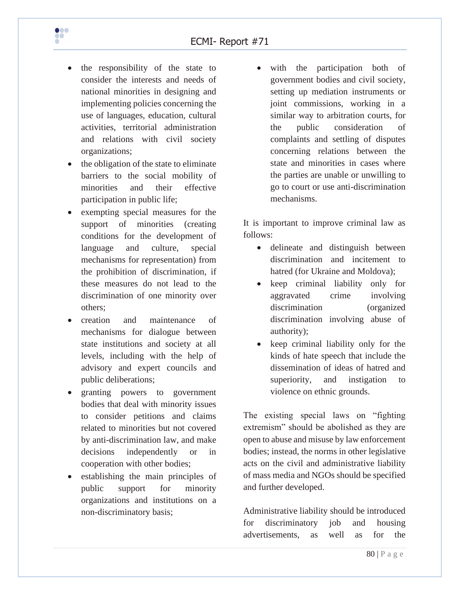

- the responsibility of the state to consider the interests and needs of national minorities in designing and implementing policies concerning the use of languages, education, cultural activities, territorial administration and relations with civil society organizations;
- the obligation of the state to eliminate barriers to the social mobility of minorities and their effective participation in public life;
- exempting special measures for the support of minorities (creating conditions for the development of language and culture, special mechanisms for representation) from the prohibition of discrimination, if these measures do not lead to the discrimination of one minority over others;
- creation and maintenance of mechanisms for dialogue between state institutions and society at all levels, including with the help of advisory and expert councils and public deliberations;
- granting powers to government bodies that deal with minority issues to consider petitions and claims related to minorities but not covered by anti-discrimination law, and make decisions independently or in cooperation with other bodies;
- establishing the main principles of public support for minority organizations and institutions on a non-discriminatory basis;

• with the participation both of government bodies and civil society, setting up mediation instruments or joint commissions, working in a similar way to arbitration courts, for the public consideration of complaints and settling of disputes concerning relations between the state and minorities in cases where the parties are unable or unwilling to go to court or use anti-discrimination mechanisms.

It is important to improve criminal law as follows:

- delineate and distinguish between discrimination and incitement to hatred (for Ukraine and Moldova);
- keep criminal liability only for aggravated crime involving discrimination (organized discrimination involving abuse of authority);
- keep criminal liability only for the kinds of hate speech that include the dissemination of ideas of hatred and superiority, and instigation to violence on ethnic grounds.

The existing special laws on "fighting extremism" should be abolished as they are open to abuse and misuse by law enforcement bodies; instead, the norms in other legislative acts on the civil and administrative liability of mass media and NGOs should be specified and further developed.

Administrative liability should be introduced for discriminatory job and housing advertisements, as well as for the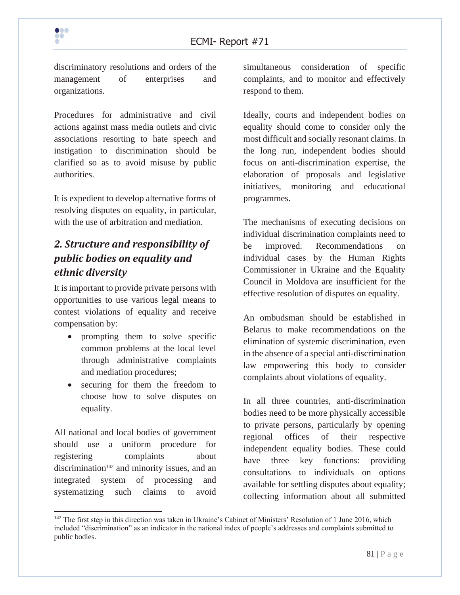discriminatory resolutions and orders of the management of enterprises and organizations.

Procedures for administrative and civil actions against mass media outlets and civic associations resorting to hate speech and instigation to discrimination should be clarified so as to avoid misuse by public authorities.

It is expedient to develop alternative forms of resolving disputes on equality, in particular, with the use of arbitration and mediation.

# *2. Structure and responsibility of public bodies on equality and ethnic diversity*

It is important to provide private persons with opportunities to use various legal means to contest violations of equality and receive compensation by:

- prompting them to solve specific common problems at the local level through administrative complaints and mediation procedures;
- securing for them the freedom to choose how to solve disputes on equality.

All national and local bodies of government should use a uniform procedure for registering complaints about discrimination<sup>142</sup> and minority issues, and an integrated system of processing and systematizing such claims to avoid

simultaneous consideration of specific complaints, and to monitor and effectively respond to them.

Ideally, courts and independent bodies on equality should come to consider only the most difficult and socially resonant claims. In the long run, independent bodies should focus on anti-discrimination expertise, the elaboration of proposals and legislative initiatives, monitoring and educational programmes.

The mechanisms of executing decisions on individual discrimination complaints need to be improved. Recommendations on individual cases by the Human Rights Commissioner in Ukraine and the Equality Council in Moldova are insufficient for the effective resolution of disputes on equality.

An ombudsman should be established in Belarus to make recommendations on the elimination of systemic discrimination, even in the absence of a special anti-discrimination law empowering this body to consider complaints about violations of equality.

In all three countries, anti-discrimination bodies need to be more physically accessible to private persons, particularly by opening regional offices of their respective independent equality bodies. These could have three key functions: providing consultations to individuals on options available for settling disputes about equality; collecting information about all submitted



<sup>&</sup>lt;sup>142</sup> The first step in this direction was taken in Ukraine's Cabinet of Ministers' Resolution of 1 June 2016, which included "discrimination" as an indicator in the national index of people's addresses and complaints submitted to public bodies.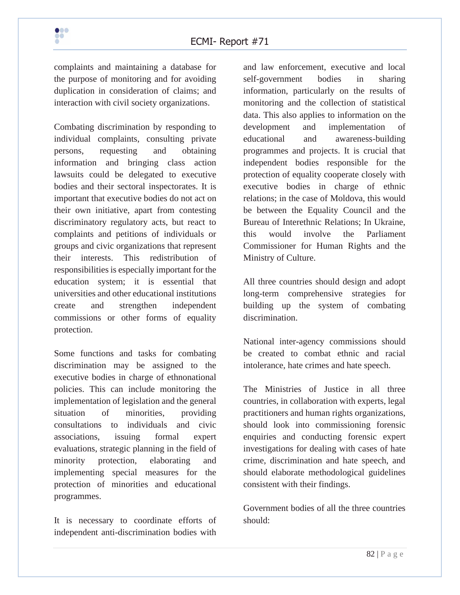complaints and maintaining a database for the purpose of monitoring and for avoiding duplication in consideration of claims; and interaction with civil society organizations.

Combating discrimination by responding to individual complaints, consulting private persons, requesting and obtaining information and bringing class action lawsuits could be delegated to executive bodies and their sectoral inspectorates. It is important that executive bodies do not act on their own initiative, apart from contesting discriminatory regulatory acts, but react to complaints and petitions of individuals or groups and civic organizations that represent their interests. This redistribution of responsibilities is especially important for the education system; it is essential that universities and other educational institutions create and strengthen independent commissions or other forms of equality protection.

Some functions and tasks for combating discrimination may be assigned to the executive bodies in charge of ethnonational policies. This can include monitoring the implementation of legislation and the general situation of minorities, providing consultations to individuals and civic associations, issuing formal expert evaluations, strategic planning in the field of minority protection, elaborating and implementing special measures for the protection of minorities and educational programmes.

It is necessary to coordinate efforts of independent anti-discrimination bodies with

and law enforcement, executive and local self-government bodies in sharing information, particularly on the results of monitoring and the collection of statistical data. This also applies to information on the development and implementation of educational and awareness-building programmes and projects. It is crucial that independent bodies responsible for the protection of equality cooperate closely with executive bodies in charge of ethnic relations; in the case of Moldova, this would be between the Equality Council and the Bureau of Interethnic Relations; In Ukraine, this would involve the Parliament Commissioner for Human Rights and the Ministry of Culture.

All three countries should design and adopt long-term comprehensive strategies for building up the system of combating discrimination.

National inter-agency commissions should be created to combat ethnic and racial intolerance, hate crimes and hate speech.

The Ministries of Justice in all three countries, in collaboration with experts, legal practitioners and human rights organizations, should look into commissioning forensic enquiries and conducting forensic expert investigations for dealing with cases of hate crime, discrimination and hate speech, and should elaborate methodological guidelines consistent with their findings.

Government bodies of all the three countries should:

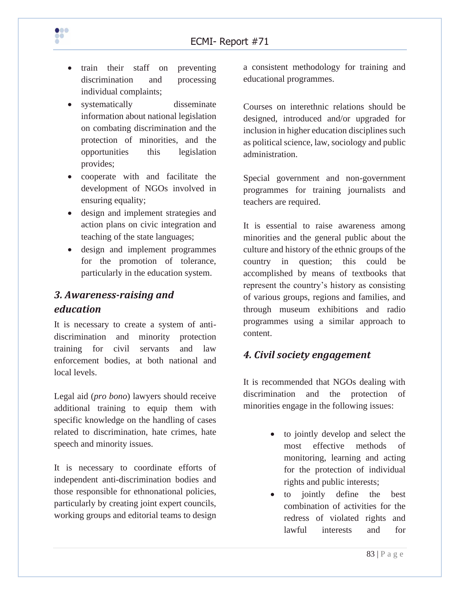

- train their staff on preventing discrimination and processing individual complaints;
- systematically disseminate information about national legislation on combating discrimination and the protection of minorities, and the opportunities this legislation provides;
- cooperate with and facilitate the development of NGOs involved in ensuring equality;
- design and implement strategies and action plans on civic integration and teaching of the state languages;
- design and implement programmes for the promotion of tolerance, particularly in the education system.

## *3. Awareness-raising and education*

It is necessary to create a system of antidiscrimination and minority protection training for civil servants and law enforcement bodies, at both national and local levels.

Legal aid (*pro bono*) lawyers should receive additional training to equip them with specific knowledge on the handling of cases related to discrimination, hate crimes, hate speech and minority issues.

It is necessary to coordinate efforts of independent anti-discrimination bodies and those responsible for ethnonational policies, particularly by creating joint expert councils, working groups and editorial teams to design

a consistent methodology for training and educational programmes.

Courses on interethnic relations should be designed, introduced and/or upgraded for inclusion in higher education disciplines such as political science, law, sociology and public administration.

Special government and non-government programmes for training journalists and teachers are required.

It is essential to raise awareness among minorities and the general public about the culture and history of the ethnic groups of the country in question; this could be accomplished by means of textbooks that represent the country's history as consisting of various groups, regions and families, and through museum exhibitions and radio programmes using a similar approach to content.

### *4. Civil society engagement*

It is recommended that NGOs dealing with discrimination and the protection of minorities engage in the following issues:

- to jointly develop and select the most effective methods of monitoring, learning and acting for the protection of individual rights and public interests;
- to jointly define the best combination of activities for the redress of violated rights and lawful interests and for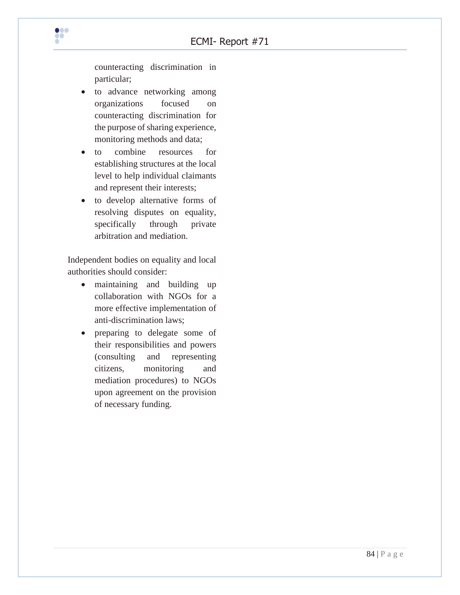counteracting discrimination in particular;

- to advance networking among organizations focused on counteracting discrimination for the purpose of sharing experience, monitoring methods and data;
- to combine resources for establishing structures at the local level to help individual claimants and represent their interests;
- to develop alternative forms of resolving disputes on equality, specifically through private arbitration and mediation.

Independent bodies on equality and local authorities should consider:

- maintaining and building up collaboration with NGOs for a more effective implementation of anti-discrimination laws;
- preparing to delegate some of their responsibilities and powers (consulting and representing citizens, monitoring and mediation procedures) to NGOs upon agreement on the provision of necessary funding.